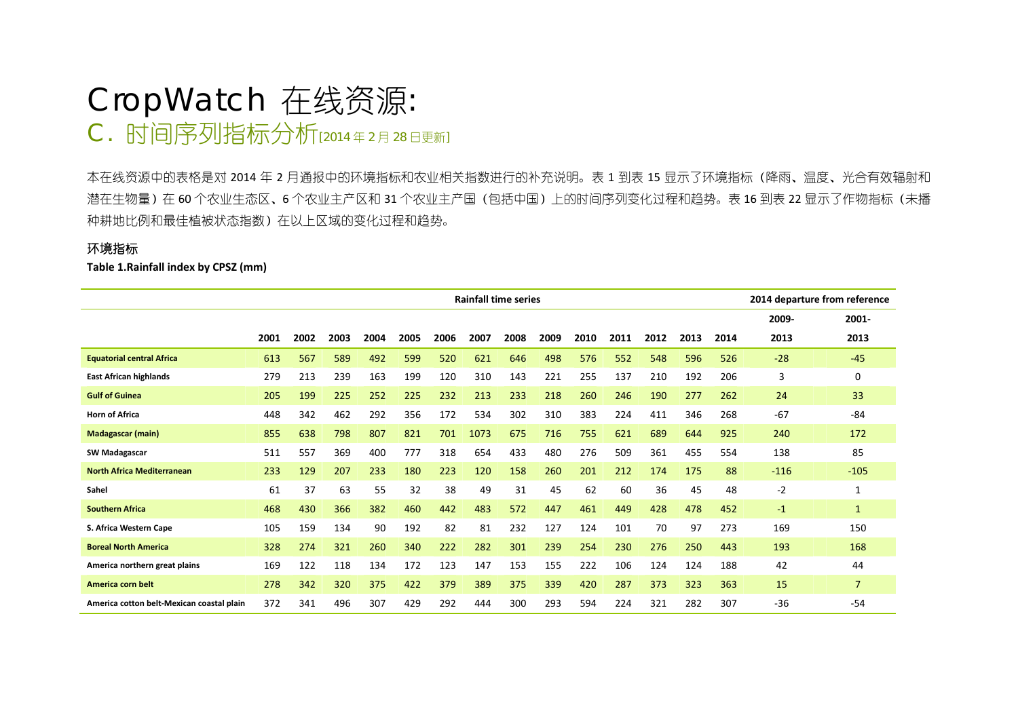# CropWatch 在线资源*:* C. 时间序列指标分析[2014年2月28日更新]

本在线资源中的表格是对 <sup>2014</sup> 年 <sup>2</sup> 月通报中的环境指标和农业相关指数进行的补充说明。表 <sup>1</sup> 到表 <sup>15</sup> 显示了环境指标(降雨、温度、光合有效辐射和 潜在生物量)在 60 个农业生态区、6 个农业主产区和 31 个农业主产国(包括中国)上的时间序列变化过程和趋势。表 16 到表 22 显示了作物指标(未播 种耕地比例和最佳植被状态指数)在以上区域的变化过程和趋势。

## 环境指标

**Table 1.Rainfall index by CPSZ (mm)**

|                                           |      |      |      |      |      |      | <b>Rainfall time series</b> |      |      |      |      |      |      |      |        | 2014 departure from reference |
|-------------------------------------------|------|------|------|------|------|------|-----------------------------|------|------|------|------|------|------|------|--------|-------------------------------|
|                                           |      |      |      |      |      |      |                             |      |      |      |      |      |      |      | 2009-  | 2001-                         |
|                                           | 2001 | 2002 | 2003 | 2004 | 2005 | 2006 | 2007                        | 2008 | 2009 | 2010 | 2011 | 2012 | 2013 | 2014 | 2013   | 2013                          |
| <b>Equatorial central Africa</b>          | 613  | 567  | 589  | 492  | 599  | 520  | 621                         | 646  | 498  | 576  | 552  | 548  | 596  | 526  | $-28$  | $-45$                         |
| <b>East African highlands</b>             | 279  | 213  | 239  | 163  | 199  | 120  | 310                         | 143  | 221  | 255  | 137  | 210  | 192  | 206  | 3      | 0                             |
| <b>Gulf of Guinea</b>                     | 205  | 199  | 225  | 252  | 225  | 232  | 213                         | 233  | 218  | 260  | 246  | 190  | 277  | 262  | 24     | 33                            |
| <b>Horn of Africa</b>                     | 448  | 342  | 462  | 292  | 356  | 172  | 534                         | 302  | 310  | 383  | 224  | 411  | 346  | 268  | $-67$  | $-84$                         |
| <b>Madagascar (main)</b>                  | 855  | 638  | 798  | 807  | 821  | 701  | 1073                        | 675  | 716  | 755  | 621  | 689  | 644  | 925  | 240    | 172                           |
| <b>SW Madagascar</b>                      | 511  | 557  | 369  | 400  | 777  | 318  | 654                         | 433  | 480  | 276  | 509  | 361  | 455  | 554  | 138    | 85                            |
| <b>North Africa Mediterranean</b>         | 233  | 129  | 207  | 233  | 180  | 223  | 120                         | 158  | 260  | 201  | 212  | 174  | 175  | 88   | $-116$ | $-105$                        |
| Sahel                                     | 61   | 37   | 63   | 55   | 32   | 38   | 49                          | 31   | 45   | 62   | 60   | 36   | 45   | 48   | $-2$   |                               |
| <b>Southern Africa</b>                    | 468  | 430  | 366  | 382  | 460  | 442  | 483                         | 572  | 447  | 461  | 449  | 428  | 478  | 452  | $-1$   | $\mathbf{1}$                  |
| S. Africa Western Cape                    | 105  | 159  | 134  | 90   | 192  | 82   | 81                          | 232  | 127  | 124  | 101  | 70   | 97   | 273  | 169    | 150                           |
| <b>Boreal North America</b>               | 328  | 274  | 321  | 260  | 340  | 222  | 282                         | 301  | 239  | 254  | 230  | 276  | 250  | 443  | 193    | 168                           |
| America northern great plains             | 169  | 122  | 118  | 134  | 172  | 123  | 147                         | 153  | 155  | 222  | 106  | 124  | 124  | 188  | 42     | 44                            |
| America corn belt                         | 278  | 342  | 320  | 375  | 422  | 379  | 389                         | 375  | 339  | 420  | 287  | 373  | 323  | 363  | 15     | $\overline{7}$                |
| America cotton belt-Mexican coastal plain | 372  | 341  | 496  | 307  | 429  | 292  | 444                         | 300  | 293  | 594  | 224  | 321  | 282  | 307  | $-36$  | $-54$                         |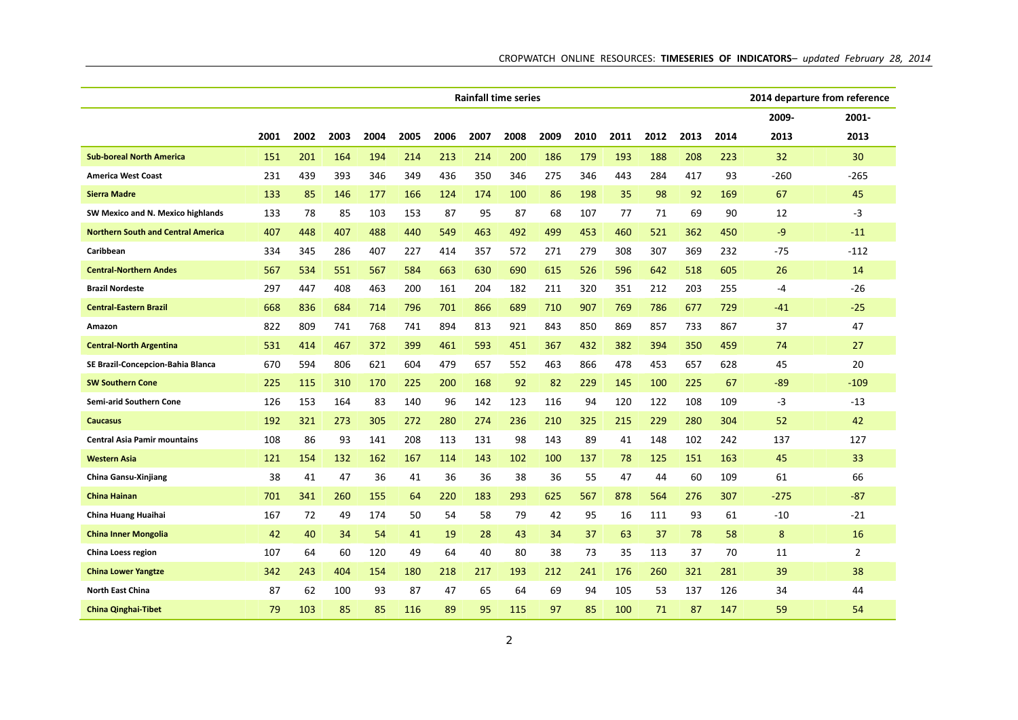|                                           | <b>Rainfall time series</b> |      |      |      |      |      |      |      |      |      |      |      |      |      | 2014 departure from reference |                |
|-------------------------------------------|-----------------------------|------|------|------|------|------|------|------|------|------|------|------|------|------|-------------------------------|----------------|
|                                           |                             |      |      |      |      |      |      |      |      |      |      |      |      |      | 2009-                         | 2001-          |
|                                           | 2001                        | 2002 | 2003 | 2004 | 2005 | 2006 | 2007 | 2008 | 2009 | 2010 | 2011 | 2012 | 2013 | 2014 | 2013                          | 2013           |
| <b>Sub-boreal North America</b>           | 151                         | 201  | 164  | 194  | 214  | 213  | 214  | 200  | 186  | 179  | 193  | 188  | 208  | 223  | 32                            | 30             |
| <b>America West Coast</b>                 | 231                         | 439  | 393  | 346  | 349  | 436  | 350  | 346  | 275  | 346  | 443  | 284  | 417  | 93   | -260                          | -265           |
| <b>Sierra Madre</b>                       | 133                         | 85   | 146  | 177  | 166  | 124  | 174  | 100  | 86   | 198  | 35   | 98   | 92   | 169  | 67                            | 45             |
| SW Mexico and N. Mexico highlands         | 133                         | 78   | 85   | 103  | 153  | 87   | 95   | 87   | 68   | 107  | 77   | 71   | 69   | 90   | 12                            | $-3$           |
| <b>Northern South and Central America</b> | 407                         | 448  | 407  | 488  | 440  | 549  | 463  | 492  | 499  | 453  | 460  | 521  | 362  | 450  | -9                            | $-11$          |
| Caribbean                                 | 334                         | 345  | 286  | 407  | 227  | 414  | 357  | 572  | 271  | 279  | 308  | 307  | 369  | 232  | $-75$                         | $-112$         |
| <b>Central-Northern Andes</b>             | 567                         | 534  | 551  | 567  | 584  | 663  | 630  | 690  | 615  | 526  | 596  | 642  | 518  | 605  | 26                            | 14             |
| <b>Brazil Nordeste</b>                    | 297                         | 447  | 408  | 463  | 200  | 161  | 204  | 182  | 211  | 320  | 351  | 212  | 203  | 255  | -4                            | -26            |
| <b>Central-Eastern Brazil</b>             | 668                         | 836  | 684  | 714  | 796  | 701  | 866  | 689  | 710  | 907  | 769  | 786  | 677  | 729  | $-41$                         | $-25$          |
| Amazon                                    | 822                         | 809  | 741  | 768  | 741  | 894  | 813  | 921  | 843  | 850  | 869  | 857  | 733  | 867  | 37                            | 47             |
| <b>Central-North Argentina</b>            | 531                         | 414  | 467  | 372  | 399  | 461  | 593  | 451  | 367  | 432  | 382  | 394  | 350  | 459  | 74                            | 27             |
| SE Brazil-Concepcion-Bahia Blanca         | 670                         | 594  | 806  | 621  | 604  | 479  | 657  | 552  | 463  | 866  | 478  | 453  | 657  | 628  | 45                            | 20             |
| <b>SW Southern Cone</b>                   | 225                         | 115  | 310  | 170  | 225  | 200  | 168  | 92   | 82   | 229  | 145  | 100  | 225  | 67   | $-89$                         | $-109$         |
| Semi-arid Southern Cone                   | 126                         | 153  | 164  | 83   | 140  | 96   | 142  | 123  | 116  | 94   | 120  | 122  | 108  | 109  | -3                            | -13            |
| Caucasus                                  | 192                         | 321  | 273  | 305  | 272  | 280  | 274  | 236  | 210  | 325  | 215  | 229  | 280  | 304  | 52                            | 42             |
| <b>Central Asia Pamir mountains</b>       | 108                         | 86   | 93   | 141  | 208  | 113  | 131  | 98   | 143  | 89   | 41   | 148  | 102  | 242  | 137                           | 127            |
| <b>Western Asia</b>                       | 121                         | 154  | 132  | 162  | 167  | 114  | 143  | 102  | 100  | 137  | 78   | 125  | 151  | 163  | 45                            | 33             |
| <b>China Gansu-Xinjiang</b>               | 38                          | 41   | 47   | 36   | 41   | 36   | 36   | 38   | 36   | 55   | 47   | 44   | 60   | 109  | 61                            | 66             |
| <b>China Hainan</b>                       | 701                         | 341  | 260  | 155  | 64   | 220  | 183  | 293  | 625  | 567  | 878  | 564  | 276  | 307  | $-275$                        | $-87$          |
| China Huang Huaihai                       | 167                         | 72   | 49   | 174  | 50   | 54   | 58   | 79   | 42   | 95   | 16   | 111  | 93   | 61   | $-10$                         | -21            |
| <b>China Inner Mongolia</b>               | 42                          | 40   | 34   | 54   | 41   | 19   | 28   | 43   | 34   | 37   | 63   | 37   | 78   | 58   | 8                             | 16             |
| China Loess region                        | 107                         | 64   | 60   | 120  | 49   | 64   | 40   | 80   | 38   | 73   | 35   | 113  | 37   | 70   | 11                            | $\overline{2}$ |
| <b>China Lower Yangtze</b>                | 342                         | 243  | 404  | 154  | 180  | 218  | 217  | 193  | 212  | 241  | 176  | 260  | 321  | 281  | 39                            | 38             |
| <b>North East China</b>                   | 87                          | 62   | 100  | 93   | 87   | 47   | 65   | 64   | 69   | 94   | 105  | 53   | 137  | 126  | 34                            | 44             |
| <b>China Qinghai-Tibet</b>                | 79                          | 103  | 85   | 85   | 116  | 89   | 95   | 115  | 97   | 85   | 100  | 71   | 87   | 147  | 59                            | 54             |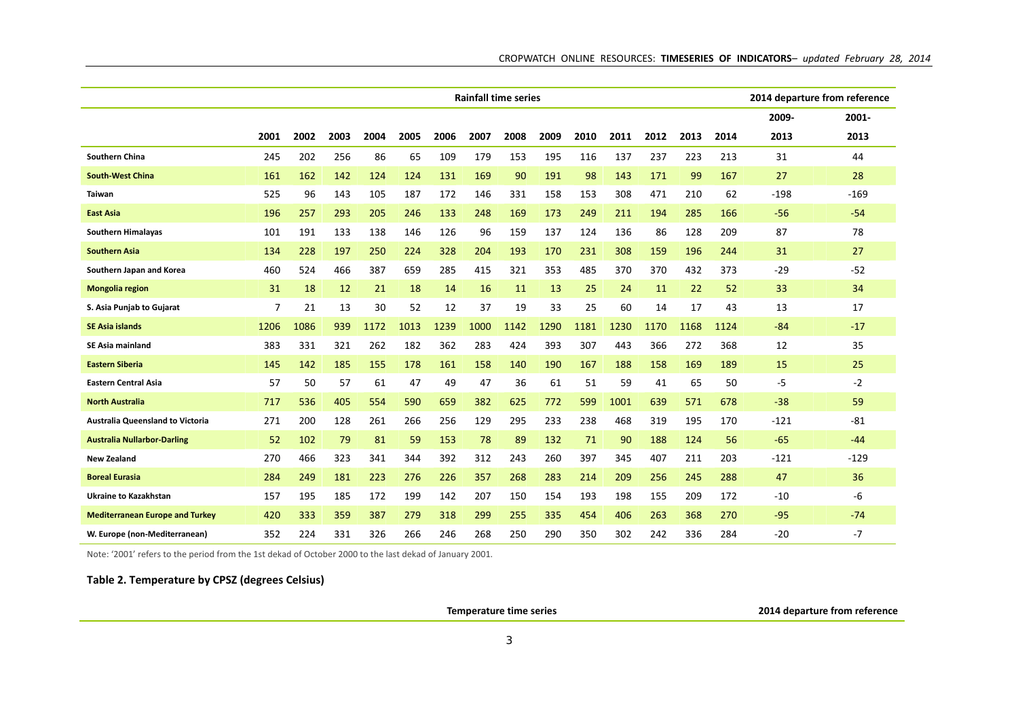|                                        | <b>Rainfall time series</b> |      |      |      |      |      |      |      |      |      |      |      |      |      |        | 2014 departure from reference |
|----------------------------------------|-----------------------------|------|------|------|------|------|------|------|------|------|------|------|------|------|--------|-------------------------------|
|                                        |                             |      |      |      |      |      |      |      |      |      |      |      |      |      | 2009-  | $2001 -$                      |
|                                        | 2001                        | 2002 | 2003 | 2004 | 2005 | 2006 | 2007 | 2008 | 2009 | 2010 | 2011 | 2012 | 2013 | 2014 | 2013   | 2013                          |
| <b>Southern China</b>                  | 245                         | 202  | 256  | 86   | 65   | 109  | 179  | 153  | 195  | 116  | 137  | 237  | 223  | 213  | 31     | 44                            |
| <b>South-West China</b>                | 161                         | 162  | 142  | 124  | 124  | 131  | 169  | 90   | 191  | 98   | 143  | 171  | 99   | 167  | 27     | 28                            |
| Taiwan                                 | 525                         | 96   | 143  | 105  | 187  | 172  | 146  | 331  | 158  | 153  | 308  | 471  | 210  | 62   | $-198$ | $-169$                        |
| East Asia                              | 196                         | 257  | 293  | 205  | 246  | 133  | 248  | 169  | 173  | 249  | 211  | 194  | 285  | 166  | $-56$  | $-54$                         |
| <b>Southern Himalayas</b>              | 101                         | 191  | 133  | 138  | 146  | 126  | 96   | 159  | 137  | 124  | 136  | 86   | 128  | 209  | 87     | 78                            |
| <b>Southern Asia</b>                   | 134                         | 228  | 197  | 250  | 224  | 328  | 204  | 193  | 170  | 231  | 308  | 159  | 196  | 244  | 31     | 27                            |
| Southern Japan and Korea               | 460                         | 524  | 466  | 387  | 659  | 285  | 415  | 321  | 353  | 485  | 370  | 370  | 432  | 373  | $-29$  | $-52$                         |
| <b>Mongolia region</b>                 | 31                          | 18   | 12   | 21   | 18   | 14   | 16   | 11   | 13   | 25   | 24   | 11   | 22   | 52   | 33     | 34                            |
| S. Asia Punjab to Gujarat              | 7                           | 21   | 13   | 30   | 52   | 12   | 37   | 19   | 33   | 25   | 60   | 14   | 17   | 43   | 13     | 17                            |
| <b>SE Asia islands</b>                 | 1206                        | 1086 | 939  | 1172 | 1013 | 1239 | 1000 | 1142 | 1290 | 1181 | 1230 | 1170 | 1168 | 1124 | $-84$  | $-17$                         |
| <b>SE Asia mainland</b>                | 383                         | 331  | 321  | 262  | 182  | 362  | 283  | 424  | 393  | 307  | 443  | 366  | 272  | 368  | 12     | 35                            |
| <b>Eastern Siberia</b>                 | 145                         | 142  | 185  | 155  | 178  | 161  | 158  | 140  | 190  | 167  | 188  | 158  | 169  | 189  | 15     | 25                            |
| <b>Eastern Central Asia</b>            | 57                          | 50   | 57   | 61   | 47   | 49   | 47   | 36   | 61   | 51   | 59   | 41   | 65   | 50   | -5     | $-2$                          |
| <b>North Australia</b>                 | 717                         | 536  | 405  | 554  | 590  | 659  | 382  | 625  | 772  | 599  | 1001 | 639  | 571  | 678  | $-38$  | 59                            |
| Australia Queensland to Victoria       | 271                         | 200  | 128  | 261  | 266  | 256  | 129  | 295  | 233  | 238  | 468  | 319  | 195  | 170  | $-121$ | $-81$                         |
| <b>Australia Nullarbor-Darling</b>     | 52                          | 102  | 79   | 81   | 59   | 153  | 78   | 89   | 132  | 71   | 90   | 188  | 124  | 56   | $-65$  | $-44$                         |
| <b>New Zealand</b>                     | 270                         | 466  | 323  | 341  | 344  | 392  | 312  | 243  | 260  | 397  | 345  | 407  | 211  | 203  | $-121$ | $-129$                        |
| <b>Boreal Eurasia</b>                  | 284                         | 249  | 181  | 223  | 276  | 226  | 357  | 268  | 283  | 214  | 209  | 256  | 245  | 288  | 47     | 36                            |
| <b>Ukraine to Kazakhstan</b>           | 157                         | 195  | 185  | 172  | 199  | 142  | 207  | 150  | 154  | 193  | 198  | 155  | 209  | 172  | $-10$  | -6                            |
| <b>Mediterranean Europe and Turkey</b> | 420                         | 333  | 359  | 387  | 279  | 318  | 299  | 255  | 335  | 454  | 406  | 263  | 368  | 270  | $-95$  | $-74$                         |
| W. Europe (non-Mediterranean)          | 352                         | 224  | 331  | 326  | 266  | 246  | 268  | 250  | 290  | 350  | 302  | 242  | 336  | 284  | $-20$  | $-7$                          |

Note: '2001' refers to the period from the 1st dekad of October 2000 to the last dekad of January 2001.

## **Table 2. Temperature by CPSZ (degrees Celsius)**

**Temperature time series 2014 departure from reference**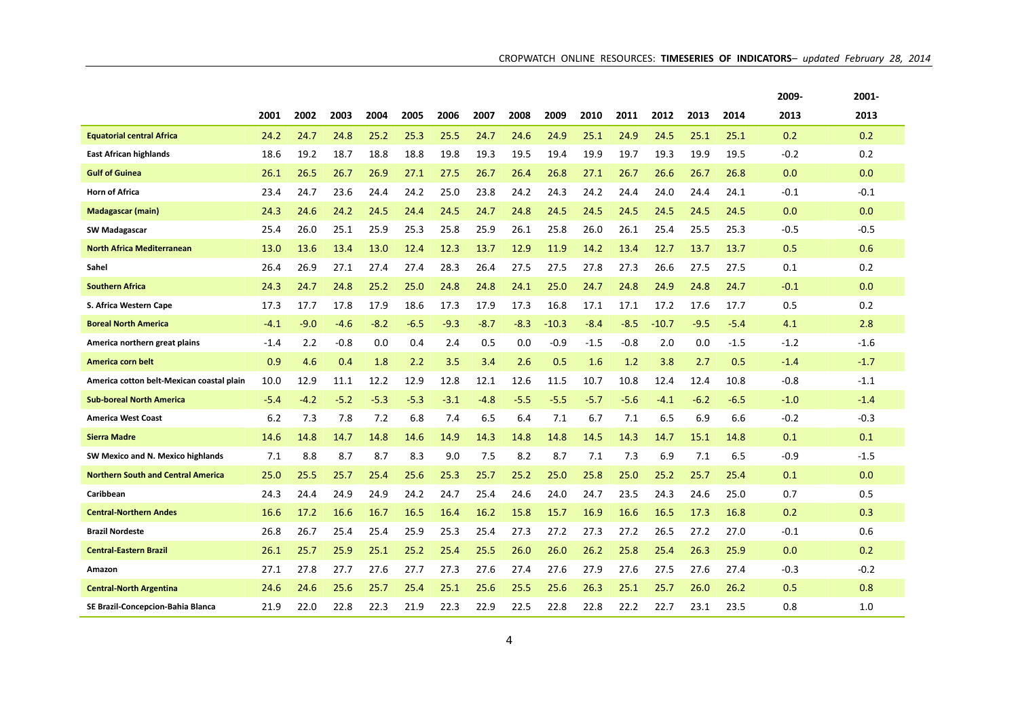|                                           |        |        |        |        |        |        |      |        |       |        |      |         |        |        | 2009-  | 2001-  |
|-------------------------------------------|--------|--------|--------|--------|--------|--------|------|--------|-------|--------|------|---------|--------|--------|--------|--------|
|                                           | 2001   | 2002   | 2003   | 2004   | 2005   | 2006   | 2007 | 2008   | 2009  | 2010   | 2011 | 2012    | 2013   | 2014   | 2013   | 2013   |
| <b>Equatorial central Africa</b>          | 24.2   | 24.7   | 24.8   | 25.2   | 25.3   | 25.5   | 24.7 | 24.6   | 24.9  | 25.1   | 24.9 | 24.5    | 25.1   | 25.1   | 0.2    | 0.2    |
| <b>East African highlands</b>             | 18.6   | 19.2   | 18.7   | 18.8   | 18.8   | 19.8   | 19.3 | 19.5   | 19.4  | 19.9   | 19.7 | 19.3    | 19.9   | 19.5   | $-0.2$ | 0.2    |
| <b>Gulf of Guinea</b>                     | 26.1   | 26.5   | 26.7   | 26.9   | 27.1   | 27.5   | 26.7 | 26.4   | 26.8  | 27.1   | 26.7 | 26.6    | 26.7   | 26.8   | 0.0    | 0.0    |
| <b>Horn of Africa</b>                     | 23.4   | 24.7   | 23.6   | 24.4   | 24.2   | 25.0   | 23.8 | 24.2   | 24.3  | 24.2   | 24.4 | 24.0    | 24.4   | 24.1   | $-0.1$ | $-0.1$ |
| <b>Madagascar (main)</b>                  | 24.3   | 24.6   | 24.2   | 24.5   | 24.4   | 24.5   | 24.7 | 24.8   | 24.5  | 24.5   | 24.5 | 24.5    | 24.5   | 24.5   | 0.0    | 0.0    |
| <b>SW Madagascar</b>                      | 25.4   | 26.0   | 25.1   | 25.9   | 25.3   | 25.8   | 25.9 | 26.1   | 25.8  | 26.0   | 26.1 | 25.4    | 25.5   | 25.3   | -0.5   | $-0.5$ |
| <b>North Africa Mediterranean</b>         | 13.0   | 13.6   | 13.4   | 13.0   | 12.4   | 12.3   | 13.7 | 12.9   | 11.9  | 14.2   | 13.4 | 12.7    | 13.7   | 13.7   | 0.5    | 0.6    |
| Sahel                                     | 26.4   | 26.9   | 27.1   | 27.4   | 27.4   | 28.3   | 26.4 | 27.5   | 27.5  | 27.8   | 27.3 | 26.6    | 27.5   | 27.5   | 0.1    | 0.2    |
| <b>Southern Africa</b>                    | 24.3   | 24.7   | 24.8   | 25.2   | 25.0   | 24.8   | 24.8 | 24.1   | 25.0  | 24.7   | 24.8 | 24.9    | 24.8   | 24.7   | $-0.1$ | 0.0    |
| S. Africa Western Cape                    | 17.3   | 17.7   | 17.8   | 17.9   | 18.6   | 17.3   | 17.9 | 17.3   | 16.8  | 17.1   | 17.1 | 17.2    | 17.6   | 17.7   | 0.5    | 0.2    |
| <b>Boreal North America</b>               | $-4.1$ | $-9.0$ | $-4.6$ | $-8.2$ | $-6.5$ | $-9.3$ | -8.7 | $-8.3$ | -10.3 | $-8.4$ | -8.5 | $-10.7$ | $-9.5$ | $-5.4$ | 4.1    | 2.8    |
| America northern great plains             | $-1.4$ | 2.2    | $-0.8$ | 0.0    | 0.4    | 2.4    | 0.5  | 0.0    | -0.9  | $-1.5$ | -0.8 | 2.0     | 0.0    | $-1.5$ | $-1.2$ | $-1.6$ |
| America corn belt                         | 0.9    | 4.6    | 0.4    | 1.8    | 2.2    | 3.5    | 3.4  | 2.6    | 0.5   | 1.6    | 1.2  | 3.8     | 2.7    | 0.5    | $-1.4$ | $-1.7$ |
| America cotton belt-Mexican coastal plain | 10.0   | 12.9   | 11.1   | 12.2   | 12.9   | 12.8   | 12.1 | 12.6   | 11.5  | 10.7   | 10.8 | 12.4    | 12.4   | 10.8   | $-0.8$ | $-1.1$ |
| <b>Sub-boreal North America</b>           | $-5.4$ | $-4.2$ | $-5.2$ | $-5.3$ | $-5.3$ | $-3.1$ | -4.8 | $-5.5$ | -5.5  | $-5.7$ | -5.6 | $-4.1$  | $-6.2$ | $-6.5$ | $-1.0$ | $-1.4$ |
| <b>America West Coast</b>                 | 6.2    | 7.3    | 7.8    | 7.2    | 6.8    | 7.4    | 6.5  | 6.4    | 7.1   | 6.7    | 7.1  | 6.5     | 6.9    | 6.6    | $-0.2$ | $-0.3$ |
| <b>Sierra Madre</b>                       | 14.6   | 14.8   | 14.7   | 14.8   | 14.6   | 14.9   | 14.3 | 14.8   | 14.8  | 14.5   | 14.3 | 14.7    | 15.1   | 14.8   | 0.1    | 0.1    |
| SW Mexico and N. Mexico highlands         | 7.1    | 8.8    | 8.7    | 8.7    | 8.3    | 9.0    | 7.5  | 8.2    | 8.7   | 7.1    | 7.3  | 6.9     | 7.1    | 6.5    | $-0.9$ | $-1.5$ |
| <b>Northern South and Central America</b> | 25.0   | 25.5   | 25.7   | 25.4   | 25.6   | 25.3   | 25.7 | 25.2   | 25.0  | 25.8   | 25.0 | 25.2    | 25.7   | 25.4   | 0.1    | 0.0    |
| Caribbean                                 | 24.3   | 24.4   | 24.9   | 24.9   | 24.2   | 24.7   | 25.4 | 24.6   | 24.0  | 24.7   | 23.5 | 24.3    | 24.6   | 25.0   | 0.7    | 0.5    |
| <b>Central-Northern Andes</b>             | 16.6   | 17.2   | 16.6   | 16.7   | 16.5   | 16.4   | 16.2 | 15.8   | 15.7  | 16.9   | 16.6 | 16.5    | 17.3   | 16.8   | 0.2    | 0.3    |
| <b>Brazil Nordeste</b>                    | 26.8   | 26.7   | 25.4   | 25.4   | 25.9   | 25.3   | 25.4 | 27.3   | 27.2  | 27.3   | 27.2 | 26.5    | 27.2   | 27.0   | $-0.1$ | 0.6    |
| <b>Central-Eastern Brazil</b>             | 26.1   | 25.7   | 25.9   | 25.1   | 25.2   | 25.4   | 25.5 | 26.0   | 26.0  | 26.2   | 25.8 | 25.4    | 26.3   | 25.9   | 0.0    | 0.2    |
| Amazon                                    | 27.1   | 27.8   | 27.7   | 27.6   | 27.7   | 27.3   | 27.6 | 27.4   | 27.6  | 27.9   | 27.6 | 27.5    | 27.6   | 27.4   | $-0.3$ | $-0.2$ |
| <b>Central-North Argentina</b>            | 24.6   | 24.6   | 25.6   | 25.7   | 25.4   | 25.1   | 25.6 | 25.5   | 25.6  | 26.3   | 25.1 | 25.7    | 26.0   | 26.2   | 0.5    | 0.8    |
| SE Brazil-Concepcion-Bahia Blanca         | 21.9   | 22.0   | 22.8   | 22.3   | 21.9   | 22.3   | 22.9 | 22.5   | 22.8  | 22.8   | 22.2 | 22.7    | 23.1   | 23.5   | 0.8    | 1.0    |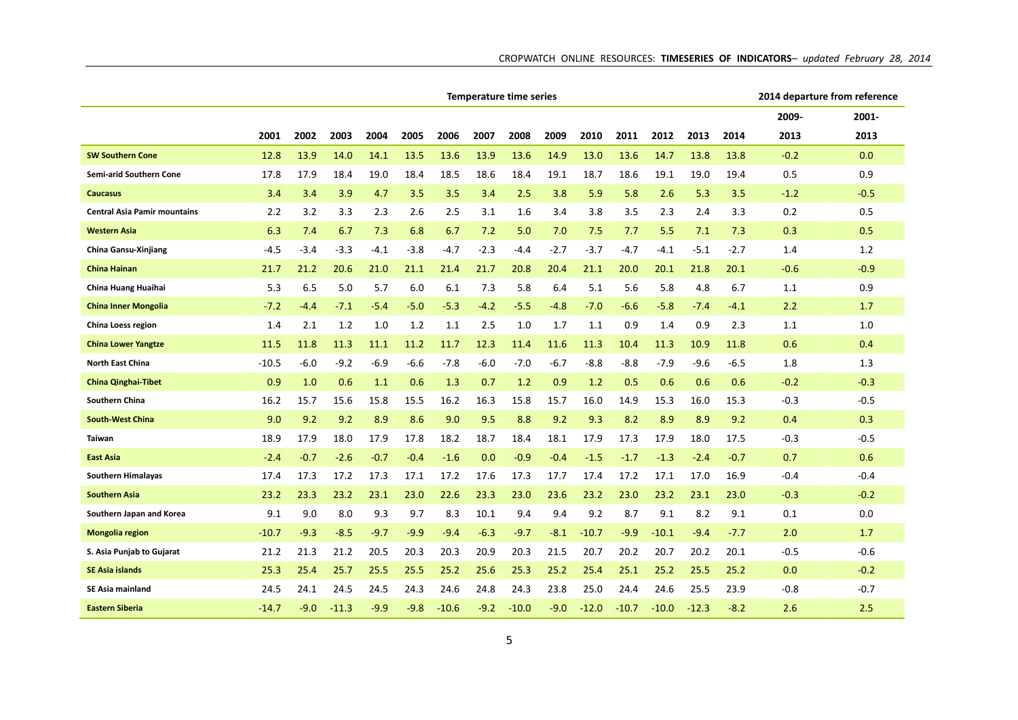|                                     | <b>Temperature time series</b> |        |         |        |        |         |        |         |        |         |         |         |         |        | 2014 departure from reference |          |
|-------------------------------------|--------------------------------|--------|---------|--------|--------|---------|--------|---------|--------|---------|---------|---------|---------|--------|-------------------------------|----------|
|                                     |                                |        |         |        |        |         |        |         |        |         |         |         |         |        | 2009-                         | $2001 -$ |
|                                     | 2001                           | 2002   | 2003    | 2004   | 2005   | 2006    | 2007   | 2008    | 2009   | 2010    | 2011    | 2012    | 2013    | 2014   | 2013                          | 2013     |
| <b>SW Southern Cone</b>             | 12.8                           | 13.9   | 14.0    | 14.1   | 13.5   | 13.6    | 13.9   | 13.6    | 14.9   | 13.0    | 13.6    | 14.7    | 13.8    | 13.8   | $-0.2$                        | 0.0      |
| Semi-arid Southern Cone             | 17.8                           | 17.9   | 18.4    | 19.0   | 18.4   | 18.5    | 18.6   | 18.4    | 19.1   | 18.7    | 18.6    | 19.1    | 19.0    | 19.4   | 0.5                           | 0.9      |
| <b>Caucasus</b>                     | 3.4                            | 3.4    | 3.9     | 4.7    | 3.5    | 3.5     | 3.4    | 2.5     | 3.8    | 5.9     | 5.8     | 2.6     | 5.3     | 3.5    | $-1.2$                        | $-0.5$   |
| <b>Central Asia Pamir mountains</b> | 2.2                            | 3.2    | 3.3     | 2.3    | 2.6    | 2.5     | 3.1    | 1.6     | 3.4    | 3.8     | 3.5     | 2.3     | 2.4     | 3.3    | 0.2                           | 0.5      |
| <b>Western Asia</b>                 | 6.3                            | 7.4    | 6.7     | 7.3    | 6.8    | 6.7     | 7.2    | 5.0     | 7.0    | 7.5     | 7.7     | 5.5     | 7.1     | 7.3    | 0.3                           | 0.5      |
| China Gansu-Xinjiang                | -4.5                           | $-3.4$ | $-3.3$  | $-4.1$ | $-3.8$ | -4.7    | $-2.3$ | -4.4    | $-2.7$ | $-3.7$  | $-4.7$  | -4.1    | -5.1    | -2.7   | 1.4                           | 1.2      |
| <b>China Hainan</b>                 | 21.7                           | 21.2   | 20.6    | 21.0   | 21.1   | 21.4    | 21.7   | 20.8    | 20.4   | 21.1    | 20.0    | 20.1    | 21.8    | 20.1   | $-0.6$                        | $-0.9$   |
| China Huang Huaihai                 | 5.3                            | 6.5    | 5.0     | 5.7    | 6.0    | 6.1     | 7.3    | 5.8     | 6.4    | 5.1     | 5.6     | 5.8     | 4.8     | 6.7    | 1.1                           | 0.9      |
| <b>China Inner Mongolia</b>         | $-7.2$                         | $-4.4$ | $-7.1$  | $-5.4$ | $-5.0$ | $-5.3$  | $-4.2$ | $-5.5$  | $-4.8$ | $-7.0$  | $-6.6$  | $-5.8$  | $-7.4$  | $-4.1$ | 2.2                           | 1.7      |
| China Loess region                  | 1.4                            | 2.1    | 1.2     | 1.0    | 1.2    | 1.1     | 2.5    | 1.0     | 1.7    | 1.1     | 0.9     | 1.4     | 0.9     | 2.3    | 1.1                           | 1.0      |
| <b>China Lower Yangtze</b>          | 11.5                           | 11.8   | 11.3    | 11.1   | 11.2   | 11.7    | 12.3   | 11.4    | 11.6   | 11.3    | 10.4    | 11.3    | 10.9    | 11.8   | 0.6                           | 0.4      |
| North East China                    | -10.5                          | $-6.0$ | $-9.2$  | $-6.9$ | $-6.6$ | -7.8    | $-6.0$ | -7.0    | -6.7   | $-8.8$  | $-8.8$  | $-7.9$  | $-9.6$  | -6.5   | 1.8                           | 1.3      |
| <b>China Qinghai-Tibet</b>          | 0.9                            | 1.0    | 0.6     | 1.1    | 0.6    | 1.3     | 0.7    | 1.2     | 0.9    | 1.2     | 0.5     | 0.6     | 0.6     | 0.6    | $-0.2$                        | $-0.3$   |
| Southern China                      | 16.2                           | 15.7   | 15.6    | 15.8   | 15.5   | 16.2    | 16.3   | 15.8    | 15.7   | 16.0    | 14.9    | 15.3    | 16.0    | 15.3   | $-0.3$                        | $-0.5$   |
| <b>South-West China</b>             | 9.0                            | 9.2    | 9.2     | 8.9    | 8.6    | 9.0     | 9.5    | 8.8     | 9.2    | 9.3     | 8.2     | 8.9     | 8.9     | 9.2    | 0.4                           | 0.3      |
| Taiwan                              | 18.9                           | 17.9   | 18.0    | 17.9   | 17.8   | 18.2    | 18.7   | 18.4    | 18.1   | 17.9    | 17.3    | 17.9    | 18.0    | 17.5   | $-0.3$                        | $-0.5$   |
| <b>East Asia</b>                    | $-2.4$                         | $-0.7$ | $-2.6$  | $-0.7$ | $-0.4$ | $-1.6$  | 0.0    | $-0.9$  | $-0.4$ | $-1.5$  | $-1.7$  | $-1.3$  | $-2.4$  | $-0.7$ | 0.7                           | 0.6      |
| <b>Southern Himalayas</b>           | 17.4                           | 17.3   | 17.2    | 17.3   | 17.1   | 17.2    | 17.6   | 17.3    | 17.7   | 17.4    | 17.2    | 17.1    | 17.0    | 16.9   | $-0.4$                        | $-0.4$   |
| <b>Southern Asia</b>                | 23.2                           | 23.3   | 23.2    | 23.1   | 23.0   | 22.6    | 23.3   | 23.0    | 23.6   | 23.2    | 23.0    | 23.2    | 23.1    | 23.0   | $-0.3$                        | $-0.2$   |
| Southern Japan and Korea            | 9.1                            | 9.0    | 8.0     | 9.3    | 9.7    | 8.3     | 10.1   | 9.4     | 9.4    | 9.2     | 8.7     | 9.1     | 8.2     | 9.1    | 0.1                           | 0.0      |
| Mongolia region                     | -10.7                          | $-9.3$ | $-8.5$  | $-9.7$ | $-9.9$ | $-9.4$  | $-6.3$ | $-9.7$  | -8.1   | $-10.7$ | $-9.9$  | $-10.1$ | $-9.4$  | $-7.7$ | 2.0                           | 1.7      |
| S. Asia Punjab to Gujarat           | 21.2                           | 21.3   | 21.2    | 20.5   | 20.3   | 20.3    | 20.9   | 20.3    | 21.5   | 20.7    | 20.2    | 20.7    | 20.2    | 20.1   | $-0.5$                        | $-0.6$   |
| <b>SE Asia islands</b>              | 25.3                           | 25.4   | 25.7    | 25.5   | 25.5   | 25.2    | 25.6   | 25.3    | 25.2   | 25.4    | 25.1    | 25.2    | 25.5    | 25.2   | 0.0                           | $-0.2$   |
| SE Asia mainland                    | 24.5                           | 24.1   | 24.5    | 24.5   | 24.3   | 24.6    | 24.8   | 24.3    | 23.8   | 25.0    | 24.4    | 24.6    | 25.5    | 23.9   | $-0.8$                        | $-0.7$   |
| <b>Eastern Siberia</b>              | $-14.7$                        | $-9.0$ | $-11.3$ | $-9.9$ | $-9.8$ | $-10.6$ | $-9.2$ | $-10.0$ | $-9.0$ | $-12.0$ | $-10.7$ | $-10.0$ | $-12.3$ | $-8.2$ | 2.6                           | 2.5      |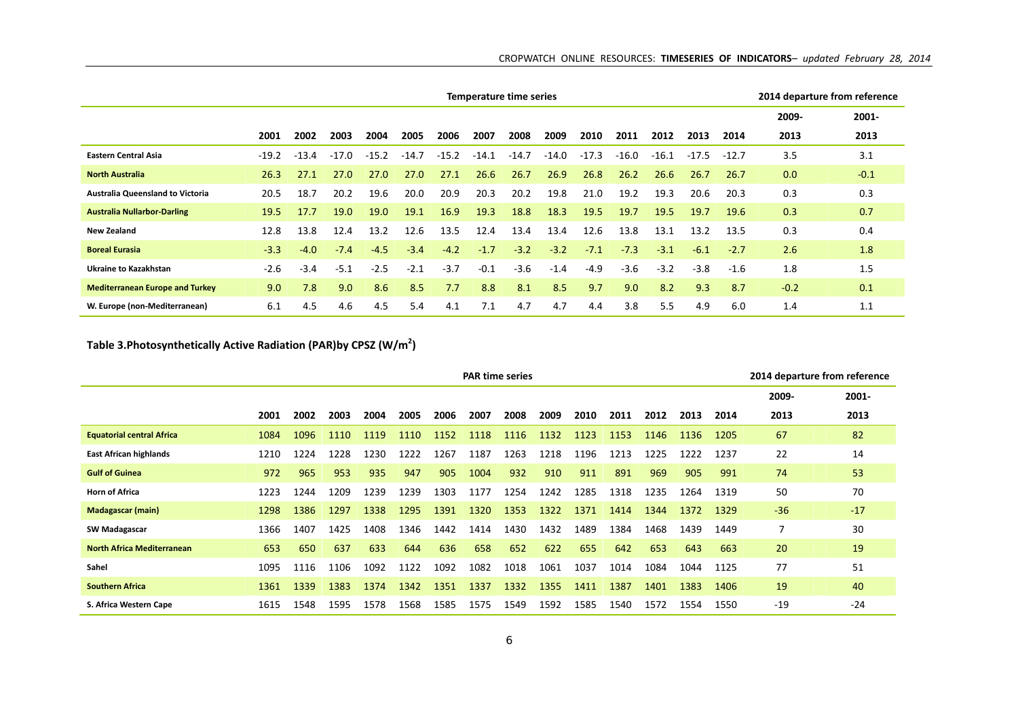|                                         |         |         |         |         |         |         | Temperature time series |         |         |         |         |         |         |         | 2014 departure from reference |        |
|-----------------------------------------|---------|---------|---------|---------|---------|---------|-------------------------|---------|---------|---------|---------|---------|---------|---------|-------------------------------|--------|
|                                         |         |         |         |         |         |         |                         |         |         |         |         |         |         |         | 2009-                         | 2001-  |
|                                         | 2001    | 2002    | 2003    | 2004    | 2005    | 2006    | 2007                    | 2008    | 2009    | 2010    | 2011    | 2012    | 2013    | 2014    | 2013                          | 2013   |
| <b>Eastern Central Asia</b>             | $-19.2$ | $-13.4$ | $-17.0$ | $-15.2$ | $-14.7$ | $-15.2$ | $-14.1$                 | $-14.7$ | $-14.0$ | $-17.3$ | $-16.0$ | $-16.1$ | $-17.5$ | $-12.7$ | 3.5                           | 3.1    |
| <b>North Australia</b>                  | 26.3    | 27.1    | 27.0    | 27.0    | 27.0    | 27.1    | 26.6                    | 26.7    | 26.9    | 26.8    | 26.2    | 26.6    | 26.7    | 26.7    | 0.0                           | $-0.1$ |
| <b>Australia Queensland to Victoria</b> | 20.5    | 18.7    | 20.2    | 19.6    | 20.0    | 20.9    | 20.3                    | 20.2    | 19.8    | 21.0    | 19.2    | 19.3    | 20.6    | 20.3    | 0.3                           | 0.3    |
| <b>Australia Nullarbor-Darling</b>      | 19.5    | 17.7    | 19.0    | 19.0    | 19.1    | 16.9    | 19.3                    | 18.8    | 18.3    | 19.5    | 19.7    | 19.5    | 19.7    | 19.6    | 0.3                           | 0.7    |
| <b>New Zealand</b>                      | 12.8    | 13.8    | 12.4    | 13.2    | 12.6    | 13.5    | 12.4                    | 13.4    | 13.4    | 12.6    | 13.8    | 13.1    | 13.2    | 13.5    | 0.3                           | 0.4    |
| <b>Boreal Eurasia</b>                   | $-3.3$  | $-4.0$  | $-7.4$  | $-4.5$  | $-3.4$  | $-4.2$  | $-1.7$                  | $-3.2$  | $-3.2$  | $-7.1$  | $-7.3$  | $-3.1$  | $-6.1$  | $-2.7$  | 2.6                           | 1.8    |
| Ukraine to Kazakhstan                   | $-2.6$  | $-3.4$  | $-5.1$  | $-2.5$  | $-2.1$  | $-3.7$  | $-0.1$                  | $-3.6$  | $-1.4$  | $-4.9$  | $-3.6$  | $-3.2$  | $-3.8$  | $-1.6$  | 1.8                           | 1.5    |
| <b>Mediterranean Europe and Turkey</b>  | 9.0     | 7.8     | 9.0     | 8.6     | 8.5     | 7.7     | 8.8                     | 8.1     | 8.5     | 9.7     | 9.0     | 8.2     | 9.3     | 8.7     | $-0.2$                        | 0.1    |
| W. Europe (non-Mediterranean)           | 6.1     | 4.5     | 4.6     | 4.5     | 5.4     | 4.1     | 7.1                     | 4.7     | 4.7     | 4.4     | 3.8     | 5.5     | 4.9     | 6.0     | 1.4                           | 1.1    |

## **Table 3.Photosynthetically Active Radiation (PAR)by CPSZ (W/m2)**

|                                   |      |      |      |      |      |      |      | <b>PAR time series</b> |      |      |      |      |      |      | 2014 departure from reference |       |
|-----------------------------------|------|------|------|------|------|------|------|------------------------|------|------|------|------|------|------|-------------------------------|-------|
|                                   |      |      |      |      |      |      |      |                        |      |      |      |      |      |      | 2009-                         | 2001- |
|                                   | 2001 | 2002 | 2003 | 2004 | 2005 | 2006 | 2007 | 2008                   | 2009 | 2010 | 2011 | 2012 | 2013 | 2014 | 2013                          | 2013  |
| <b>Equatorial central Africa</b>  | 1084 | 1096 | 1110 | 1119 | 1110 | 1152 | 1118 | 1116                   | 1132 | 1123 | 1153 | 1146 | 1136 | 1205 | 67                            | 82    |
| <b>East African highlands</b>     | 1210 | 1224 | 1228 | 1230 | 1222 | 1267 | 1187 | 1263                   | 1218 | 1196 | 1213 | 1225 | 1222 | 1237 | 22                            | 14    |
| <b>Gulf of Guinea</b>             | 972  | 965  | 953  | 935  | 947  | 905  | 1004 | 932                    | 910  | 911  | 891  | 969  | 905  | 991  | 74                            | 53    |
| <b>Horn of Africa</b>             | 1223 | 1244 | 1209 | 1239 | 1239 | 1303 | 1177 | 1254                   | 1242 | 1285 | 1318 | 1235 | 1264 | 1319 | 50                            | 70    |
| <b>Madagascar (main)</b>          | 1298 | 1386 | 1297 | 1338 | 1295 | 1391 | 1320 | 1353                   | 1322 | 1371 | 1414 | 1344 | 1372 | 1329 | $-36$                         | $-17$ |
| <b>SW Madagascar</b>              | 1366 | 1407 | 1425 | 1408 | 1346 | 1442 | 1414 | 1430                   | 1432 | 1489 | 1384 | 1468 | 1439 | 1449 | 7                             | 30    |
| <b>North Africa Mediterranean</b> | 653  | 650  | 637  | 633  | 644  | 636  | 658  | 652                    | 622  | 655  | 642  | 653  | 643  | 663  | 20                            | 19    |
| Sahel                             | 1095 | 1116 | 1106 | 1092 | 1122 | 1092 | 1082 | 1018                   | 1061 | 1037 | 1014 | 1084 | 1044 | 1125 | 77                            | 51    |
| <b>Southern Africa</b>            | 1361 | 1339 | 1383 | 1374 | 1342 | 1351 | 1337 | 1332                   | 1355 | 1411 | 1387 | 1401 | 1383 | 1406 | 19                            | 40    |
| S. Africa Western Cape            | 1615 | 1548 | 1595 | 1578 | 1568 | 1585 | 1575 | 1549                   | 1592 | 1585 | 1540 | 1572 | 1554 | 1550 | $-19$                         | $-24$ |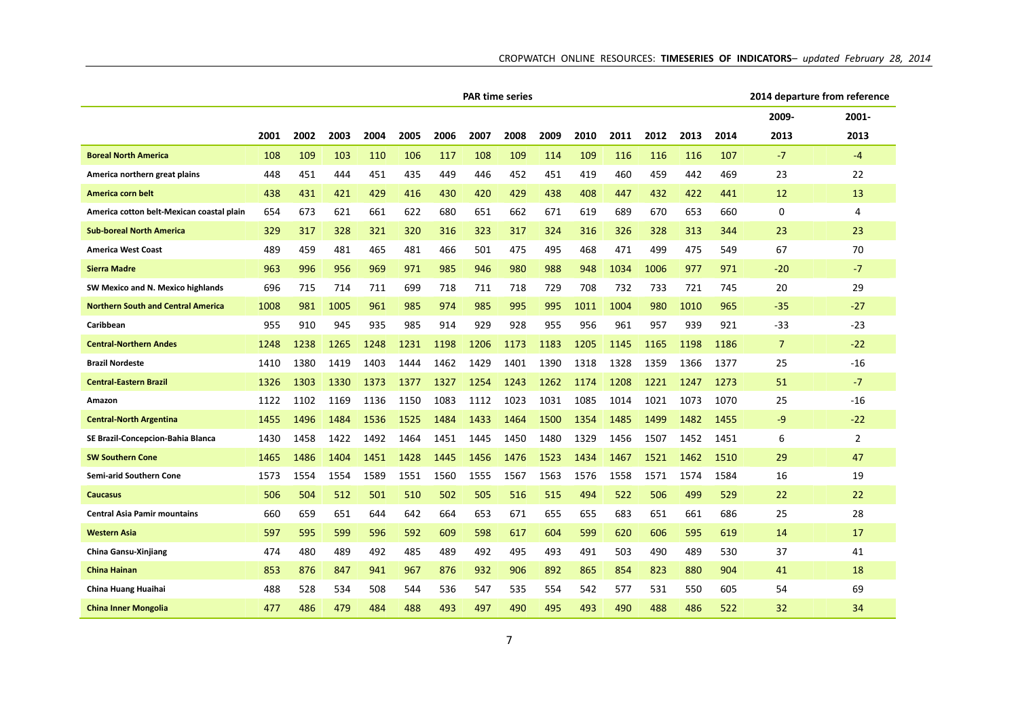|                                           | <b>PAR time series</b> |      |      |      |      |      |      |      |      |      |      |      |      |      | 2014 departure from reference |                |
|-------------------------------------------|------------------------|------|------|------|------|------|------|------|------|------|------|------|------|------|-------------------------------|----------------|
|                                           |                        |      |      |      |      |      |      |      |      |      |      |      |      |      | 2009-                         | 2001-          |
|                                           | 2001                   | 2002 | 2003 | 2004 | 2005 | 2006 | 2007 | 2008 | 2009 | 2010 | 2011 | 2012 | 2013 | 2014 | 2013                          | 2013           |
| <b>Boreal North America</b>               | 108                    | 109  | 103  | 110  | 106  | 117  | 108  | 109  | 114  | 109  | 116  | 116  | 116  | 107  | $-7$                          | $-4$           |
| America northern great plains             | 448                    | 451  | 444  | 451  | 435  | 449  | 446  | 452  | 451  | 419  | 460  | 459  | 442  | 469  | 23                            | 22             |
| America corn belt                         | 438                    | 431  | 421  | 429  | 416  | 430  | 420  | 429  | 438  | 408  | 447  | 432  | 422  | 441  | 12                            | 13             |
| America cotton belt-Mexican coastal plain | 654                    | 673  | 621  | 661  | 622  | 680  | 651  | 662  | 671  | 619  | 689  | 670  | 653  | 660  | 0                             | 4              |
| <b>Sub-boreal North America</b>           | 329                    | 317  | 328  | 321  | 320  | 316  | 323  | 317  | 324  | 316  | 326  | 328  | 313  | 344  | 23                            | 23             |
| <b>America West Coast</b>                 | 489                    | 459  | 481  | 465  | 481  | 466  | 501  | 475  | 495  | 468  | 471  | 499  | 475  | 549  | 67                            | 70             |
| <b>Sierra Madre</b>                       | 963                    | 996  | 956  | 969  | 971  | 985  | 946  | 980  | 988  | 948  | 1034 | 1006 | 977  | 971  | $-20$                         | $-7$           |
| SW Mexico and N. Mexico highlands         | 696                    | 715  | 714  | 711  | 699  | 718  | 711  | 718  | 729  | 708  | 732  | 733  | 721  | 745  | 20                            | 29             |
| <b>Northern South and Central America</b> | 1008                   | 981  | 1005 | 961  | 985  | 974  | 985  | 995  | 995  | 1011 | 1004 | 980  | 1010 | 965  | $-35$                         | $-27$          |
| Caribbean                                 | 955                    | 910  | 945  | 935  | 985  | 914  | 929  | 928  | 955  | 956  | 961  | 957  | 939  | 921  | $-33$                         | $-23$          |
| <b>Central-Northern Andes</b>             | 1248                   | 1238 | 1265 | 1248 | 1231 | 1198 | 1206 | 1173 | 1183 | 1205 | 1145 | 1165 | 1198 | 1186 | 7                             | $-22$          |
| <b>Brazil Nordeste</b>                    | 1410                   | 1380 | 1419 | 1403 | 1444 | 1462 | 1429 | 1401 | 1390 | 1318 | 1328 | 1359 | 1366 | 1377 | 25                            | -16            |
| <b>Central-Eastern Brazil</b>             | 1326                   | 1303 | 1330 | 1373 | 1377 | 1327 | 1254 | 1243 | 1262 | 1174 | 1208 | 1221 | 1247 | 1273 | 51                            | $-7$           |
| Amazon                                    | 1122                   | 1102 | 1169 | 1136 | 1150 | 1083 | 1112 | 1023 | 1031 | 1085 | 1014 | 1021 | 1073 | 1070 | 25                            | $-16$          |
| <b>Central-North Argentina</b>            | 1455                   | 1496 | 1484 | 1536 | 1525 | 1484 | 1433 | 1464 | 1500 | 1354 | 1485 | 1499 | 1482 | 1455 | $-9$                          | $-22$          |
| SE Brazil-Concepcion-Bahia Blanca         | 1430                   | 1458 | 1422 | 1492 | 1464 | 1451 | 1445 | 1450 | 1480 | 1329 | 1456 | 1507 | 1452 | 1451 | 6                             | $\overline{2}$ |
| <b>SW Southern Cone</b>                   | 1465                   | 1486 | 1404 | 1451 | 1428 | 1445 | 1456 | 1476 | 1523 | 1434 | 1467 | 1521 | 1462 | 1510 | 29                            | 47             |
| Semi-arid Southern Cone                   | 1573                   | 1554 | 1554 | 1589 | 1551 | 1560 | 1555 | 1567 | 1563 | 1576 | 1558 | 1571 | 1574 | 1584 | 16                            | 19             |
| <b>Caucasus</b>                           | 506                    | 504  | 512  | 501  | 510  | 502  | 505  | 516  | 515  | 494  | 522  | 506  | 499  | 529  | 22                            | 22             |
| <b>Central Asia Pamir mountains</b>       | 660                    | 659  | 651  | 644  | 642  | 664  | 653  | 671  | 655  | 655  | 683  | 651  | 661  | 686  | 25                            | 28             |
| <b>Western Asia</b>                       | 597                    | 595  | 599  | 596  | 592  | 609  | 598  | 617  | 604  | 599  | 620  | 606  | 595  | 619  | 14                            | 17             |
| <b>China Gansu-Xinjiang</b>               | 474                    | 480  | 489  | 492  | 485  | 489  | 492  | 495  | 493  | 491  | 503  | 490  | 489  | 530  | 37                            | 41             |
| <b>China Hainan</b>                       | 853                    | 876  | 847  | 941  | 967  | 876  | 932  | 906  | 892  | 865  | 854  | 823  | 880  | 904  | 41                            | 18             |
| China Huang Huaihai                       | 488                    | 528  | 534  | 508  | 544  | 536  | 547  | 535  | 554  | 542  | 577  | 531  | 550  | 605  | 54                            | 69             |
| <b>China Inner Mongolia</b>               | 477                    | 486  | 479  | 484  | 488  | 493  | 497  | 490  | 495  | 493  | 490  | 488  | 486  | 522  | 32                            | 34             |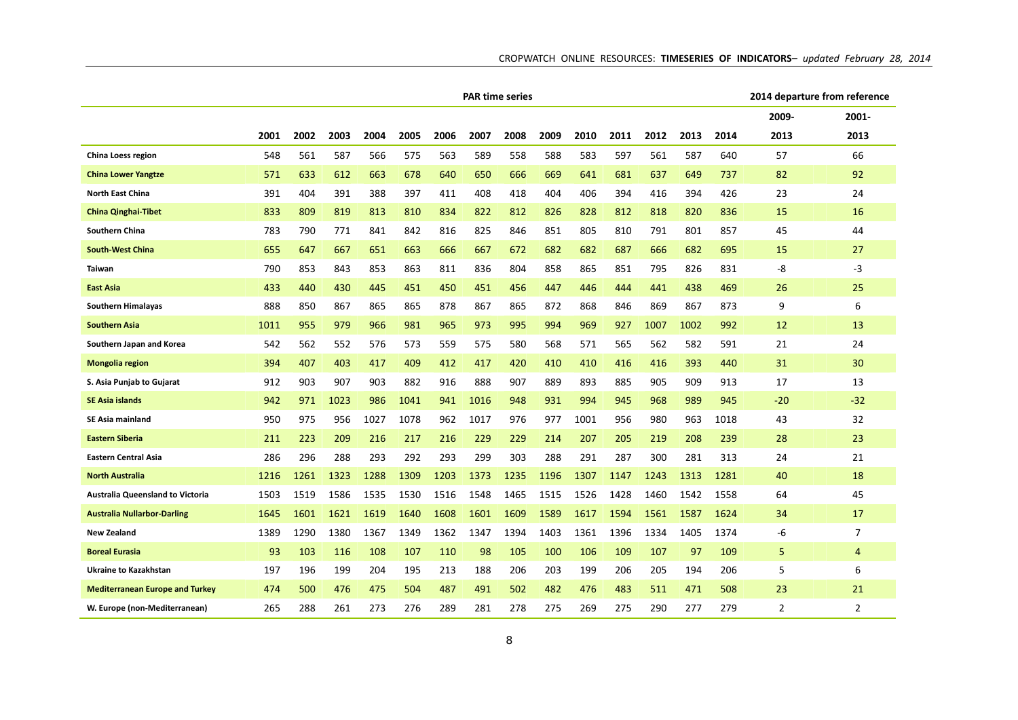|                                         |      |      |      |      |      |      | <b>PAR time series</b> |      |      |      |      |      |      |      | 2014 departure from reference |                |
|-----------------------------------------|------|------|------|------|------|------|------------------------|------|------|------|------|------|------|------|-------------------------------|----------------|
|                                         |      |      |      |      |      |      |                        |      |      |      |      |      |      |      | 2009-                         | 2001-          |
|                                         | 2001 | 2002 | 2003 | 2004 | 2005 | 2006 | 2007                   | 2008 | 2009 | 2010 | 2011 | 2012 | 2013 | 2014 | 2013                          | 2013           |
| China Loess region                      | 548  | 561  | 587  | 566  | 575  | 563  | 589                    | 558  | 588  | 583  | 597  | 561  | 587  | 640  | 57                            | 66             |
| <b>China Lower Yangtze</b>              | 571  | 633  | 612  | 663  | 678  | 640  | 650                    | 666  | 669  | 641  | 681  | 637  | 649  | 737  | 82                            | 92             |
| North East China                        | 391  | 404  | 391  | 388  | 397  | 411  | 408                    | 418  | 404  | 406  | 394  | 416  | 394  | 426  | 23                            | 24             |
| <b>China Qinghai-Tibet</b>              | 833  | 809  | 819  | 813  | 810  | 834  | 822                    | 812  | 826  | 828  | 812  | 818  | 820  | 836  | 15                            | 16             |
| Southern China                          | 783  | 790  | 771  | 841  | 842  | 816  | 825                    | 846  | 851  | 805  | 810  | 791  | 801  | 857  | 45                            | 44             |
| <b>South-West China</b>                 | 655  | 647  | 667  | 651  | 663  | 666  | 667                    | 672  | 682  | 682  | 687  | 666  | 682  | 695  | 15                            | 27             |
| Taiwan                                  | 790  | 853  | 843  | 853  | 863  | 811  | 836                    | 804  | 858  | 865  | 851  | 795  | 826  | 831  | -8                            | -3             |
| <b>East Asia</b>                        | 433  | 440  | 430  | 445  | 451  | 450  | 451                    | 456  | 447  | 446  | 444  | 441  | 438  | 469  | 26                            | 25             |
| Southern Himalayas                      | 888  | 850  | 867  | 865  | 865  | 878  | 867                    | 865  | 872  | 868  | 846  | 869  | 867  | 873  | 9                             | 6              |
| <b>Southern Asia</b>                    | 1011 | 955  | 979  | 966  | 981  | 965  | 973                    | 995  | 994  | 969  | 927  | 1007 | 1002 | 992  | 12                            | 13             |
| Southern Japan and Korea                | 542  | 562  | 552  | 576  | 573  | 559  | 575                    | 580  | 568  | 571  | 565  | 562  | 582  | 591  | 21                            | 24             |
| <b>Mongolia region</b>                  | 394  | 407  | 403  | 417  | 409  | 412  | 417                    | 420  | 410  | 410  | 416  | 416  | 393  | 440  | 31                            | 30             |
| S. Asia Punjab to Gujarat               | 912  | 903  | 907  | 903  | 882  | 916  | 888                    | 907  | 889  | 893  | 885  | 905  | 909  | 913  | 17                            | 13             |
| <b>SE Asia islands</b>                  | 942  | 971  | 1023 | 986  | 1041 | 941  | 1016                   | 948  | 931  | 994  | 945  | 968  | 989  | 945  | $-20$                         | $-32$          |
| SE Asia mainland                        | 950  | 975  | 956  | 1027 | 1078 | 962  | 1017                   | 976  | 977  | 1001 | 956  | 980  | 963  | 1018 | 43                            | 32             |
| <b>Eastern Siberia</b>                  | 211  | 223  | 209  | 216  | 217  | 216  | 229                    | 229  | 214  | 207  | 205  | 219  | 208  | 239  | 28                            | 23             |
| <b>Eastern Central Asia</b>             | 286  | 296  | 288  | 293  | 292  | 293  | 299                    | 303  | 288  | 291  | 287  | 300  | 281  | 313  | 24                            | 21             |
| <b>North Australia</b>                  | 1216 | 1261 | 1323 | 1288 | 1309 | 1203 | 1373                   | 1235 | 1196 | 1307 | 1147 | 1243 | 1313 | 1281 | 40                            | 18             |
| <b>Australia Queensland to Victoria</b> | 1503 | 1519 | 1586 | 1535 | 1530 | 1516 | 1548                   | 1465 | 1515 | 1526 | 1428 | 1460 | 1542 | 1558 | 64                            | 45             |
| <b>Australia Nullarbor-Darling</b>      | 1645 | 1601 | 1621 | 1619 | 1640 | 1608 | 1601                   | 1609 | 1589 | 1617 | 1594 | 1561 | 1587 | 1624 | 34                            | 17             |
| <b>New Zealand</b>                      | 1389 | 1290 | 1380 | 1367 | 1349 | 1362 | 1347                   | 1394 | 1403 | 1361 | 1396 | 1334 | 1405 | 1374 | -6                            | 7              |
| <b>Boreal Eurasia</b>                   | 93   | 103  | 116  | 108  | 107  | 110  | 98                     | 105  | 100  | 106  | 109  | 107  | 97   | 109  | 5                             | $\overline{4}$ |
| Ukraine to Kazakhstan                   | 197  | 196  | 199  | 204  | 195  | 213  | 188                    | 206  | 203  | 199  | 206  | 205  | 194  | 206  | 5                             | 6              |
| <b>Mediterranean Europe and Turkey</b>  | 474  | 500  | 476  | 475  | 504  | 487  | 491                    | 502  | 482  | 476  | 483  | 511  | 471  | 508  | 23                            | 21             |
| W. Europe (non-Mediterranean)           | 265  | 288  | 261  | 273  | 276  | 289  | 281                    | 278  | 275  | 269  | 275  | 290  | 277  | 279  | 2                             | $\overline{2}$ |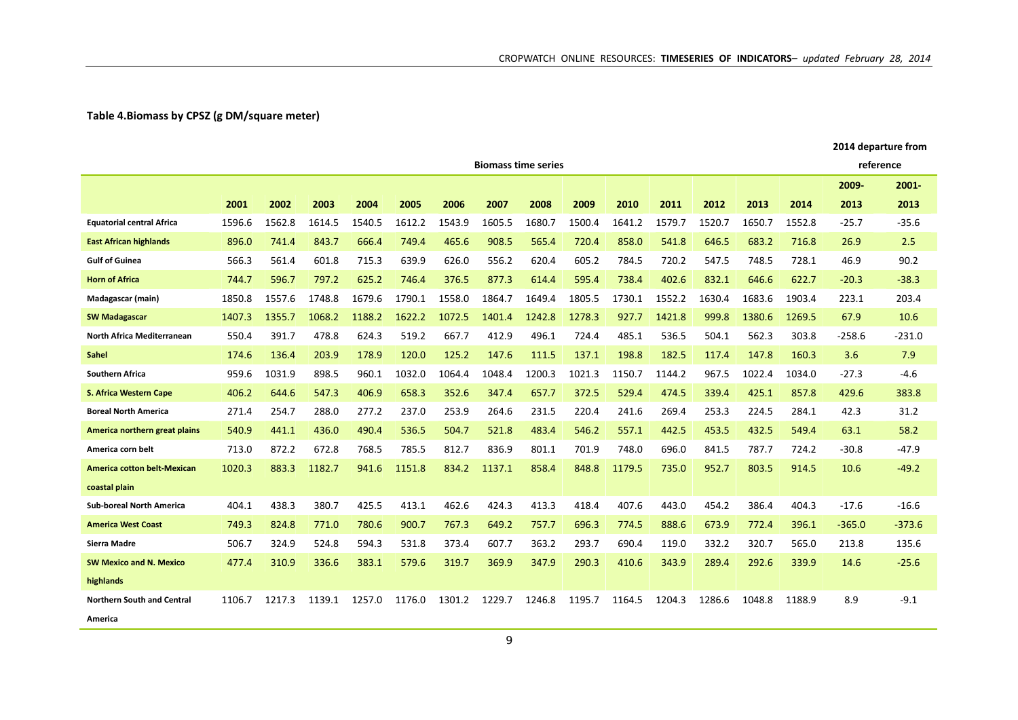## **Table 4.Biomass by CPSZ (g DM/square meter)**

|                                    |        |        |        |        |        |        | <b>Biomass time series</b> |        |        |        |        |        |        |        | reference |          |
|------------------------------------|--------|--------|--------|--------|--------|--------|----------------------------|--------|--------|--------|--------|--------|--------|--------|-----------|----------|
|                                    |        |        |        |        |        |        |                            |        |        |        |        |        |        |        | 2009-     | $2001 -$ |
|                                    | 2001   | 2002   | 2003   | 2004   | 2005   | 2006   | 2007                       | 2008   | 2009   | 2010   | 2011   | 2012   | 2013   | 2014   | 2013      | 2013     |
| <b>Equatorial central Africa</b>   | 1596.6 | 1562.8 | 1614.5 | 1540.5 | 1612.2 | 1543.9 | 1605.5                     | 1680.7 | 1500.4 | 1641.2 | 1579.7 | 1520.7 | 1650.7 | 1552.8 | $-25.7$   | $-35.6$  |
| <b>East African highlands</b>      | 896.0  | 741.4  | 843.7  | 666.4  | 749.4  | 465.6  | 908.5                      | 565.4  | 720.4  | 858.0  | 541.8  | 646.5  | 683.2  | 716.8  | 26.9      | 2.5      |
| <b>Gulf of Guinea</b>              | 566.3  | 561.4  | 601.8  | 715.3  | 639.9  | 626.0  | 556.2                      | 620.4  | 605.2  | 784.5  | 720.2  | 547.5  | 748.5  | 728.1  | 46.9      | 90.2     |
| <b>Horn of Africa</b>              | 744.7  | 596.7  | 797.2  | 625.2  | 746.4  | 376.5  | 877.3                      | 614.4  | 595.4  | 738.4  | 402.6  | 832.1  | 646.6  | 622.7  | $-20.3$   | $-38.3$  |
| Madagascar (main)                  | 1850.8 | 1557.6 | 1748.8 | 1679.6 | 1790.1 | 1558.0 | 1864.7                     | 1649.4 | 1805.5 | 1730.1 | 1552.2 | 1630.4 | 1683.6 | 1903.4 | 223.1     | 203.4    |
| <b>SW Madagascar</b>               | 1407.3 | 1355.7 | 1068.2 | 1188.2 | 1622.2 | 1072.5 | 1401.4                     | 1242.8 | 1278.3 | 927.7  | 1421.8 | 999.8  | 1380.6 | 1269.5 | 67.9      | 10.6     |
| North Africa Mediterranean         | 550.4  | 391.7  | 478.8  | 624.3  | 519.2  | 667.7  | 412.9                      | 496.1  | 724.4  | 485.1  | 536.5  | 504.1  | 562.3  | 303.8  | $-258.6$  | $-231.0$ |
| <b>Sahel</b>                       | 174.6  | 136.4  | 203.9  | 178.9  | 120.0  | 125.2  | 147.6                      | 111.5  | 137.1  | 198.8  | 182.5  | 117.4  | 147.8  | 160.3  | 3.6       | 7.9      |
| <b>Southern Africa</b>             | 959.6  | 1031.9 | 898.5  | 960.1  | 1032.0 | 1064.4 | 1048.4                     | 1200.3 | 1021.3 | 1150.7 | 1144.2 | 967.5  | 1022.4 | 1034.0 | $-27.3$   | $-4.6$   |
| S. Africa Western Cape             | 406.2  | 644.6  | 547.3  | 406.9  | 658.3  | 352.6  | 347.4                      | 657.7  | 372.5  | 529.4  | 474.5  | 339.4  | 425.1  | 857.8  | 429.6     | 383.8    |
| <b>Boreal North America</b>        | 271.4  | 254.7  | 288.0  | 277.2  | 237.0  | 253.9  | 264.6                      | 231.5  | 220.4  | 241.6  | 269.4  | 253.3  | 224.5  | 284.1  | 42.3      | 31.2     |
| America northern great plains      | 540.9  | 441.1  | 436.0  | 490.4  | 536.5  | 504.7  | 521.8                      | 483.4  | 546.2  | 557.1  | 442.5  | 453.5  | 432.5  | 549.4  | 63.1      | 58.2     |
| America corn belt                  | 713.0  | 872.2  | 672.8  | 768.5  | 785.5  | 812.7  | 836.9                      | 801.1  | 701.9  | 748.0  | 696.0  | 841.5  | 787.7  | 724.2  | $-30.8$   | $-47.9$  |
| <b>America cotton belt-Mexican</b> | 1020.3 | 883.3  | 1182.7 | 941.6  | 1151.8 | 834.2  | 1137.1                     | 858.4  | 848.8  | 1179.5 | 735.0  | 952.7  | 803.5  | 914.5  | 10.6      | $-49.2$  |
| coastal plain                      |        |        |        |        |        |        |                            |        |        |        |        |        |        |        |           |          |
| <b>Sub-boreal North America</b>    | 404.1  | 438.3  | 380.7  | 425.5  | 413.1  | 462.6  | 424.3                      | 413.3  | 418.4  | 407.6  | 443.0  | 454.2  | 386.4  | 404.3  | $-17.6$   | $-16.6$  |
| <b>America West Coast</b>          | 749.3  | 824.8  | 771.0  | 780.6  | 900.7  | 767.3  | 649.2                      | 757.7  | 696.3  | 774.5  | 888.6  | 673.9  | 772.4  | 396.1  | $-365.0$  | $-373.6$ |
| <b>Sierra Madre</b>                | 506.7  | 324.9  | 524.8  | 594.3  | 531.8  | 373.4  | 607.7                      | 363.2  | 293.7  | 690.4  | 119.0  | 332.2  | 320.7  | 565.0  | 213.8     | 135.6    |
| <b>SW Mexico and N. Mexico</b>     | 477.4  | 310.9  | 336.6  | 383.1  | 579.6  | 319.7  | 369.9                      | 347.9  | 290.3  | 410.6  | 343.9  | 289.4  | 292.6  | 339.9  | 14.6      | $-25.6$  |
| highlands                          |        |        |        |        |        |        |                            |        |        |        |        |        |        |        |           |          |
| <b>Northern South and Central</b>  | 1106.7 | 1217.3 | 1139.1 | 1257.0 | 1176.0 | 1301.2 | 1229.7                     | 1246.8 | 1195.7 | 1164.5 | 1204.3 | 1286.6 | 1048.8 | 1188.9 | 8.9       | $-9.1$   |
| America                            |        |        |        |        |        |        |                            |        |        |        |        |        |        |        |           |          |

**2014 departure from**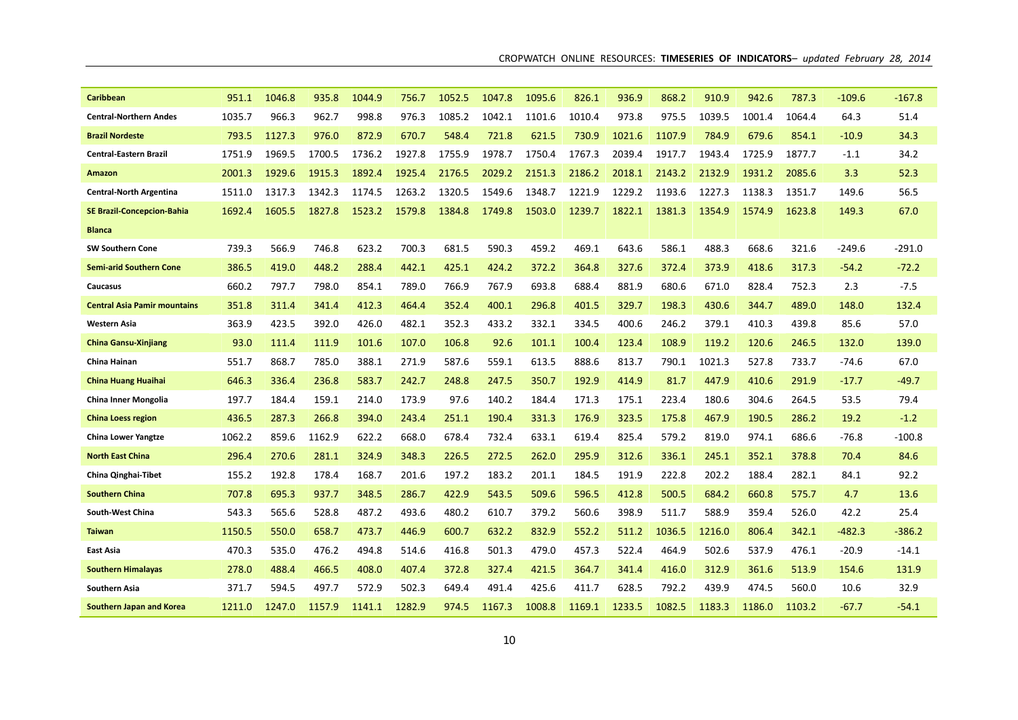| <b>Caribbean</b>                    | 951.1  | 1046.8 | 935.8  | 1044.9 | 756.7  | 1052.5 | 1047.8 | 1095.6 | 826.1  | 936.9  | 868.2  | 910.9  | 942.6  | 787.3  | -109.6   | $-167.8$ |
|-------------------------------------|--------|--------|--------|--------|--------|--------|--------|--------|--------|--------|--------|--------|--------|--------|----------|----------|
| <b>Central-Northern Andes</b>       | 1035.7 | 966.3  | 962.7  | 998.8  | 976.3  | 1085.2 | 1042.1 | 1101.6 | 1010.4 | 973.8  | 975.5  | 1039.5 | 1001.4 | 1064.4 | 64.3     | 51.4     |
| <b>Brazil Nordeste</b>              | 793.5  | 1127.3 | 976.0  | 872.9  | 670.7  | 548.4  | 721.8  | 621.5  | 730.9  | 1021.6 | 1107.9 | 784.9  | 679.6  | 854.1  | $-10.9$  | 34.3     |
| <b>Central-Eastern Brazil</b>       | 1751.9 | 1969.5 | 1700.5 | 1736.2 | 1927.8 | 1755.9 | 1978.7 | 1750.4 | 1767.3 | 2039.4 | 1917.7 | 1943.4 | 1725.9 | 1877.7 | $-1.1$   | 34.2     |
| Amazon                              | 2001.3 | 1929.6 | 1915.3 | 1892.4 | 1925.4 | 2176.5 | 2029.2 | 2151.3 | 2186.2 | 2018.1 | 2143.2 | 2132.9 | 1931.2 | 2085.6 | 3.3      | 52.3     |
| <b>Central-North Argentina</b>      | 1511.0 | 1317.3 | 1342.3 | 1174.5 | 1263.2 | 1320.5 | 1549.6 | 1348.7 | 1221.9 | 1229.2 | 1193.6 | 1227.3 | 1138.3 | 1351.7 | 149.6    | 56.5     |
| <b>SE Brazil-Concepcion-Bahia</b>   | 1692.4 | 1605.5 | 1827.8 | 1523.2 | 1579.8 | 1384.8 | 1749.8 | 1503.0 | 1239.7 | 1822.1 | 1381.3 | 1354.9 | 1574.9 | 1623.8 | 149.3    | 67.0     |
| <b>Blanca</b>                       |        |        |        |        |        |        |        |        |        |        |        |        |        |        |          |          |
| <b>SW Southern Cone</b>             | 739.3  | 566.9  | 746.8  | 623.2  | 700.3  | 681.5  | 590.3  | 459.2  | 469.1  | 643.6  | 586.1  | 488.3  | 668.6  | 321.6  | $-249.6$ | -291.0   |
| <b>Semi-arid Southern Cone</b>      | 386.5  | 419.0  | 448.2  | 288.4  | 442.1  | 425.1  | 424.2  | 372.2  | 364.8  | 327.6  | 372.4  | 373.9  | 418.6  | 317.3  | $-54.2$  | $-72.2$  |
| Caucasus                            | 660.2  | 797.7  | 798.0  | 854.1  | 789.0  | 766.9  | 767.9  | 693.8  | 688.4  | 881.9  | 680.6  | 671.0  | 828.4  | 752.3  | 2.3      | $-7.5$   |
| <b>Central Asia Pamir mountains</b> | 351.8  | 311.4  | 341.4  | 412.3  | 464.4  | 352.4  | 400.1  | 296.8  | 401.5  | 329.7  | 198.3  | 430.6  | 344.7  | 489.0  | 148.0    | 132.4    |
| <b>Western Asia</b>                 | 363.9  | 423.5  | 392.0  | 426.0  | 482.1  | 352.3  | 433.2  | 332.1  | 334.5  | 400.6  | 246.2  | 379.1  | 410.3  | 439.8  | 85.6     | 57.0     |
| <b>China Gansu-Xinjiang</b>         | 93.0   | 111.4  | 111.9  | 101.6  | 107.0  | 106.8  | 92.6   | 101.1  | 100.4  | 123.4  | 108.9  | 119.2  | 120.6  | 246.5  | 132.0    | 139.0    |
| China Hainan                        | 551.7  | 868.7  | 785.0  | 388.1  | 271.9  | 587.6  | 559.1  | 613.5  | 888.6  | 813.7  | 790.1  | 1021.3 | 527.8  | 733.7  | $-74.6$  | 67.0     |
| <b>China Huang Huaihai</b>          | 646.3  | 336.4  | 236.8  | 583.7  | 242.7  | 248.8  | 247.5  | 350.7  | 192.9  | 414.9  | 81.7   | 447.9  | 410.6  | 291.9  | $-17.7$  | $-49.7$  |
| China Inner Mongolia                | 197.7  | 184.4  | 159.1  | 214.0  | 173.9  | 97.6   | 140.2  | 184.4  | 171.3  | 175.1  | 223.4  | 180.6  | 304.6  | 264.5  | 53.5     | 79.4     |
| <b>China Loess region</b>           | 436.5  | 287.3  | 266.8  | 394.0  | 243.4  | 251.1  | 190.4  | 331.3  | 176.9  | 323.5  | 175.8  | 467.9  | 190.5  | 286.2  | 19.2     | $-1.2$   |
| <b>China Lower Yangtze</b>          | 1062.2 | 859.6  | 1162.9 | 622.2  | 668.0  | 678.4  | 732.4  | 633.1  | 619.4  | 825.4  | 579.2  | 819.0  | 974.1  | 686.6  | $-76.8$  | $-100.8$ |
| <b>North East China</b>             | 296.4  | 270.6  | 281.1  | 324.9  | 348.3  | 226.5  | 272.5  | 262.0  | 295.9  | 312.6  | 336.1  | 245.1  | 352.1  | 378.8  | 70.4     | 84.6     |
| China Qinghai-Tibet                 | 155.2  | 192.8  | 178.4  | 168.7  | 201.6  | 197.2  | 183.2  | 201.1  | 184.5  | 191.9  | 222.8  | 202.2  | 188.4  | 282.1  | 84.1     | 92.2     |
| <b>Southern China</b>               | 707.8  | 695.3  | 937.7  | 348.5  | 286.7  | 422.9  | 543.5  | 509.6  | 596.5  | 412.8  | 500.5  | 684.2  | 660.8  | 575.7  | 4.7      | 13.6     |
| South-West China                    | 543.3  | 565.6  | 528.8  | 487.2  | 493.6  | 480.2  | 610.7  | 379.2  | 560.6  | 398.9  | 511.7  | 588.9  | 359.4  | 526.0  | 42.2     | 25.4     |
| <b>Taiwan</b>                       | 1150.5 | 550.0  | 658.7  | 473.7  | 446.9  | 600.7  | 632.2  | 832.9  | 552.2  | 511.2  | 1036.5 | 1216.0 | 806.4  | 342.1  | -482.3   | $-386.2$ |
| East Asia                           | 470.3  | 535.0  | 476.2  | 494.8  | 514.6  | 416.8  | 501.3  | 479.0  | 457.3  | 522.4  | 464.9  | 502.6  | 537.9  | 476.1  | $-20.9$  | $-14.1$  |
| <b>Southern Himalayas</b>           | 278.0  | 488.4  | 466.5  | 408.0  | 407.4  | 372.8  | 327.4  | 421.5  | 364.7  | 341.4  | 416.0  | 312.9  | 361.6  | 513.9  | 154.6    | 131.9    |
| Southern Asia                       | 371.7  | 594.5  | 497.7  | 572.9  | 502.3  | 649.4  | 491.4  | 425.6  | 411.7  | 628.5  | 792.2  | 439.9  | 474.5  | 560.0  | 10.6     | 32.9     |
| Southern Japan and Korea            | 1211.0 | 1247.0 | 1157.9 | 1141.1 | 1282.9 | 974.5  | 1167.3 | 1008.8 | 1169.1 | 1233.5 | 1082.5 | 1183.3 | 1186.0 | 1103.2 | $-67.7$  | $-54.1$  |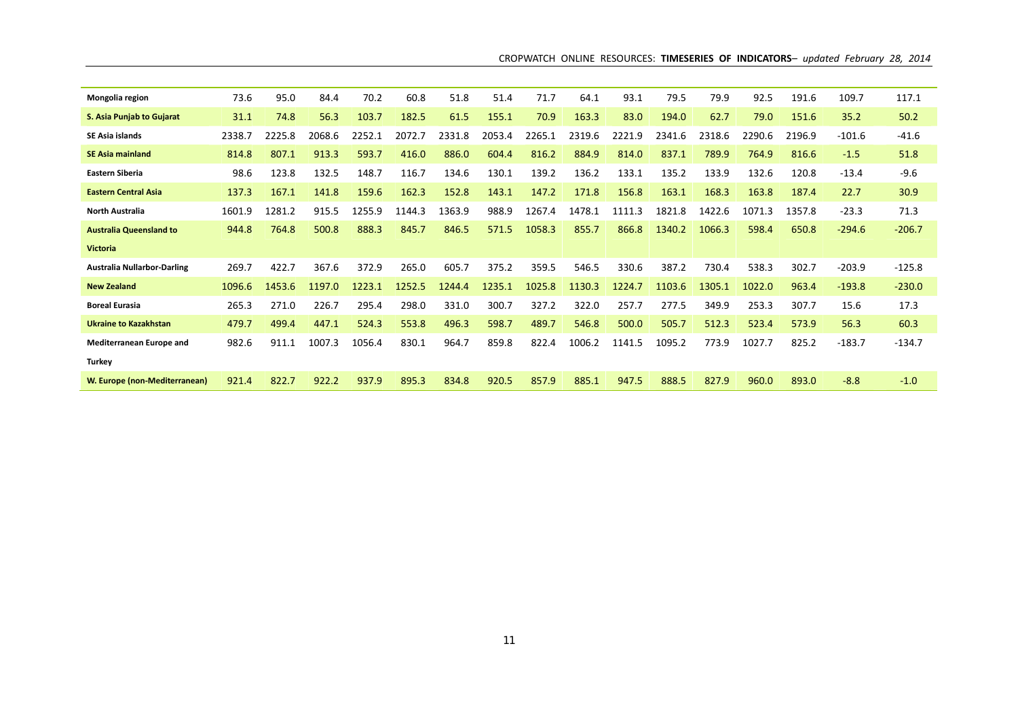| CROPWATCH ONLINE RESOURCES: TIMESERIES OF INDICATORS- updated February 28, 2014 |  |  |  |  |  |  |  |  |  |
|---------------------------------------------------------------------------------|--|--|--|--|--|--|--|--|--|
|---------------------------------------------------------------------------------|--|--|--|--|--|--|--|--|--|

| Mongolia region                    | 73.6   | 95.0   | 84.4   | 70.2   | 60.8   | 51.8   | 51.4   | 71.7   | 64.1   | 93.1       | 79.5   | 79.9   | 92.5   | 191.6  | 109.7    | 117.1    |
|------------------------------------|--------|--------|--------|--------|--------|--------|--------|--------|--------|------------|--------|--------|--------|--------|----------|----------|
| S. Asia Punjab to Gujarat          | 31.1   | 74.8   | 56.3   | 103.7  | 182.5  | 61.5   | 155.1  | 70.9   | 163.3  | 83.0       | 194.0  | 62.7   | 79.0   | 151.6  | 35.2     | 50.2     |
| <b>SE Asia islands</b>             | 2338.7 | 2225.8 | 2068.6 | 2252.1 | 2072.7 | 2331.8 | 2053.4 | 2265.1 | 2319.6 | 2221.9     | 2341.6 | 2318.6 | 2290.6 | 2196.9 | $-101.6$ | $-41.6$  |
| <b>SE Asia mainland</b>            | 814.8  | 807.1  | 913.3  | 593.7  | 416.0  | 886.0  | 604.4  | 816.2  | 884.9  | 814.0      | 837.1  | 789.9  | 764.9  | 816.6  | $-1.5$   | 51.8     |
| <b>Eastern Siberia</b>             | 98.6   | 123.8  | 132.5  | 148.7  | 116.7  | 134.6  | 130.1  | 139.2  | 136.2  | 133.1      | 135.2  | 133.9  | 132.6  | 120.8  | $-13.4$  | $-9.6$   |
| <b>Eastern Central Asia</b>        | 137.3  | 167.1  | 141.8  | 159.6  | 162.3  | 152.8  | 143.1  | 147.2  | 171.8  | 156.8      | 163.1  | 168.3  | 163.8  | 187.4  | 22.7     | 30.9     |
| <b>North Australia</b>             | 1601.9 | 1281.2 | 915.5  | 1255.9 | 1144.3 | 1363.9 | 988.9  | 1267.4 | 1478.1 | 1111<br>.3 | 1821.8 | 1422.6 | 1071.3 | 1357.8 | $-23.3$  | 71.3     |
| <b>Australia Queensland to</b>     | 944.8  | 764.8  | 500.8  | 888.3  | 845.7  | 846.5  | 571.5  | 1058.3 | 855.7  | 866.8      | 1340.2 | 1066.3 | 598.4  | 650.8  | $-294.6$ | $-206.7$ |
| <b>Victoria</b>                    |        |        |        |        |        |        |        |        |        |            |        |        |        |        |          |          |
| <b>Australia Nullarbor-Darling</b> | 269.7  | 422.7  | 367.6  | 372.9  | 265.0  | 605.7  | 375.2  | 359.5  | 546.5  | 330.6      | 387.2  | 730.4  | 538.3  | 302.7  | $-203.9$ | $-125.8$ |
| <b>New Zealand</b>                 | 1096.6 | 1453.6 | 1197.0 | 1223.1 | 1252.5 | 1244.4 | 1235.1 | 1025.8 | 1130.3 | 1224.7     | 1103.6 | 1305.1 | 1022.0 | 963.4  | $-193.8$ | $-230.0$ |
| <b>Boreal Eurasia</b>              | 265.3  | 271.0  | 226.7  | 295.4  | 298.0  | 331.0  | 300.7  | 327.2  | 322.0  | 257.7      | 277.5  | 349.9  | 253.3  | 307.7  | 15.6     | 17.3     |
| <b>Ukraine to Kazakhstan</b>       | 479.7  | 499.4  | 447.1  | 524.3  | 553.8  | 496.3  | 598.7  | 489.7  | 546.8  | 500.0      | 505.7  | 512.3  | 523.4  | 573.9  | 56.3     | 60.3     |
| Mediterranean Europe and           | 982.6  | 911.1  | 1007.3 | 1056.4 | 830.1  | 964.7  | 859.8  | 822.4  | 1006.2 | 1141.5     | 1095.2 | 773.9  | 1027.7 | 825.2  | $-183.7$ | $-134.7$ |
| <b>Turkey</b>                      |        |        |        |        |        |        |        |        |        |            |        |        |        |        |          |          |
| W. Europe (non-Mediterranean)      | 921.4  | 822.7  | 922.2  | 937.9  | 895.3  | 834.8  | 920.5  | 857.9  | 885.1  | 947.5      | 888.5  | 827.9  | 960.0  | 893.0  | $-8.8$   | $-1.0$   |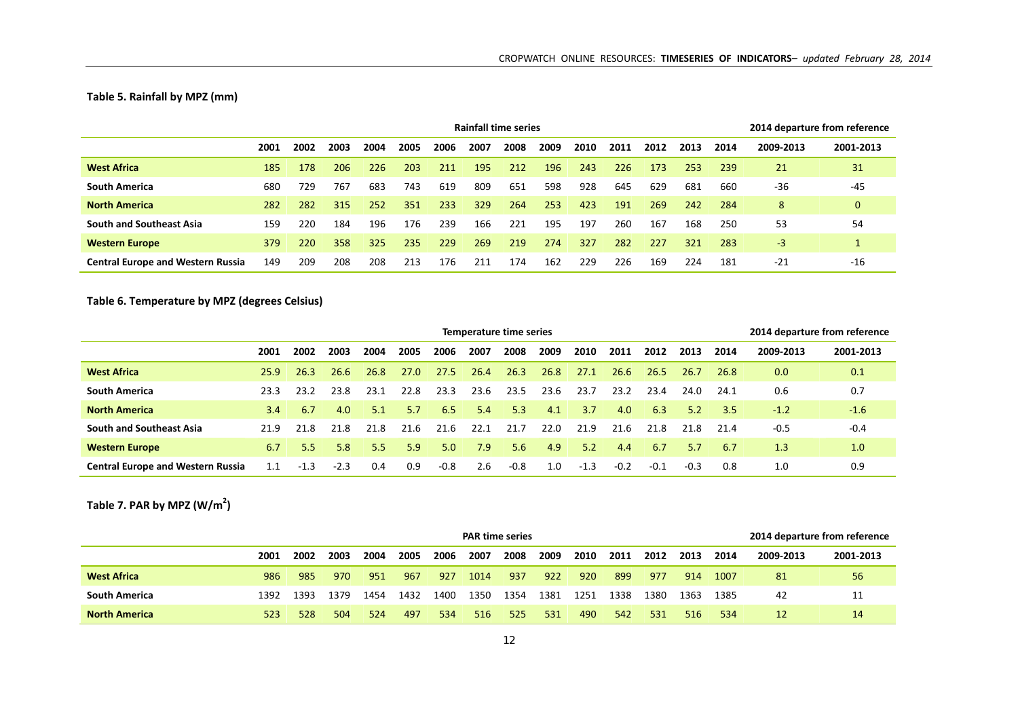## **Table 5. Rainfall by MPZ (mm)**

|                                          |      |      |      |      |      |      | Rainfall time series |      |      |      |      |      |      |      | 2014 departure from reference |           |
|------------------------------------------|------|------|------|------|------|------|----------------------|------|------|------|------|------|------|------|-------------------------------|-----------|
|                                          | 2001 | 2002 | 2003 | 2004 | 2005 | 2006 | 2007                 | 2008 | 2009 | 2010 | 2011 | 2012 | 2013 | 2014 | 2009-2013                     | 2001-2013 |
| <b>West Africa</b>                       | 185  | 178  | 206  | 226  | 203  | 211  | 195                  | 212  | 196  | 243  | 226  | 173  | 253  | 239  | 21                            | 31        |
| <b>South America</b>                     | 680  | 729  | 767  | 683  | 743  | 619  | 809                  | 651  | 598  | 928  | 645  | 629  | 681  | 660  | $-36$                         | $-45$     |
| <b>North America</b>                     | 282  | 282  | 315  | 252  | 351  | 233  | 329                  | 264  | 253  | 423  | 191  | 269  | 242  | 284  | 8                             | 0         |
| <b>South and Southeast Asia</b>          | 159  | 220  | 184  | 196  | 176  | 239  | 166                  | 221  | 195  | 197  | 260  | 167  | 168  | 250  | 53                            | 54        |
| <b>Western Europe</b>                    | 379  | 220  | 358  | 325  | 235  | 229  | 269                  | 219  | 274  | 327  | 282  | 227  | 321  | 283  | -3                            |           |
| <b>Central Europe and Western Russia</b> | 149  | 209  | 208  | 208  | 213  | 176  | 211                  | 174  | 162  | 229  | 226  | 169  | 224  | 181  | $-21$                         | $-16$     |

**Table 6. Temperature by MPZ (degrees Celsius)**

|                                          | <b>Temperature time series</b><br>2006<br>2008<br>2009<br>2005<br>2007<br>2010<br>2013<br>2002<br>2003<br>2004<br>2011<br>2012<br>2001<br>26.3<br>26.4<br>26.8<br>26.3<br>27.0<br>27.5<br>27.1<br>26.6<br>26.8<br>26.6<br>26.5<br>25.9<br>26.7<br>23.6<br>23.5<br>23.8<br>22.8<br>23.3<br>23.6<br>23.4<br>23.1<br>23.7<br>23.2<br>24.0<br>23.2<br>23.3<br>6.7<br>6.5<br>5.7<br>5.4<br>5.3<br>3.7<br>4.0<br>6.3<br>5.2<br>3.4<br>4.0<br>5.1<br>4.1<br>21.7<br>22.0<br>21.6<br>22.1<br>21.9<br>21.6<br>21.8<br>21.8<br>21.8<br>21.8<br>21.8<br>21.6<br>21.9 |        |        |     |     |        |     |        |     |        |        |        |        |      | 2014 departure from reference |           |
|------------------------------------------|-----------------------------------------------------------------------------------------------------------------------------------------------------------------------------------------------------------------------------------------------------------------------------------------------------------------------------------------------------------------------------------------------------------------------------------------------------------------------------------------------------------------------------------------------------------|--------|--------|-----|-----|--------|-----|--------|-----|--------|--------|--------|--------|------|-------------------------------|-----------|
|                                          |                                                                                                                                                                                                                                                                                                                                                                                                                                                                                                                                                           |        |        |     |     |        |     |        |     |        |        |        |        | 2014 | 2009-2013                     | 2001-2013 |
| <b>West Africa</b>                       |                                                                                                                                                                                                                                                                                                                                                                                                                                                                                                                                                           |        |        |     |     |        |     |        |     |        |        |        |        | 26.8 | 0.0                           | 0.1       |
| <b>South America</b>                     |                                                                                                                                                                                                                                                                                                                                                                                                                                                                                                                                                           |        |        |     |     |        |     |        |     |        |        |        |        | 24.1 | 0.6                           | 0.7       |
| <b>North America</b>                     |                                                                                                                                                                                                                                                                                                                                                                                                                                                                                                                                                           |        |        |     |     |        |     |        |     |        |        |        |        | 3.5  | $-1.2$                        | $-1.6$    |
| <b>South and Southeast Asia</b>          |                                                                                                                                                                                                                                                                                                                                                                                                                                                                                                                                                           |        |        |     |     |        |     |        |     |        |        |        |        | 21.4 | $-0.5$                        | $-0.4$    |
| <b>Western Europe</b>                    | 6.7                                                                                                                                                                                                                                                                                                                                                                                                                                                                                                                                                       | 5.5    | 5.8    | 5.5 | 5.9 | 5.0    | 7.9 | 5.6    | 4.9 | 5.2    | 4.4    | 6.7    | 5.7    | 6.7  | 1.3                           | 1.0       |
| <b>Central Europe and Western Russia</b> | 1.1                                                                                                                                                                                                                                                                                                                                                                                                                                                                                                                                                       | $-1.3$ | $-2.3$ | 0.4 | 0.9 | $-0.8$ | 2.6 | $-0.8$ | 1.0 | $-1.3$ | $-0.2$ | $-0.1$ | $-0.3$ | 0.8  | 1.0                           | 0.9       |

**Table 7. PAR by MPZ (W/m2)**

|                      |      |      |      |      |      |      | <b>PAR time series</b> |      |      |      |      |      |      |      | 2014 departure from reference |           |
|----------------------|------|------|------|------|------|------|------------------------|------|------|------|------|------|------|------|-------------------------------|-----------|
|                      | 2001 | 2002 | 2003 | 2004 | 2005 | 2006 | 2007                   | 2008 | 2009 | 2010 | 2011 | 2012 | 2013 | 2014 | 2009-2013                     | 2001-2013 |
| <b>West Africa</b>   | 986  | 985  | 970  | 951  | 967  | 927  | 1014                   | 937  | 922  | 920  | 899  | 977  | 914  | 1007 | 81                            | 56        |
| <b>South America</b> | 1392 | 1393 | 1379 | 1454 | 1432 | 1400 | 1350                   | 1354 | 1381 | 1251 | 1338 | 1380 | 1363 | 1385 | 42                            | 11        |
| <b>North America</b> | 523  | 528  | 504  | 524  | 497  | 534  | 516                    | 525  | 531  | 490  | 542  | 531  | 516  | 534  | 12                            | 14        |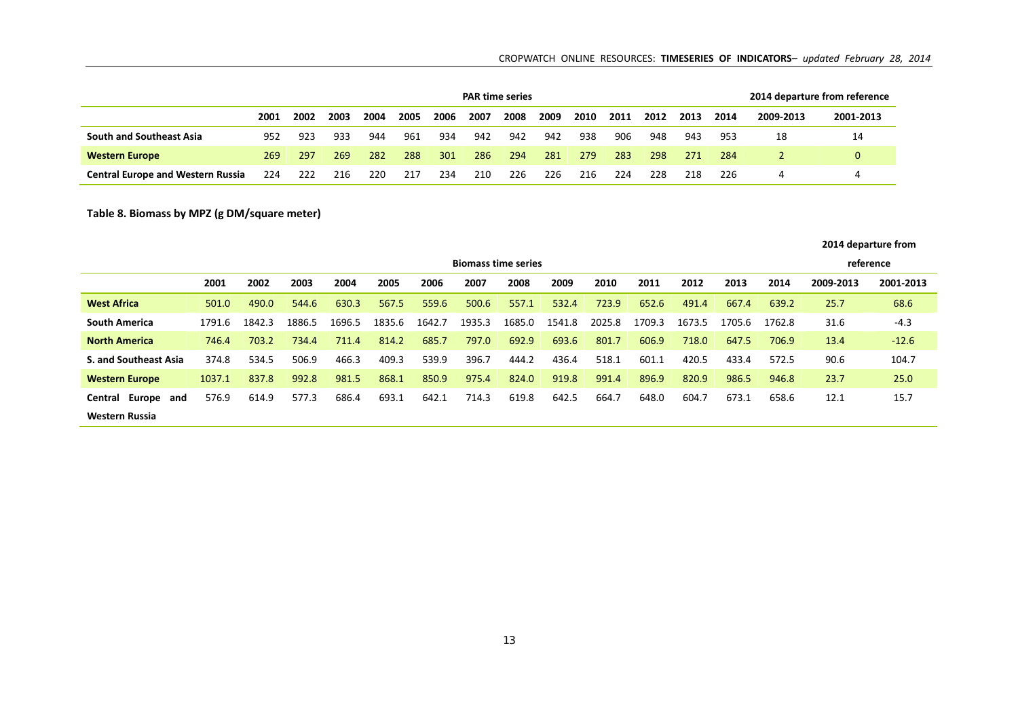### CROPWATCH ONLINE RESOURCES: **TIMESERIES OF INDICATORS***– updated February 28, 2014*

|                                          |      |      |      |      |      |      | <b>PAR time series</b> |      |      |      |      |      |      |      | 2014 departure from reference |           |
|------------------------------------------|------|------|------|------|------|------|------------------------|------|------|------|------|------|------|------|-------------------------------|-----------|
|                                          | 2001 | 2002 | 2003 | 2004 | 2005 | 2006 | 2007                   | 2008 | 2009 | 2010 | 2011 | 2012 | 2013 | 2014 | 2009-2013                     | 2001-2013 |
| <b>South and Southeast Asia</b>          | 952  | 923  | 933  | 944  | 961  | 934  | 942                    | 942  | 942  | 938  | 906  | 948  | 943  | 953  | 18                            |           |
| <b>Western Europe</b>                    | 269  | 297  | 269  | 282  | 288  | 301  | 286                    | 294  | 281  | 279  | 283  | 298  | 271  | 284  |                               |           |
| <b>Central Europe and Western Russia</b> | 224  | 222  | 216  | 220  | 217  | 234  | 210                    | 226  | 226  | 216  | 224  | 228  | 218  | 226  |                               |           |

**Table 8. Biomass by MPZ (g DM/square meter)**

|  | 2014 departure from |  |
|--|---------------------|--|
|--|---------------------|--|

|                              |        |        |        |        |        |        |        | <b>Biomass time series</b> |        |        |        |        |        |        |           | reference |
|------------------------------|--------|--------|--------|--------|--------|--------|--------|----------------------------|--------|--------|--------|--------|--------|--------|-----------|-----------|
|                              | 2001   | 2002   | 2003   | 2004   | 2005   | 2006   | 2007   | 2008                       | 2009   | 2010   | 2011   | 2012   | 2013   | 2014   | 2009-2013 | 2001-2013 |
| <b>West Africa</b>           | 501.0  | 490.0  | 544.6  | 630.3  | 567.5  | 559.6  | 500.6  | 557.1                      | 532.4  | 723.9  | 652.6  | 491.4  | 667.4  | 639.2  | 25.7      | 68.6      |
| <b>South America</b>         | 1791.6 | 1842.3 | 1886.5 | 1696.5 | 1835.6 | 1642.7 | 1935.3 | 1685.0                     | 1541.8 | 2025.8 | 1709.3 | 1673.5 | 1705.6 | 1762.8 | 31.6      | $-4.3$    |
| <b>North America</b>         | 746.4  | 703.2  | 734.4  | 711.4  | 814.2  | 685.7  | 797.0  | 692.9                      | 693.6  | 801.7  | 606.9  | 718.0  | 647.5  | 706.9  | 13.4      | $-12.6$   |
| <b>S. and Southeast Asia</b> | 374.8  | 534.5  | 506.9  | 466.3  | 409.3  | 539.9  | 396.7  | 444.2                      | 436.4  | 518.1  | 601.1  | 420.5  | 433.4  | 572.5  | 90.6      | 104.7     |
| <b>Western Europe</b>        | 1037.1 | 837.8  | 992.8  | 981.5  | 868.1  | 850.9  | 975.4  | 824.0                      | 919.8  | 991.4  | 896.9  | 820.9  | 986.5  | 946.8  | 23.7      | 25.0      |
| Central Europe and           | 576.9  | 614.9  | 577.3  | 686.4  | 693.1  | 642.1  | 714.3  | 619.8                      | 642.5  | 664.7  | 648.0  | 604.7  | 673.1  | 658.6  | 12.1      | 15.7      |
| <b>Western Russia</b>        |        |        |        |        |        |        |        |                            |        |        |        |        |        |        |           |           |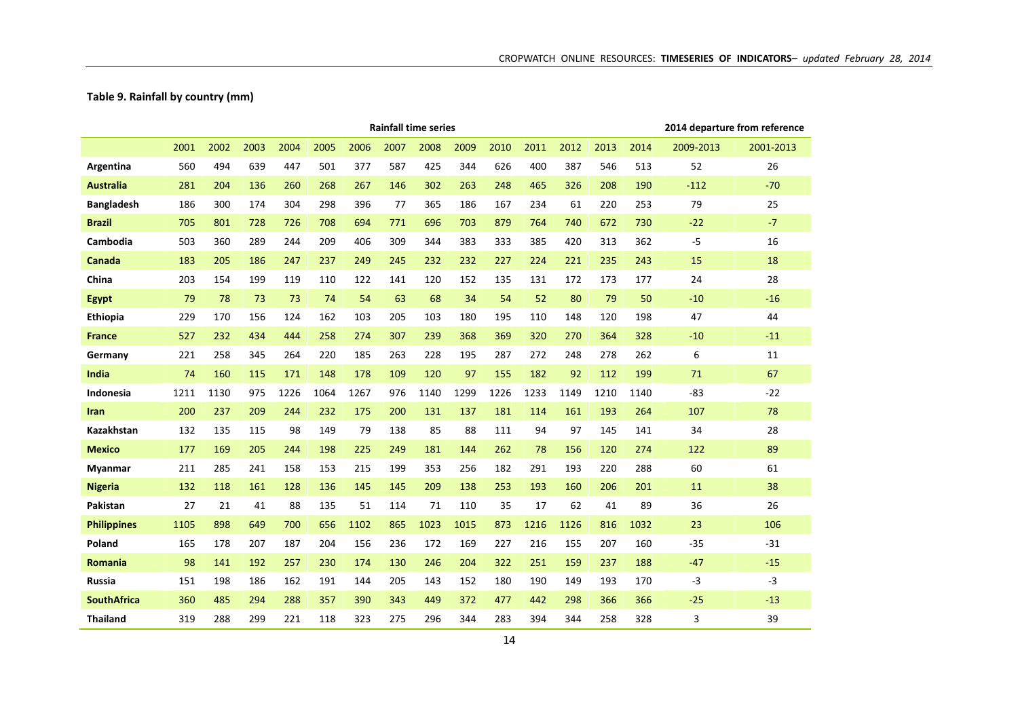**Table 9. Rainfall by country (mm)**

|                    |      |      |      |      |      |      |      | <b>Rainfall time series</b> |      |      |      |      |      |      |           | 2014 departure from reference |
|--------------------|------|------|------|------|------|------|------|-----------------------------|------|------|------|------|------|------|-----------|-------------------------------|
|                    | 2001 | 2002 | 2003 | 2004 | 2005 | 2006 | 2007 | 2008                        | 2009 | 2010 | 2011 | 2012 | 2013 | 2014 | 2009-2013 | 2001-2013                     |
| Argentina          | 560  | 494  | 639  | 447  | 501  | 377  | 587  | 425                         | 344  | 626  | 400  | 387  | 546  | 513  | 52        | 26                            |
| <b>Australia</b>   | 281  | 204  | 136  | 260  | 268  | 267  | 146  | 302                         | 263  | 248  | 465  | 326  | 208  | 190  | $-112$    | $-70$                         |
| <b>Bangladesh</b>  | 186  | 300  | 174  | 304  | 298  | 396  | 77   | 365                         | 186  | 167  | 234  | 61   | 220  | 253  | 79        | 25                            |
| <b>Brazil</b>      | 705  | 801  | 728  | 726  | 708  | 694  | 771  | 696                         | 703  | 879  | 764  | 740  | 672  | 730  | $-22$     | $-7$                          |
| Cambodia           | 503  | 360  | 289  | 244  | 209  | 406  | 309  | 344                         | 383  | 333  | 385  | 420  | 313  | 362  | $-5$      | 16                            |
| Canada             | 183  | 205  | 186  | 247  | 237  | 249  | 245  | 232                         | 232  | 227  | 224  | 221  | 235  | 243  | 15        | 18                            |
| China              | 203  | 154  | 199  | 119  | 110  | 122  | 141  | 120                         | 152  | 135  | 131  | 172  | 173  | 177  | 24        | 28                            |
| <b>Egypt</b>       | 79   | 78   | 73   | 73   | 74   | 54   | 63   | 68                          | 34   | 54   | 52   | 80   | 79   | 50   | $-10$     | $-16$                         |
| <b>Ethiopia</b>    | 229  | 170  | 156  | 124  | 162  | 103  | 205  | 103                         | 180  | 195  | 110  | 148  | 120  | 198  | 47        | 44                            |
| <b>France</b>      | 527  | 232  | 434  | 444  | 258  | 274  | 307  | 239                         | 368  | 369  | 320  | 270  | 364  | 328  | $-10$     | $-11$                         |
| Germany            | 221  | 258  | 345  | 264  | 220  | 185  | 263  | 228                         | 195  | 287  | 272  | 248  | 278  | 262  | 6         | 11                            |
| India              | 74   | 160  | 115  | 171  | 148  | 178  | 109  | 120                         | 97   | 155  | 182  | 92   | 112  | 199  | 71        | 67                            |
| <b>Indonesia</b>   | 1211 | 1130 | 975  | 1226 | 1064 | 1267 | 976  | 1140                        | 1299 | 1226 | 1233 | 1149 | 1210 | 1140 | $-83$     | $-22$                         |
| <b>Iran</b>        | 200  | 237  | 209  | 244  | 232  | 175  | 200  | 131                         | 137  | 181  | 114  | 161  | 193  | 264  | 107       | 78                            |
| Kazakhstan         | 132  | 135  | 115  | 98   | 149  | 79   | 138  | 85                          | 88   | 111  | 94   | 97   | 145  | 141  | 34        | 28                            |
| <b>Mexico</b>      | 177  | 169  | 205  | 244  | 198  | 225  | 249  | 181                         | 144  | 262  | 78   | 156  | 120  | 274  | 122       | 89                            |
| Myanmar            | 211  | 285  | 241  | 158  | 153  | 215  | 199  | 353                         | 256  | 182  | 291  | 193  | 220  | 288  | 60        | 61                            |
| <b>Nigeria</b>     | 132  | 118  | 161  | 128  | 136  | 145  | 145  | 209                         | 138  | 253  | 193  | 160  | 206  | 201  | 11        | 38                            |
| Pakistan           | 27   | 21   | 41   | 88   | 135  | 51   | 114  | 71                          | 110  | 35   | 17   | 62   | 41   | 89   | 36        | 26                            |
| <b>Philippines</b> | 1105 | 898  | 649  | 700  | 656  | 1102 | 865  | 1023                        | 1015 | 873  | 1216 | 1126 | 816  | 1032 | 23        | 106                           |
| Poland             | 165  | 178  | 207  | 187  | 204  | 156  | 236  | 172                         | 169  | 227  | 216  | 155  | 207  | 160  | $-35$     | $-31$                         |
| <b>Romania</b>     | 98   | 141  | 192  | 257  | 230  | 174  | 130  | 246                         | 204  | 322  | 251  | 159  | 237  | 188  | $-47$     | $-15$                         |
| Russia             | 151  | 198  | 186  | 162  | 191  | 144  | 205  | 143                         | 152  | 180  | 190  | 149  | 193  | 170  | $-3$      | $-3$                          |
| <b>SouthAfrica</b> | 360  | 485  | 294  | 288  | 357  | 390  | 343  | 449                         | 372  | 477  | 442  | 298  | 366  | 366  | $-25$     | $-13$                         |
| <b>Thailand</b>    | 319  | 288  | 299  | 221  | 118  | 323  | 275  | 296                         | 344  | 283  | 394  | 344  | 258  | 328  | 3         | 39                            |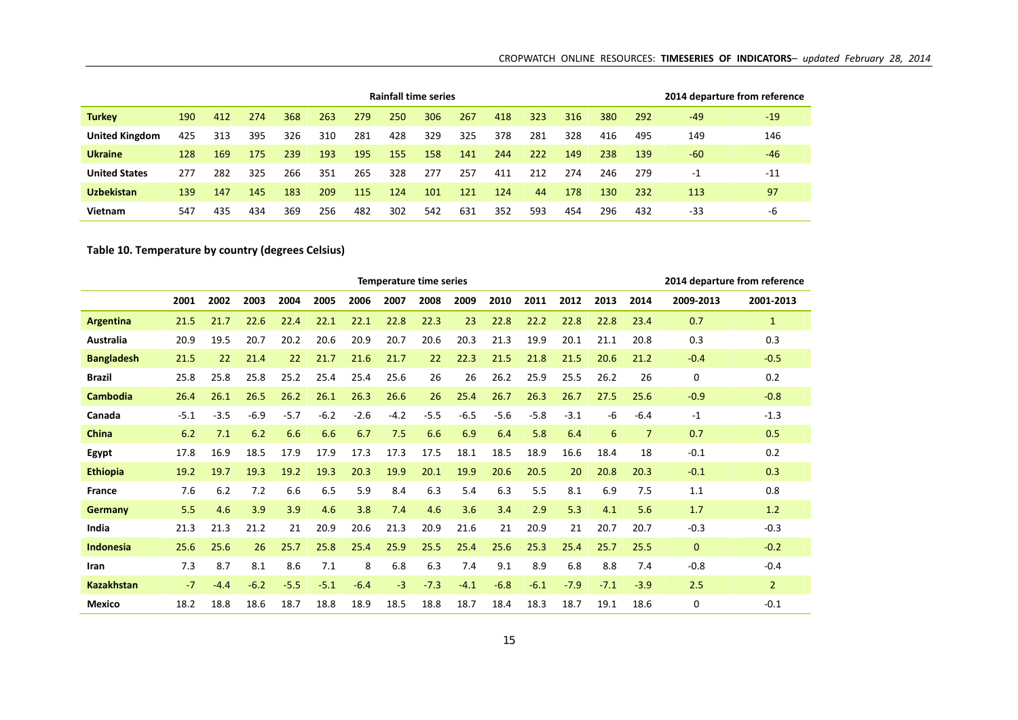| <b>Rainfall time series</b><br>263<br><b>Turkey</b><br>267<br>190<br>274<br>368<br>279<br>250<br>306<br>323<br>316<br>380<br>412<br>418<br>395<br>326<br>310<br>281<br>428<br>329<br>325<br>378<br>281<br>328<br><b>United Kingdom</b><br>313<br>416<br>425<br><b>Ukraine</b><br>238<br>169<br>193<br>195<br>222<br>175<br>239<br>155<br>128<br>158<br>244<br>149<br>141<br><b>United States</b><br>351<br>328<br>282<br>325<br>266<br>265<br>277<br>257<br>411<br>212<br>274<br>246<br>277 |     |     |     |     |     |     |     |     |     |     |     |     |     |     |       | 2014 departure from reference |
|---------------------------------------------------------------------------------------------------------------------------------------------------------------------------------------------------------------------------------------------------------------------------------------------------------------------------------------------------------------------------------------------------------------------------------------------------------------------------------------------|-----|-----|-----|-----|-----|-----|-----|-----|-----|-----|-----|-----|-----|-----|-------|-------------------------------|
|                                                                                                                                                                                                                                                                                                                                                                                                                                                                                             |     |     |     |     |     |     |     |     |     |     |     |     |     | 292 | $-49$ | $-19$                         |
|                                                                                                                                                                                                                                                                                                                                                                                                                                                                                             |     |     |     |     |     |     |     |     |     |     |     |     |     | 495 | 149   | 146                           |
|                                                                                                                                                                                                                                                                                                                                                                                                                                                                                             |     |     |     |     |     |     |     |     |     |     |     |     |     | 139 | $-60$ | $-46$                         |
|                                                                                                                                                                                                                                                                                                                                                                                                                                                                                             |     |     |     |     |     |     |     |     |     |     |     |     |     | 279 | -1    | $-11$                         |
| <b>Uzbekistan</b>                                                                                                                                                                                                                                                                                                                                                                                                                                                                           | 139 | 147 | 145 | 183 | 209 | 115 | 124 | 101 | 121 | 124 | 44  | 178 | 130 | 232 | 113   | 97                            |
| Vietnam                                                                                                                                                                                                                                                                                                                                                                                                                                                                                     | 547 | 435 | 434 | 369 | 256 | 482 | 302 | 542 | 631 | 352 | 593 | 454 | 296 | 432 | -33   | -6                            |

## **Table 10. Temperature by country (degrees Celsius)**

|                   | Temperature time series<br>2001<br>2002<br>2007<br>2009<br>2010<br>2011<br>2012<br>2009-2013<br>2003<br>2004<br>2005<br>2006<br>2008<br>2013<br>2014<br>22.8<br>22.3<br>22.8<br>21.5<br>22.6<br>22.4<br>22.1<br>22.1<br>23<br>22.8<br>22.2<br>22.8<br>23.4<br>0.7<br>21.7<br>20.2<br>20.6<br>20.9<br>20.7<br>20.6<br>20.3<br>21.3<br>19.9<br>20.1<br>21.1<br>0.3<br>20.9<br>19.5<br>20.7<br>20.8<br>22.3<br>21.5<br>22<br>21.4<br>22<br>21.7<br>21.6<br>21.7<br>22<br>21.5<br>21.8<br>21.5<br>20.6<br>21.2<br>$-0.4$<br>26.2<br>25.9<br>26.2<br>25.8<br>25.8<br>25.8<br>25.2<br>25.4<br>25.4<br>25.6<br>26<br>26<br>25.5<br>26<br>0<br>26.5<br>26.3<br>26.6<br>27.5<br>26.4<br>26.1<br>26.2<br>26.1<br>26<br>25.4<br>26.7<br>26.3<br>26.7<br>25.6<br>$-0.9$<br>$-5.5$<br>$-6.5$<br>$-3.5$<br>$-6.9$<br>$-5.7$<br>$-6.2$<br>$-2.6$<br>$-4.2$<br>$-5.6$<br>$-5.8$<br>$-3.1$<br>-6<br>$-6.4$<br>$-5.1$<br>$-1$<br>6<br>6.2<br>6.6<br>7.5<br>6.9<br>5.8<br>$\overline{7}$<br>0.7<br>6.2<br>7.1<br>6.6<br>6.7<br>6.6<br>6.4<br>6.4<br>18.5<br>17.9<br>17.9<br>17.3<br>17.3<br>17.5<br>18.1<br>18.5<br>18.9<br>16.6<br>18.4<br>18<br>$-0.1$<br>17.8<br>16.9<br>19.3<br>19.2<br>19.3<br>20.3<br>19.9<br>20.1<br>19.9<br>20.6<br>20<br>20.8<br>19.7<br>20.5<br>20.3<br>$-0.1$<br>19.2<br>7.2<br>6.6<br>5.9<br>8.4<br>6.3<br>5.4<br>6.3<br>8.1<br>6.9<br>7.5<br>7.6<br>6.2<br>6.5<br>5.5<br>1.1<br>5.5<br>3.9<br>3.9<br>4.6<br>3.8<br>7.4<br>4.6<br>3.6<br>3.4<br>2.9<br>5.3<br>4.1<br>5.6<br>1.7<br>4.6<br>21.3<br>21.3<br>21.2<br>21<br>20.9<br>20.6<br>21.3<br>20.9<br>21.6<br>20.9<br>21<br>20.7<br>20.7<br>$-0.3$<br>21<br>25.6<br>26<br>25.7<br>25.8<br>25.4<br>25.9<br>25.5<br>25.4<br>25.6<br>25.3<br>25.4<br>25.7<br>25.5<br>$\overline{0}$<br>25.6<br>8<br>7.3<br>8.7<br>8.1<br>8.6<br>7.1<br>6.8<br>6.3<br>7.4<br>9.1<br>8.9<br>6.8<br>8.8<br>7.4<br>$-0.8$<br>$-6.2$<br>$-5.5$<br>$-3$<br>$-7.3$<br>$-6.8$<br>$-6.1$<br>$-7.9$<br>$-7.1$<br>$-3.9$<br>$-7$<br>$-4.4$<br>$-5.1$<br>$-6.4$<br>$-4.1$<br>2.5 |      |      |      |      |      |      |      | 2014 departure from reference |      |      |      |      |      |          |                |
|-------------------|--------------------------------------------------------------------------------------------------------------------------------------------------------------------------------------------------------------------------------------------------------------------------------------------------------------------------------------------------------------------------------------------------------------------------------------------------------------------------------------------------------------------------------------------------------------------------------------------------------------------------------------------------------------------------------------------------------------------------------------------------------------------------------------------------------------------------------------------------------------------------------------------------------------------------------------------------------------------------------------------------------------------------------------------------------------------------------------------------------------------------------------------------------------------------------------------------------------------------------------------------------------------------------------------------------------------------------------------------------------------------------------------------------------------------------------------------------------------------------------------------------------------------------------------------------------------------------------------------------------------------------------------------------------------------------------------------------------------------------------------------------------------------------------------------------------------------------------------------------------------------------------------------------------------------------------------------------------------------------------------------------------|------|------|------|------|------|------|------|-------------------------------|------|------|------|------|------|----------|----------------|
|                   |                                                                                                                                                                                                                                                                                                                                                                                                                                                                                                                                                                                                                                                                                                                                                                                                                                                                                                                                                                                                                                                                                                                                                                                                                                                                                                                                                                                                                                                                                                                                                                                                                                                                                                                                                                                                                                                                                                                                                                                                              |      |      |      |      |      |      |      |                               |      |      |      |      |      |          | 2001-2013      |
| Argentina         |                                                                                                                                                                                                                                                                                                                                                                                                                                                                                                                                                                                                                                                                                                                                                                                                                                                                                                                                                                                                                                                                                                                                                                                                                                                                                                                                                                                                                                                                                                                                                                                                                                                                                                                                                                                                                                                                                                                                                                                                              |      |      |      |      |      |      |      |                               |      |      |      |      |      |          | $\mathbf{1}$   |
| Australia         |                                                                                                                                                                                                                                                                                                                                                                                                                                                                                                                                                                                                                                                                                                                                                                                                                                                                                                                                                                                                                                                                                                                                                                                                                                                                                                                                                                                                                                                                                                                                                                                                                                                                                                                                                                                                                                                                                                                                                                                                              |      |      |      |      |      |      |      |                               |      |      |      |      |      |          | 0.3            |
| <b>Bangladesh</b> |                                                                                                                                                                                                                                                                                                                                                                                                                                                                                                                                                                                                                                                                                                                                                                                                                                                                                                                                                                                                                                                                                                                                                                                                                                                                                                                                                                                                                                                                                                                                                                                                                                                                                                                                                                                                                                                                                                                                                                                                              |      |      |      |      |      |      |      |                               |      |      |      |      |      |          | $-0.5$         |
| <b>Brazil</b>     |                                                                                                                                                                                                                                                                                                                                                                                                                                                                                                                                                                                                                                                                                                                                                                                                                                                                                                                                                                                                                                                                                                                                                                                                                                                                                                                                                                                                                                                                                                                                                                                                                                                                                                                                                                                                                                                                                                                                                                                                              |      |      |      |      |      |      |      |                               |      |      |      |      |      |          | 0.2            |
| <b>Cambodia</b>   |                                                                                                                                                                                                                                                                                                                                                                                                                                                                                                                                                                                                                                                                                                                                                                                                                                                                                                                                                                                                                                                                                                                                                                                                                                                                                                                                                                                                                                                                                                                                                                                                                                                                                                                                                                                                                                                                                                                                                                                                              |      |      |      |      |      |      |      |                               |      |      |      |      |      |          | $-0.8$         |
| Canada            |                                                                                                                                                                                                                                                                                                                                                                                                                                                                                                                                                                                                                                                                                                                                                                                                                                                                                                                                                                                                                                                                                                                                                                                                                                                                                                                                                                                                                                                                                                                                                                                                                                                                                                                                                                                                                                                                                                                                                                                                              |      |      |      |      |      |      |      |                               |      |      |      |      |      |          | $-1.3$         |
| <b>China</b>      |                                                                                                                                                                                                                                                                                                                                                                                                                                                                                                                                                                                                                                                                                                                                                                                                                                                                                                                                                                                                                                                                                                                                                                                                                                                                                                                                                                                                                                                                                                                                                                                                                                                                                                                                                                                                                                                                                                                                                                                                              |      |      |      |      |      |      |      |                               |      |      |      |      |      |          | 0.5            |
| <b>Egypt</b>      |                                                                                                                                                                                                                                                                                                                                                                                                                                                                                                                                                                                                                                                                                                                                                                                                                                                                                                                                                                                                                                                                                                                                                                                                                                                                                                                                                                                                                                                                                                                                                                                                                                                                                                                                                                                                                                                                                                                                                                                                              |      |      |      |      |      |      |      |                               |      |      |      |      |      |          | 0.2            |
| <b>Ethiopia</b>   |                                                                                                                                                                                                                                                                                                                                                                                                                                                                                                                                                                                                                                                                                                                                                                                                                                                                                                                                                                                                                                                                                                                                                                                                                                                                                                                                                                                                                                                                                                                                                                                                                                                                                                                                                                                                                                                                                                                                                                                                              |      |      |      |      |      |      |      |                               |      |      |      |      |      |          | 0.3            |
| <b>France</b>     |                                                                                                                                                                                                                                                                                                                                                                                                                                                                                                                                                                                                                                                                                                                                                                                                                                                                                                                                                                                                                                                                                                                                                                                                                                                                                                                                                                                                                                                                                                                                                                                                                                                                                                                                                                                                                                                                                                                                                                                                              |      |      |      |      |      |      |      |                               |      |      |      |      |      |          | 0.8            |
| Germany           |                                                                                                                                                                                                                                                                                                                                                                                                                                                                                                                                                                                                                                                                                                                                                                                                                                                                                                                                                                                                                                                                                                                                                                                                                                                                                                                                                                                                                                                                                                                                                                                                                                                                                                                                                                                                                                                                                                                                                                                                              |      |      |      |      |      |      |      |                               |      |      |      |      |      |          | 1.2            |
| India             |                                                                                                                                                                                                                                                                                                                                                                                                                                                                                                                                                                                                                                                                                                                                                                                                                                                                                                                                                                                                                                                                                                                                                                                                                                                                                                                                                                                                                                                                                                                                                                                                                                                                                                                                                                                                                                                                                                                                                                                                              |      |      |      |      |      |      |      |                               |      |      |      |      |      |          | $-0.3$         |
| <b>Indonesia</b>  |                                                                                                                                                                                                                                                                                                                                                                                                                                                                                                                                                                                                                                                                                                                                                                                                                                                                                                                                                                                                                                                                                                                                                                                                                                                                                                                                                                                                                                                                                                                                                                                                                                                                                                                                                                                                                                                                                                                                                                                                              |      |      |      |      |      |      |      |                               |      |      |      |      |      |          | $-0.2$         |
| Iran              |                                                                                                                                                                                                                                                                                                                                                                                                                                                                                                                                                                                                                                                                                                                                                                                                                                                                                                                                                                                                                                                                                                                                                                                                                                                                                                                                                                                                                                                                                                                                                                                                                                                                                                                                                                                                                                                                                                                                                                                                              |      |      |      |      |      |      |      |                               |      |      |      |      |      |          | $-0.4$         |
| <b>Kazakhstan</b> |                                                                                                                                                                                                                                                                                                                                                                                                                                                                                                                                                                                                                                                                                                                                                                                                                                                                                                                                                                                                                                                                                                                                                                                                                                                                                                                                                                                                                                                                                                                                                                                                                                                                                                                                                                                                                                                                                                                                                                                                              |      |      |      |      |      |      |      |                               |      |      |      |      |      |          | $\overline{2}$ |
| <b>Mexico</b>     | 18.2                                                                                                                                                                                                                                                                                                                                                                                                                                                                                                                                                                                                                                                                                                                                                                                                                                                                                                                                                                                                                                                                                                                                                                                                                                                                                                                                                                                                                                                                                                                                                                                                                                                                                                                                                                                                                                                                                                                                                                                                         | 18.8 | 18.6 | 18.7 | 18.8 | 18.9 | 18.5 | 18.8 | 18.7                          | 18.4 | 18.3 | 18.7 | 19.1 | 18.6 | $\Omega$ | $-0.1$         |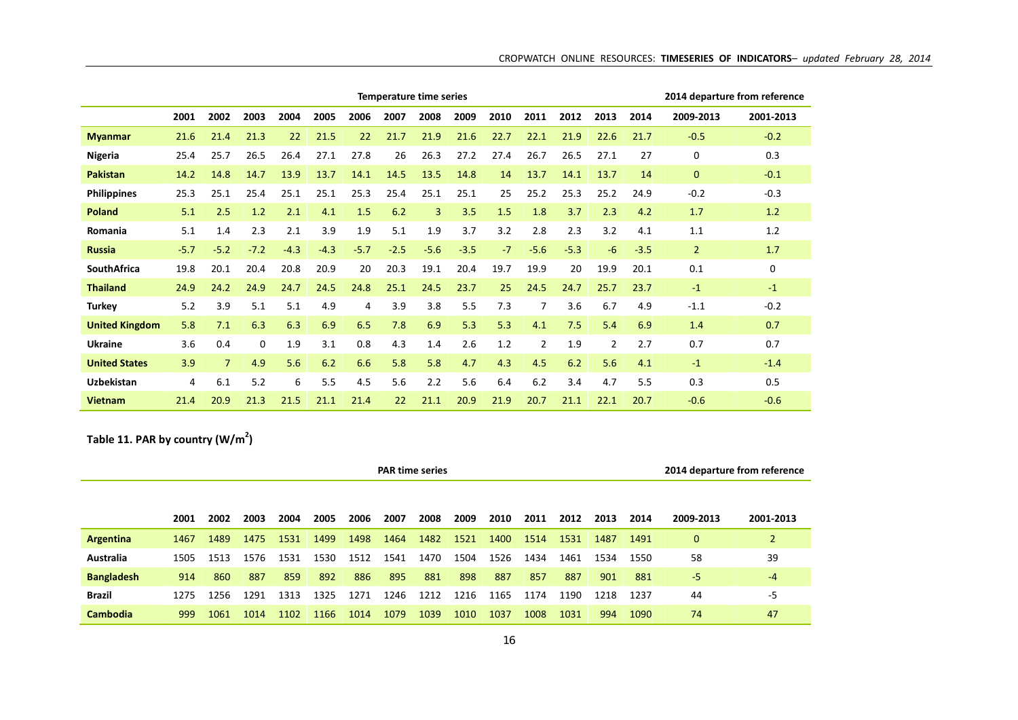|                      | <b>Temperature time series</b><br>2009<br>2002<br>2003<br>2005<br>2007<br>2008<br>2010<br>2011<br>2012<br>2001<br>2004<br>2006<br>22<br>21.5<br>22<br>22.1<br>21.4<br>21.3<br>21.7<br>21.9<br>21.6<br>22.7<br>21.9<br>21.6<br>27.8<br>25.7<br>26.5<br>26.4<br>27.1<br>26<br>26.3<br>27.2<br>27.4<br>26.7<br>26.5<br>27.1<br>25.4<br>13.9<br>13.7<br>14.5<br>13.5<br>14.8<br>13.7<br>14.2<br>14.8<br>14.7<br>14.1<br>14<br>14.1<br>13.7<br>25.1<br>25.1<br>25.3<br>25.1<br>25.1<br>25<br>25.2<br>25.3<br>25.1<br>25.4<br>25.4<br>25.3<br>3.5<br>2.5<br>6.2<br>$\overline{3}$<br>1.5<br>1.8<br>3.7<br>2.3<br>5.1<br>1.2<br>2.1<br>4.1<br>1.5<br>2.3<br>3.9<br>5.1<br>1.9<br>3.7<br>3.2<br>5.1<br>2.1<br>1.9<br>2.8<br>2.3<br>1.4<br>$-5.2$<br>$-7.2$<br>$-4.3$<br>$-4.3$<br>$-5.7$<br>$-2.5$<br>$-5.6$<br>$-3.5$<br>$-7$<br>$-5.6$<br>$-5.3$<br>$-5.7$<br><b>SouthAfrica</b><br>20.8<br>19.1<br>20<br>20.1<br>20.4<br>20.9<br>20<br>20.3<br>20.4<br>19.7<br>19.9<br>19.8<br><b>Thailand</b><br>24.9<br>24.7<br>24.5<br>24.8<br>25.1<br>24.5<br>23.7<br>25<br>24.5<br>24.7<br>24.9<br>24.2<br>3.6<br>6.7<br>5.2<br>3.9<br>5.1<br>5.1<br>4.9<br>3.9<br>3.8<br>5.5<br>7.3<br>7<br>4<br>6.3<br>6.3<br>6.9<br>7.8<br>6.9<br>5.3<br>5.3<br>7.5<br><b>United Kingdom</b><br>5.8<br>7.1<br>6.5<br>4.1 |                |      |      |      |      |     |      |      |      |                |      |      |        |                | 2014 departure from reference |
|----------------------|---------------------------------------------------------------------------------------------------------------------------------------------------------------------------------------------------------------------------------------------------------------------------------------------------------------------------------------------------------------------------------------------------------------------------------------------------------------------------------------------------------------------------------------------------------------------------------------------------------------------------------------------------------------------------------------------------------------------------------------------------------------------------------------------------------------------------------------------------------------------------------------------------------------------------------------------------------------------------------------------------------------------------------------------------------------------------------------------------------------------------------------------------------------------------------------------------------------------------------------------------------------------------------------------|----------------|------|------|------|------|-----|------|------|------|----------------|------|------|--------|----------------|-------------------------------|
|                      |                                                                                                                                                                                                                                                                                                                                                                                                                                                                                                                                                                                                                                                                                                                                                                                                                                                                                                                                                                                                                                                                                                                                                                                                                                                                                             |                |      |      |      |      |     |      |      |      |                |      | 2013 | 2014   | 2009-2013      | 2001-2013                     |
| <b>Myanmar</b>       |                                                                                                                                                                                                                                                                                                                                                                                                                                                                                                                                                                                                                                                                                                                                                                                                                                                                                                                                                                                                                                                                                                                                                                                                                                                                                             |                |      |      |      |      |     |      |      |      |                |      | 22.6 | 21.7   | $-0.5$         | $-0.2$                        |
| Nigeria              |                                                                                                                                                                                                                                                                                                                                                                                                                                                                                                                                                                                                                                                                                                                                                                                                                                                                                                                                                                                                                                                                                                                                                                                                                                                                                             |                |      |      |      |      |     |      |      |      |                |      |      | 27     | $\Omega$       | 0.3                           |
| <b>Pakistan</b>      |                                                                                                                                                                                                                                                                                                                                                                                                                                                                                                                                                                                                                                                                                                                                                                                                                                                                                                                                                                                                                                                                                                                                                                                                                                                                                             |                |      |      |      |      |     |      |      |      |                |      |      | 14     | $\mathbf{0}$   | $-0.1$                        |
| <b>Philippines</b>   |                                                                                                                                                                                                                                                                                                                                                                                                                                                                                                                                                                                                                                                                                                                                                                                                                                                                                                                                                                                                                                                                                                                                                                                                                                                                                             |                |      |      |      |      |     |      |      |      |                |      | 25.2 | 24.9   | $-0.2$         | $-0.3$                        |
| Poland               |                                                                                                                                                                                                                                                                                                                                                                                                                                                                                                                                                                                                                                                                                                                                                                                                                                                                                                                                                                                                                                                                                                                                                                                                                                                                                             |                |      |      |      |      |     |      |      |      |                |      |      | 4.2    | 1.7            | 1.2                           |
| Romania              |                                                                                                                                                                                                                                                                                                                                                                                                                                                                                                                                                                                                                                                                                                                                                                                                                                                                                                                                                                                                                                                                                                                                                                                                                                                                                             |                |      |      |      |      |     |      |      |      |                |      | 3.2  | 4.1    | 1.1            | 1.2                           |
| <b>Russia</b>        |                                                                                                                                                                                                                                                                                                                                                                                                                                                                                                                                                                                                                                                                                                                                                                                                                                                                                                                                                                                                                                                                                                                                                                                                                                                                                             |                |      |      |      |      |     |      |      |      |                |      | $-6$ | $-3.5$ | $\overline{2}$ | 1.7                           |
|                      |                                                                                                                                                                                                                                                                                                                                                                                                                                                                                                                                                                                                                                                                                                                                                                                                                                                                                                                                                                                                                                                                                                                                                                                                                                                                                             |                |      |      |      |      |     |      |      |      |                |      | 19.9 | 20.1   | 0.1            | 0                             |
|                      |                                                                                                                                                                                                                                                                                                                                                                                                                                                                                                                                                                                                                                                                                                                                                                                                                                                                                                                                                                                                                                                                                                                                                                                                                                                                                             |                |      |      |      |      |     |      |      |      |                |      | 25.7 | 23.7   | $-1$           | $-1$                          |
| <b>Turkey</b>        |                                                                                                                                                                                                                                                                                                                                                                                                                                                                                                                                                                                                                                                                                                                                                                                                                                                                                                                                                                                                                                                                                                                                                                                                                                                                                             |                |      |      |      |      |     |      |      |      |                |      |      | 4.9    | $-1.1$         | $-0.2$                        |
|                      |                                                                                                                                                                                                                                                                                                                                                                                                                                                                                                                                                                                                                                                                                                                                                                                                                                                                                                                                                                                                                                                                                                                                                                                                                                                                                             |                |      |      |      |      |     |      |      |      |                |      | 5.4  | 6.9    | 1.4            | 0.7                           |
| <b>Ukraine</b>       | 3.6                                                                                                                                                                                                                                                                                                                                                                                                                                                                                                                                                                                                                                                                                                                                                                                                                                                                                                                                                                                                                                                                                                                                                                                                                                                                                         | 0.4            | 0    | 1.9  | 3.1  | 0.8  | 4.3 | 1.4  | 2.6  | 1.2  | $\overline{2}$ | 1.9  | 2    | 2.7    | 0.7            | 0.7                           |
| <b>United States</b> | 3.9                                                                                                                                                                                                                                                                                                                                                                                                                                                                                                                                                                                                                                                                                                                                                                                                                                                                                                                                                                                                                                                                                                                                                                                                                                                                                         | $\overline{7}$ | 4.9  | 5.6  | 6.2  | 6.6  | 5.8 | 5.8  | 4.7  | 4.3  | 4.5            | 6.2  | 5.6  | 4.1    | $-1$           | $-1.4$                        |
| <b>Uzbekistan</b>    | 4                                                                                                                                                                                                                                                                                                                                                                                                                                                                                                                                                                                                                                                                                                                                                                                                                                                                                                                                                                                                                                                                                                                                                                                                                                                                                           | 6.1            | 5.2  | 6    | 5.5  | 4.5  | 5.6 | 2.2  | 5.6  | 6.4  | 6.2            | 3.4  | 4.7  | 5.5    | 0.3            | 0.5                           |
| <b>Vietnam</b>       | 21.4                                                                                                                                                                                                                                                                                                                                                                                                                                                                                                                                                                                                                                                                                                                                                                                                                                                                                                                                                                                                                                                                                                                                                                                                                                                                                        | 20.9           | 21.3 | 21.5 | 21.1 | 21.4 | 22  | 21.1 | 20.9 | 21.9 | 20.7           | 21.1 | 22.1 | 20.7   | $-0.6$         | $-0.6$                        |

**Table 11. PAR by country (W/m2)**

|                   | <b>PAR time series</b><br>2002<br>2004<br>2007<br>2008<br>2009<br>2010<br>2005<br>2006<br>2011<br>2012<br>2013<br>2003<br>2001<br>1489<br>1531<br>1499<br>1498<br>1464<br>1482<br>1521<br>1514<br>1475<br>1400<br>1531<br>1487<br>1467<br>1530<br>1526<br>1434<br>1531<br>1512<br>1541<br>1470<br>1504<br>1461<br>1534<br>1513<br>1576<br>1505<br>895<br>859<br>892<br>886<br>881<br>898<br>887<br>857<br>887<br>887<br>901<br>860<br>914<br>1256<br>1291<br>1313<br>1325<br>1271<br>1246<br>1212<br>1174<br>1190<br>1216<br>1165<br>1218<br>1275 |      |      |      |      |      |      |      |      |      |      |      |     |      |           | 2014 departure from reference |
|-------------------|---------------------------------------------------------------------------------------------------------------------------------------------------------------------------------------------------------------------------------------------------------------------------------------------------------------------------------------------------------------------------------------------------------------------------------------------------------------------------------------------------------------------------------------------------|------|------|------|------|------|------|------|------|------|------|------|-----|------|-----------|-------------------------------|
|                   |                                                                                                                                                                                                                                                                                                                                                                                                                                                                                                                                                   |      |      |      |      |      |      |      |      |      |      |      |     |      |           |                               |
|                   |                                                                                                                                                                                                                                                                                                                                                                                                                                                                                                                                                   |      |      |      |      |      |      |      |      |      |      |      |     | 2014 | 2009-2013 | 2001-2013                     |
| Argentina         |                                                                                                                                                                                                                                                                                                                                                                                                                                                                                                                                                   |      |      |      |      |      |      |      |      |      |      |      |     | 1491 | 0         |                               |
| Australia         |                                                                                                                                                                                                                                                                                                                                                                                                                                                                                                                                                   |      |      |      |      |      |      |      |      |      |      |      |     | 1550 | 58        | 39                            |
| <b>Bangladesh</b> |                                                                                                                                                                                                                                                                                                                                                                                                                                                                                                                                                   |      |      |      |      |      |      |      |      |      |      |      |     | 881  | $-5$      | $-4$                          |
| Brazil            |                                                                                                                                                                                                                                                                                                                                                                                                                                                                                                                                                   |      |      |      |      |      |      |      |      |      |      |      |     | 1237 | 44        | -5                            |
| <b>Cambodia</b>   | 999                                                                                                                                                                                                                                                                                                                                                                                                                                                                                                                                               | 1061 | 1014 | 1102 | 1166 | 1014 | 1079 | 1039 | 1010 | 1037 | 1008 | 1031 | 994 | 1090 | 74        | 47                            |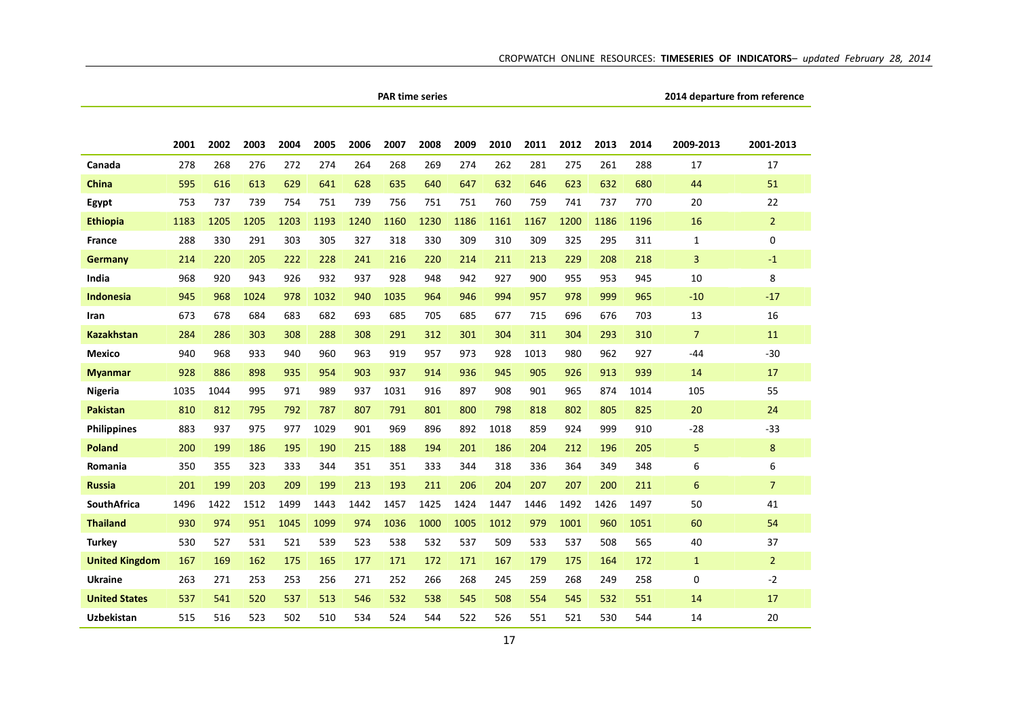|                       |      |      |      |      |      |      |      | <b>PAR time series</b> |      |      |      |      |      |      |                 | 2014 departure from reference |
|-----------------------|------|------|------|------|------|------|------|------------------------|------|------|------|------|------|------|-----------------|-------------------------------|
|                       |      |      |      |      |      |      |      |                        |      |      |      |      |      |      |                 |                               |
|                       | 2001 | 2002 | 2003 | 2004 | 2005 | 2006 | 2007 | 2008                   | 2009 | 2010 | 2011 | 2012 | 2013 | 2014 | 2009-2013       | 2001-2013                     |
| Canada                | 278  | 268  | 276  | 272  | 274  | 264  | 268  | 269                    | 274  | 262  | 281  | 275  | 261  | 288  | 17              | 17                            |
| <b>China</b>          | 595  | 616  | 613  | 629  | 641  | 628  | 635  | 640                    | 647  | 632  | 646  | 623  | 632  | 680  | 44              | 51                            |
| Egypt                 | 753  | 737  | 739  | 754  | 751  | 739  | 756  | 751                    | 751  | 760  | 759  | 741  | 737  | 770  | 20              | 22                            |
| <b>Ethiopia</b>       | 1183 | 1205 | 1205 | 1203 | 1193 | 1240 | 1160 | 1230                   | 1186 | 1161 | 1167 | 1200 | 1186 | 1196 | 16              | $\overline{2}$                |
| <b>France</b>         | 288  | 330  | 291  | 303  | 305  | 327  | 318  | 330                    | 309  | 310  | 309  | 325  | 295  | 311  | $\mathbf{1}$    | 0                             |
| Germany               | 214  | 220  | 205  | 222  | 228  | 241  | 216  | 220                    | 214  | 211  | 213  | 229  | 208  | 218  | 3               | $-1$                          |
| India                 | 968  | 920  | 943  | 926  | 932  | 937  | 928  | 948                    | 942  | 927  | 900  | 955  | 953  | 945  | 10              | 8                             |
| <b>Indonesia</b>      | 945  | 968  | 1024 | 978  | 1032 | 940  | 1035 | 964                    | 946  | 994  | 957  | 978  | 999  | 965  | $-10$           | $-17$                         |
| Iran                  | 673  | 678  | 684  | 683  | 682  | 693  | 685  | 705                    | 685  | 677  | 715  | 696  | 676  | 703  | 13              | 16                            |
| <b>Kazakhstan</b>     | 284  | 286  | 303  | 308  | 288  | 308  | 291  | 312                    | 301  | 304  | 311  | 304  | 293  | 310  | $\overline{7}$  | 11                            |
| Mexico                | 940  | 968  | 933  | 940  | 960  | 963  | 919  | 957                    | 973  | 928  | 1013 | 980  | 962  | 927  | $-44$           | $-30$                         |
| <b>Myanmar</b>        | 928  | 886  | 898  | 935  | 954  | 903  | 937  | 914                    | 936  | 945  | 905  | 926  | 913  | 939  | 14              | 17                            |
| <b>Nigeria</b>        | 1035 | 1044 | 995  | 971  | 989  | 937  | 1031 | 916                    | 897  | 908  | 901  | 965  | 874  | 1014 | 105             | 55                            |
| <b>Pakistan</b>       | 810  | 812  | 795  | 792  | 787  | 807  | 791  | 801                    | 800  | 798  | 818  | 802  | 805  | 825  | 20              | 24                            |
| <b>Philippines</b>    | 883  | 937  | 975  | 977  | 1029 | 901  | 969  | 896                    | 892  | 1018 | 859  | 924  | 999  | 910  | $-28$           | $-33$                         |
| <b>Poland</b>         | 200  | 199  | 186  | 195  | 190  | 215  | 188  | 194                    | 201  | 186  | 204  | 212  | 196  | 205  | 5               | 8                             |
| Romania               | 350  | 355  | 323  | 333  | 344  | 351  | 351  | 333                    | 344  | 318  | 336  | 364  | 349  | 348  | 6               | 6                             |
| <b>Russia</b>         | 201  | 199  | 203  | 209  | 199  | 213  | 193  | 211                    | 206  | 204  | 207  | 207  | 200  | 211  | $6\phantom{1}6$ | $\overline{7}$                |
| <b>SouthAfrica</b>    | 1496 | 1422 | 1512 | 1499 | 1443 | 1442 | 1457 | 1425                   | 1424 | 1447 | 1446 | 1492 | 1426 | 1497 | 50              | 41                            |
| <b>Thailand</b>       | 930  | 974  | 951  | 1045 | 1099 | 974  | 1036 | 1000                   | 1005 | 1012 | 979  | 1001 | 960  | 1051 | 60              | 54                            |
| <b>Turkey</b>         | 530  | 527  | 531  | 521  | 539  | 523  | 538  | 532                    | 537  | 509  | 533  | 537  | 508  | 565  | 40              | 37                            |
| <b>United Kingdom</b> | 167  | 169  | 162  | 175  | 165  | 177  | 171  | 172                    | 171  | 167  | 179  | 175  | 164  | 172  | $\mathbf{1}$    | $\overline{2}$                |
| <b>Ukraine</b>        | 263  | 271  | 253  | 253  | 256  | 271  | 252  | 266                    | 268  | 245  | 259  | 268  | 249  | 258  | $\mathbf 0$     | $-2$                          |
| <b>United States</b>  | 537  | 541  | 520  | 537  | 513  | 546  | 532  | 538                    | 545  | 508  | 554  | 545  | 532  | 551  | 14              | 17                            |
| <b>Uzbekistan</b>     | 515  | 516  | 523  | 502  | 510  | 534  | 524  | 544                    | 522  | 526  | 551  | 521  | 530  | 544  | 14              | 20                            |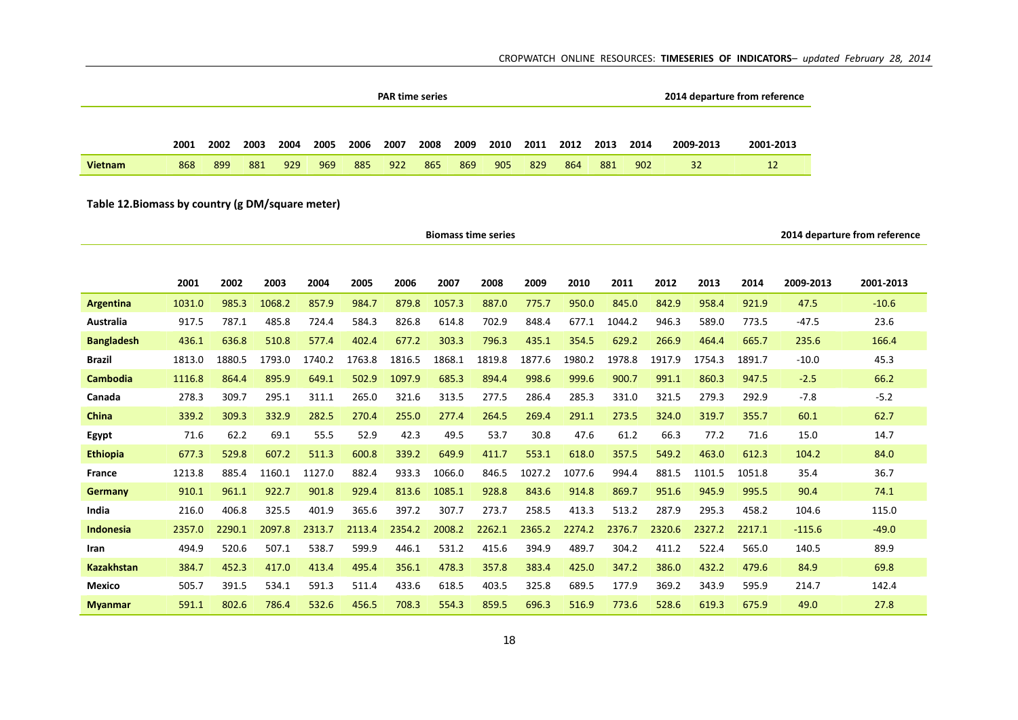|                | <b>PAR time series</b><br>2008<br>2012<br>2006<br>2007<br>2009<br>2010<br>2002<br>2003<br>2004<br>2005<br>2011<br>2013<br>2001 |     |     |     |     |     |     |     |     |     |     |     |     |      |           | 2014 departure from reference |
|----------------|--------------------------------------------------------------------------------------------------------------------------------|-----|-----|-----|-----|-----|-----|-----|-----|-----|-----|-----|-----|------|-----------|-------------------------------|
|                |                                                                                                                                |     |     |     |     |     |     |     |     |     |     |     |     |      |           |                               |
|                |                                                                                                                                |     |     |     |     |     |     |     |     |     |     |     |     | 2014 | 2009-2013 | 2001-2013                     |
| <b>Vietnam</b> | 868                                                                                                                            | 899 | 881 | 929 | 969 | 885 | 922 | 865 | 869 | 905 | 829 | 864 | 881 | 902  | 32        | 12                            |

## **Table 12.Biomass by country (g DM/square meter)**

|                   |        |        |        |        |        |        |        | <b>Biomass time series</b> |        |        |        |        |        |        |           | 2014 departure from reference |
|-------------------|--------|--------|--------|--------|--------|--------|--------|----------------------------|--------|--------|--------|--------|--------|--------|-----------|-------------------------------|
|                   |        |        |        |        |        |        |        |                            |        |        |        |        |        |        |           |                               |
|                   | 2001   | 2002   | 2003   | 2004   | 2005   | 2006   | 2007   | 2008                       | 2009   | 2010   | 2011   | 2012   | 2013   | 2014   | 2009-2013 | 2001-2013                     |
| Argentina         | 1031.0 | 985.3  | 1068.2 | 857.9  | 984.7  | 879.8  | 1057.3 | 887.0                      | 775.7  | 950.0  | 845.0  | 842.9  | 958.4  | 921.9  | 47.5      | $-10.6$                       |
| <b>Australia</b>  | 917.5  | 787.1  | 485.8  | 724.4  | 584.3  | 826.8  | 614.8  | 702.9                      | 848.4  | 677.1  | 1044.2 | 946.3  | 589.0  | 773.5  | $-47.5$   | 23.6                          |
| <b>Bangladesh</b> | 436.1  | 636.8  | 510.8  | 577.4  | 402.4  | 677.2  | 303.3  | 796.3                      | 435.1  | 354.5  | 629.2  | 266.9  | 464.4  | 665.7  | 235.6     | 166.4                         |
| <b>Brazil</b>     | 1813.0 | 1880.5 | 1793.0 | 1740.2 | 1763.8 | 1816.5 | 1868.1 | 1819.8                     | 1877.6 | 1980.2 | 1978.8 | 1917.9 | 1754.3 | 1891.7 | $-10.0$   | 45.3                          |
| <b>Cambodia</b>   | 1116.8 | 864.4  | 895.9  | 649.1  | 502.9  | 1097.9 | 685.3  | 894.4                      | 998.6  | 999.6  | 900.7  | 991.1  | 860.3  | 947.5  | $-2.5$    | 66.2                          |
| Canada            | 278.3  | 309.7  | 295.1  | 311.1  | 265.0  | 321.6  | 313.5  | 277.5                      | 286.4  | 285.3  | 331.0  | 321.5  | 279.3  | 292.9  | $-7.8$    | $-5.2$                        |
| <b>China</b>      | 339.2  | 309.3  | 332.9  | 282.5  | 270.4  | 255.0  | 277.4  | 264.5                      | 269.4  | 291.1  | 273.5  | 324.0  | 319.7  | 355.7  | 60.1      | 62.7                          |
| Egypt             | 71.6   | 62.2   | 69.1   | 55.5   | 52.9   | 42.3   | 49.5   | 53.7                       | 30.8   | 47.6   | 61.2   | 66.3   | 77.2   | 71.6   | 15.0      | 14.7                          |
| <b>Ethiopia</b>   | 677.3  | 529.8  | 607.2  | 511.3  | 600.8  | 339.2  | 649.9  | 411.7                      | 553.1  | 618.0  | 357.5  | 549.2  | 463.0  | 612.3  | 104.2     | 84.0                          |
| <b>France</b>     | 1213.8 | 885.4  | 1160.1 | 1127.0 | 882.4  | 933.3  | 1066.0 | 846.5                      | 1027.2 | 1077.6 | 994.4  | 881.5  | 1101.5 | 1051.8 | 35.4      | 36.7                          |
| <b>Germany</b>    | 910.1  | 961.1  | 922.7  | 901.8  | 929.4  | 813.6  | 1085.1 | 928.8                      | 843.6  | 914.8  | 869.7  | 951.6  | 945.9  | 995.5  | 90.4      | 74.1                          |
| India             | 216.0  | 406.8  | 325.5  | 401.9  | 365.6  | 397.2  | 307.7  | 273.7                      | 258.5  | 413.3  | 513.2  | 287.9  | 295.3  | 458.2  | 104.6     | 115.0                         |
| <b>Indonesia</b>  | 2357.0 | 2290.1 | 2097.8 | 2313.7 | 2113.4 | 2354.2 | 2008.2 | 2262.1                     | 2365.2 | 2274.2 | 2376.7 | 2320.6 | 2327.2 | 2217.1 | $-115.6$  | $-49.0$                       |
| Iran              | 494.9  | 520.6  | 507.1  | 538.7  | 599.9  | 446.1  | 531.2  | 415.6                      | 394.9  | 489.7  | 304.2  | 411.2  | 522.4  | 565.0  | 140.5     | 89.9                          |
| <b>Kazakhstan</b> | 384.7  | 452.3  | 417.0  | 413.4  | 495.4  | 356.1  | 478.3  | 357.8                      | 383.4  | 425.0  | 347.2  | 386.0  | 432.2  | 479.6  | 84.9      | 69.8                          |
| <b>Mexico</b>     | 505.7  | 391.5  | 534.1  | 591.3  | 511.4  | 433.6  | 618.5  | 403.5                      | 325.8  | 689.5  | 177.9  | 369.2  | 343.9  | 595.9  | 214.7     | 142.4                         |
| <b>Myanmar</b>    | 591.1  | 802.6  | 786.4  | 532.6  | 456.5  | 708.3  | 554.3  | 859.5                      | 696.3  | 516.9  | 773.6  | 528.6  | 619.3  | 675.9  | 49.0      | 27.8                          |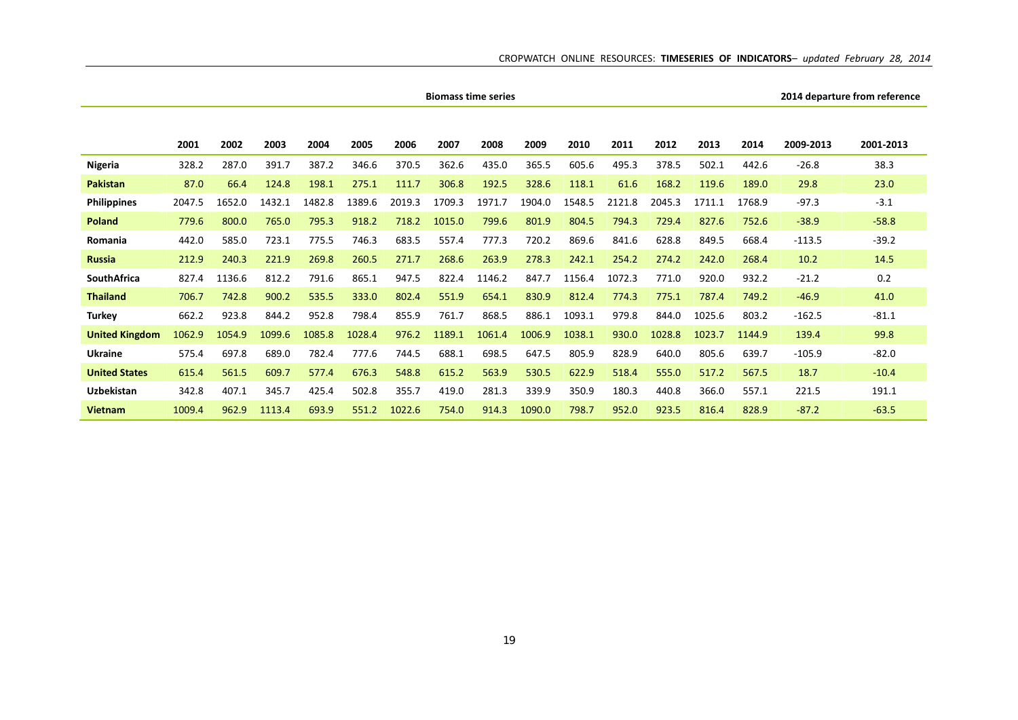|                       |        |        |        |        |        |        |        | <b>Biomass time series</b> |        |        |        |        |        |        |           | 2014 departure from reference |
|-----------------------|--------|--------|--------|--------|--------|--------|--------|----------------------------|--------|--------|--------|--------|--------|--------|-----------|-------------------------------|
|                       |        |        |        |        |        |        |        |                            |        |        |        |        |        |        |           |                               |
|                       | 2001   | 2002   | 2003   | 2004   | 2005   | 2006   | 2007   | 2008                       | 2009   | 2010   | 2011   | 2012   | 2013   | 2014   | 2009-2013 | 2001-2013                     |
| Nigeria               | 328.2  | 287.0  | 391.7  | 387.2  | 346.6  | 370.5  | 362.6  | 435.0                      | 365.5  | 605.6  | 495.3  | 378.5  | 502.1  | 442.6  | $-26.8$   | 38.3                          |
| <b>Pakistan</b>       | 87.0   | 66.4   | 124.8  | 198.1  | 275.1  | 111.7  | 306.8  | 192.5                      | 328.6  | 118.1  | 61.6   | 168.2  | 119.6  | 189.0  | 29.8      | 23.0                          |
| <b>Philippines</b>    | 2047.5 | 1652.0 | 1432.1 | 1482.8 | 1389.6 | 2019.3 | 1709.3 | 1971.7                     | 1904.0 | 1548.5 | 2121.8 | 2045.3 | 1711.1 | 1768.9 | $-97.3$   | $-3.1$                        |
| <b>Poland</b>         | 779.6  | 800.0  | 765.0  | 795.3  | 918.2  | 718.2  | 1015.0 | 799.6                      | 801.9  | 804.5  | 794.3  | 729.4  | 827.6  | 752.6  | $-38.9$   | $-58.8$                       |
| Romania               | 442.0  | 585.0  | 723.1  | 775.5  | 746.3  | 683.5  | 557.4  | 777.3                      | 720.2  | 869.6  | 841.6  | 628.8  | 849.5  | 668.4  | $-113.5$  | $-39.2$                       |
| <b>Russia</b>         | 212.9  | 240.3  | 221.9  | 269.8  | 260.5  | 271.7  | 268.6  | 263.9                      | 278.3  | 242.1  | 254.2  | 274.2  | 242.0  | 268.4  | 10.2      | 14.5                          |
| <b>SouthAfrica</b>    | 827.4  | 1136.6 | 812.2  | 791.6  | 865.1  | 947.5  | 822.4  | 1146.2                     | 847.7  | 1156.4 | 1072.3 | 771.0  | 920.0  | 932.2  | $-21.2$   | 0.2                           |
| <b>Thailand</b>       | 706.7  | 742.8  | 900.2  | 535.5  | 333.0  | 802.4  | 551.9  | 654.1                      | 830.9  | 812.4  | 774.3  | 775.1  | 787.4  | 749.2  | $-46.9$   | 41.0                          |
| <b>Turkey</b>         | 662.2  | 923.8  | 844.2  | 952.8  | 798.4  | 855.9  | 761.7  | 868.5                      | 886.1  | 1093.1 | 979.8  | 844.0  | 1025.6 | 803.2  | $-162.5$  | $-81.1$                       |
| <b>United Kingdom</b> | 1062.9 | 1054.9 | 1099.6 | 1085.8 | 1028.4 | 976.2  | 1189.1 | 1061.4                     | 1006.9 | 1038.1 | 930.0  | 1028.8 | 1023.7 | 1144.9 | 139.4     | 99.8                          |
| <b>Ukraine</b>        | 575.4  | 697.8  | 689.0  | 782.4  | 777.6  | 744.5  | 688.1  | 698.5                      | 647.5  | 805.9  | 828.9  | 640.0  | 805.6  | 639.7  | $-105.9$  | $-82.0$                       |
| <b>United States</b>  | 615.4  | 561.5  | 609.7  | 577.4  | 676.3  | 548.8  | 615.2  | 563.9                      | 530.5  | 622.9  | 518.4  | 555.0  | 517.2  | 567.5  | 18.7      | $-10.4$                       |
| Uzbekistan            | 342.8  | 407.1  | 345.7  | 425.4  | 502.8  | 355.7  | 419.0  | 281.3                      | 339.9  | 350.9  | 180.3  | 440.8  | 366.0  | 557.1  | 221.5     | 191.1                         |
| <b>Vietnam</b>        | 1009.4 | 962.9  | 1113.4 | 693.9  | 551.2  | 1022.6 | 754.0  | 914.3                      | 1090.0 | 798.7  | 952.0  | 923.5  | 816.4  | 828.9  | $-87.2$   | $-63.5$                       |

L.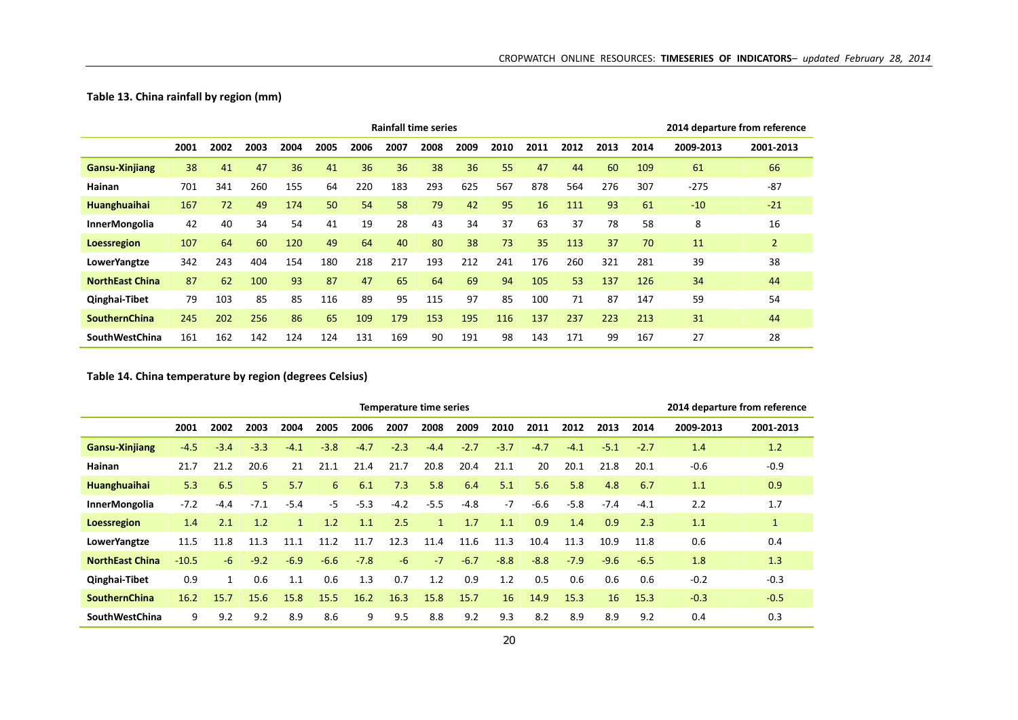## **Table 13. China rainfall by region (mm)**

|                        |      |      |      |      |      |      |      | <b>Rainfall time series</b> |      |      |      |      |      |      | 2014 departure from reference |                |
|------------------------|------|------|------|------|------|------|------|-----------------------------|------|------|------|------|------|------|-------------------------------|----------------|
|                        | 2001 | 2002 | 2003 | 2004 | 2005 | 2006 | 2007 | 2008                        | 2009 | 2010 | 2011 | 2012 | 2013 | 2014 | 2009-2013                     | 2001-2013      |
| <b>Gansu-Xinjiang</b>  | 38   | 41   | 47   | 36   | 41   | 36   | 36   | 38                          | 36   | 55   | 47   | 44   | 60   | 109  | 61                            | 66             |
| Hainan                 | 701  | 341  | 260  | 155  | 64   | 220  | 183  | 293                         | 625  | 567  | 878  | 564  | 276  | 307  | $-275$                        | $-87$          |
| Huanghuaihai           | 167  | 72   | 49   | 174  | 50   | 54   | 58   | 79                          | 42   | 95   | 16   | 111  | 93   | 61   | $-10$                         | $-21$          |
| InnerMongolia          | 42   | 40   | 34   | 54   | 41   | 19   | 28   | 43                          | 34   | 37   | 63   | 37   | 78   | 58   | 8                             | 16             |
| <b>Loessregion</b>     | 107  | 64   | 60   | 120  | 49   | 64   | 40   | 80                          | 38   | 73   | 35   | 113  | 37   | 70   | 11                            | $\overline{2}$ |
| LowerYangtze           | 342  | 243  | 404  | 154  | 180  | 218  | 217  | 193                         | 212  | 241  | 176  | 260  | 321  | 281  | 39                            | 38             |
| <b>NorthEast China</b> | 87   | 62   | 100  | 93   | 87   | 47   | 65   | 64                          | 69   | 94   | 105  | 53   | 137  | 126  | 34                            | 44             |
| Qinghai-Tibet          | 79   | 103  | 85   | 85   | 116  | 89   | 95   | 115                         | 97   | 85   | 100  | 71   | 87   | 147  | 59                            | 54             |
| <b>SouthernChina</b>   | 245  | 202  | 256  | 86   | 65   | 109  | 179  | 153                         | 195  | 116  | 137  | 237  | 223  | 213  | 31                            | 44             |
| <b>SouthWestChina</b>  | 161  | 162  | 142  | 124  | 124  | 131  | 169  | 90                          | 191  | 98   | 143  | 171  | 99   | 167  | 27                            | 28             |

**Table 14. China temperature by region (degrees Celsius)**

|                        |         |              |                |              |        |        | <b>Temperature time series</b> |              |        |        |        |        |        |        |           | 2014 departure from reference |
|------------------------|---------|--------------|----------------|--------------|--------|--------|--------------------------------|--------------|--------|--------|--------|--------|--------|--------|-----------|-------------------------------|
|                        | 2001    | 2002         | 2003           | 2004         | 2005   | 2006   | 2007                           | 2008         | 2009   | 2010   | 2011   | 2012   | 2013   | 2014   | 2009-2013 | 2001-2013                     |
| <b>Gansu-Xinjiang</b>  | $-4.5$  | $-3.4$       | $-3.3$         | $-4.1$       | $-3.8$ | $-4.7$ | $-2.3$                         | $-4.4$       | $-2.7$ | $-3.7$ | $-4.7$ | $-4.1$ | $-5.1$ | $-2.7$ | 1.4       | 1.2                           |
| Hainan                 | 21.7    | 21.2         | 20.6           | 21           | 21.1   | 21.4   | 21.7                           | 20.8         | 20.4   | 21.1   | 20     | 20.1   | 21.8   | 20.1   | $-0.6$    | $-0.9$                        |
| Huanghuaihai           | 5.3     | 6.5          | 5 <sup>1</sup> | 5.7          | 6      | 6.1    | 7.3                            | 5.8          | 6.4    | 5.1    | 5.6    | 5.8    | 4.8    | 6.7    | 1.1       | 0.9                           |
| <b>InnerMongolia</b>   | $-7.2$  | $-4.4$       | $-7.1$         | $-5.4$       | $-5$   | $-5.3$ | $-4.2$                         | $-5.5$       | -4.8   | $-7$   | $-6.6$ | $-5.8$ | $-7.4$ | $-4.1$ | 2.2       | 1.7                           |
| Loessregion            | 1.4     | 2.1          | 1.2            | $\mathbf{1}$ | 1.2    | 1.1    | 2.5                            | $\mathbf{1}$ | 1.7    | 1.1    | 0.9    | 1.4    | 0.9    | 2.3    | 1.1       | $\mathbf{1}$                  |
| LowerYangtze           | 11.5    | 11.8         | 11.3           | 11.1         | 11.2   | 11.7   | 12.3                           | 11.4         | 11.6   | 11.3   | 10.4   | 11.3   | 10.9   | 11.8   | 0.6       | 0.4                           |
| <b>NorthEast China</b> | $-10.5$ | $-6$         | $-9.2$         | $-6.9$       | $-6.6$ | $-7.8$ | $-6$                           | $-7$         | $-6.7$ | $-8.8$ | $-8.8$ | $-7.9$ | $-9.6$ | $-6.5$ | 1.8       | 1.3                           |
| Qinghai-Tibet          | 0.9     | $\mathbf{1}$ | 0.6            | 1.1          | 0.6    | 1.3    | 0.7                            | 1.2          | 0.9    | 1.2    | 0.5    | 0.6    | 0.6    | 0.6    | $-0.2$    | $-0.3$                        |
| <b>SouthernChina</b>   | 16.2    | 15.7         | 15.6           | 15.8         | 15.5   | 16.2   | 16.3                           | 15.8         | 15.7   | 16     | 14.9   | 15.3   | 16     | 15.3   | $-0.3$    | $-0.5$                        |
| <b>SouthWestChina</b>  | 9       | 9.2          | 9.2            | 8.9          | 8.6    | 9      | 9.5                            | 8.8          | 9.2    | 9.3    | 8.2    | 8.9    | 8.9    | 9.2    | 0.4       | 0.3                           |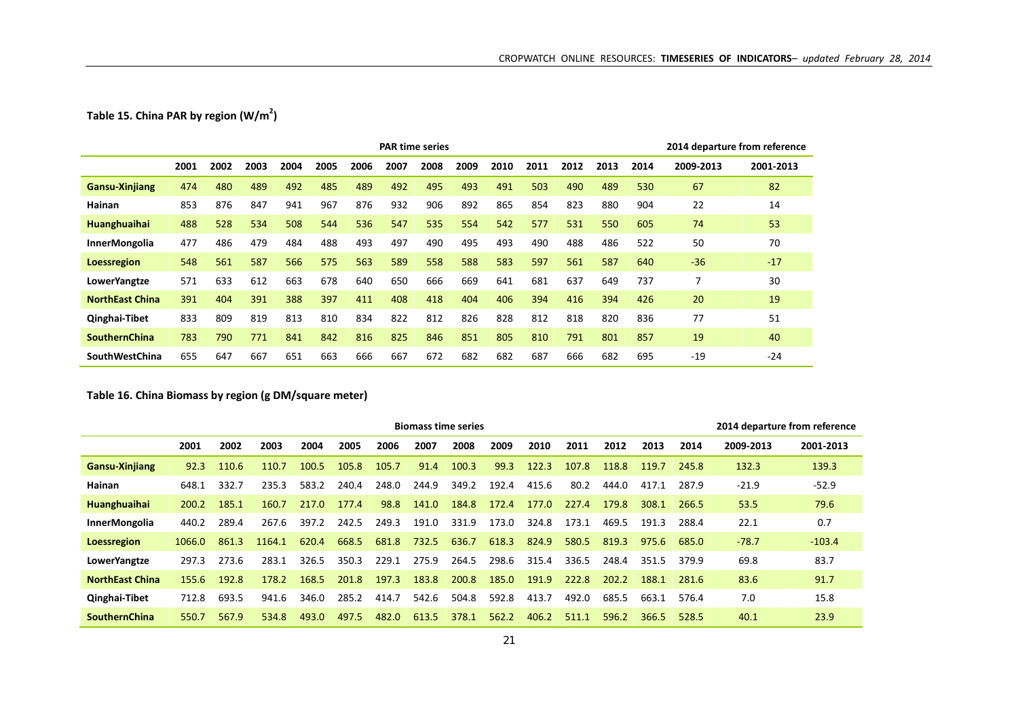## **Table 15. China PAR by region (W/m2)**

|                        |      |      |      |      |      |      | <b>PAR time series</b> |      |      |      |      |      |      |      |           | 2014 departure from reference |
|------------------------|------|------|------|------|------|------|------------------------|------|------|------|------|------|------|------|-----------|-------------------------------|
|                        | 2001 | 2002 | 2003 | 2004 | 2005 | 2006 | 2007                   | 2008 | 2009 | 2010 | 2011 | 2012 | 2013 | 2014 | 2009-2013 | 2001-2013                     |
| <b>Gansu-Xinjiang</b>  | 474  | 480  | 489  | 492  | 485  | 489  | 492                    | 495  | 493  | 491  | 503  | 490  | 489  | 530  | 67        | 82                            |
| Hainan                 | 853  | 876  | 847  | 941  | 967  | 876  | 932                    | 906  | 892  | 865  | 854  | 823  | 880  | 904  | 22        | 14                            |
| <b>Huanghuaihai</b>    | 488  | 528  | 534  | 508  | 544  | 536  | 547                    | 535  | 554  | 542  | 577  | 531  | 550  | 605  | 74        | 53                            |
| InnerMongolia          | 477  | 486  | 479  | 484  | 488  | 493  | 497                    | 490  | 495  | 493  | 490  | 488  | 486  | 522  | 50        | 70                            |
| <b>Loessregion</b>     | 548  | 561  | 587  | 566  | 575  | 563  | 589                    | 558  | 588  | 583  | 597  | 561  | 587  | 640  | $-36$     | $-17$                         |
| LowerYangtze           | 571  | 633  | 612  | 663  | 678  | 640  | 650                    | 666  | 669  | 641  | 681  | 637  | 649  | 737  |           | 30                            |
| <b>NorthEast China</b> | 391  | 404  | 391  | 388  | 397  | 411  | 408                    | 418  | 404  | 406  | 394  | 416  | 394  | 426  | 20        | 19                            |
| Qinghai-Tibet          | 833  | 809  | 819  | 813  | 810  | 834  | 822                    | 812  | 826  | 828  | 812  | 818  | 820  | 836  | 77        | 51                            |
| <b>SouthernChina</b>   | 783  | 790  | 771  | 841  | 842  | 816  | 825                    | 846  | 851  | 805  | 810  | 791  | 801  | 857  | 19        | 40                            |
| <b>SouthWestChina</b>  | 655  | 647  | 667  | 651  | 663  | 666  | 667                    | 672  | 682  | 682  | 687  | 666  | 682  | 695  | $-19$     | $-24$                         |

## **Table 16. China Biomass by region (g DM/square meter)**

|                        | <b>Biomass time series</b><br>2002<br>2009<br>2001<br>2003<br>2004<br>2005<br>2006<br>2007<br>2008<br>2010<br>2011<br>2013<br>2014<br>2012<br>100.3<br>122.3<br>110.6<br>100.5<br>105.7<br>91.4<br>99.3<br>110.7<br>105.8<br>107.8<br>118.8<br>92.3<br>245.8<br>119.7<br>248.0<br>583.2<br>240.4<br>244.9<br>349.2<br>332.7<br>192.4<br>415.6<br>80.2<br>444.0<br>235.3<br>417.1<br>287.9<br>648.1<br>98.8<br>217.0<br>184.8<br>172.4<br>185.1<br>160.7<br>177.4<br>141.0<br>177.0<br>227.4<br>179.8<br>308.1<br>200.2<br>266.5<br>242.5<br>249.3<br>191.0<br>331.9<br>324.8<br>289.4<br>267.6<br>397.2<br>173.0<br>469.5<br>173.1<br>288.4<br>191.3<br>440.2<br>668.5<br>681.8<br>732.5<br>636.7<br>824.9<br>620.4<br>618.3<br>580.5<br>819.3<br>1164.1<br>685.0<br>861.3<br>975.6<br>1066.0<br>229.1<br>275.9<br>264.5<br>298.6<br>315.4<br>273.6<br>283.1<br>326.5<br>350.3<br>336.5<br>248.4<br>379.9<br>351.5<br>297.3<br>168.5<br>201.8<br>197.3<br>183.8<br>200.8<br>191.9<br>192.8<br>185.0<br>222.8<br>202.2<br>178.2<br>188.1<br>155.6<br>281.6<br>693.5<br>285.2<br>414.7<br>542.6<br>504.8<br>592.8<br>413.7<br>492.0<br>346.0<br>685.5<br>941.6<br>663.1<br>576.4<br>712.8 |       |       |       |       |       |       |       |       |       |       |       |       | 2014 departure from reference |           |           |
|------------------------|-----------------------------------------------------------------------------------------------------------------------------------------------------------------------------------------------------------------------------------------------------------------------------------------------------------------------------------------------------------------------------------------------------------------------------------------------------------------------------------------------------------------------------------------------------------------------------------------------------------------------------------------------------------------------------------------------------------------------------------------------------------------------------------------------------------------------------------------------------------------------------------------------------------------------------------------------------------------------------------------------------------------------------------------------------------------------------------------------------------------------------------------------------------------------------------------|-------|-------|-------|-------|-------|-------|-------|-------|-------|-------|-------|-------|-------------------------------|-----------|-----------|
|                        |                                                                                                                                                                                                                                                                                                                                                                                                                                                                                                                                                                                                                                                                                                                                                                                                                                                                                                                                                                                                                                                                                                                                                                                         |       |       |       |       |       |       |       |       |       |       |       |       |                               | 2009-2013 | 2001-2013 |
| <b>Gansu-Xinjiang</b>  |                                                                                                                                                                                                                                                                                                                                                                                                                                                                                                                                                                                                                                                                                                                                                                                                                                                                                                                                                                                                                                                                                                                                                                                         |       |       |       |       |       |       |       |       |       |       |       |       |                               | 132.3     | 139.3     |
| Hainan                 |                                                                                                                                                                                                                                                                                                                                                                                                                                                                                                                                                                                                                                                                                                                                                                                                                                                                                                                                                                                                                                                                                                                                                                                         |       |       |       |       |       |       |       |       |       |       |       |       |                               | $-21.9$   | $-52.9$   |
| <b>Huanghuaihai</b>    |                                                                                                                                                                                                                                                                                                                                                                                                                                                                                                                                                                                                                                                                                                                                                                                                                                                                                                                                                                                                                                                                                                                                                                                         |       |       |       |       |       |       |       |       |       |       |       |       |                               | 53.5      | 79.6      |
| <b>InnerMongolia</b>   |                                                                                                                                                                                                                                                                                                                                                                                                                                                                                                                                                                                                                                                                                                                                                                                                                                                                                                                                                                                                                                                                                                                                                                                         |       |       |       |       |       |       |       |       |       |       |       |       |                               | 22.1      | 0.7       |
| <b>Loessregion</b>     |                                                                                                                                                                                                                                                                                                                                                                                                                                                                                                                                                                                                                                                                                                                                                                                                                                                                                                                                                                                                                                                                                                                                                                                         |       |       |       |       |       |       |       |       |       |       |       |       |                               | $-78.7$   | $-103.4$  |
| LowerYangtze           |                                                                                                                                                                                                                                                                                                                                                                                                                                                                                                                                                                                                                                                                                                                                                                                                                                                                                                                                                                                                                                                                                                                                                                                         |       |       |       |       |       |       |       |       |       |       |       |       |                               | 69.8      | 83.7      |
| <b>NorthEast China</b> |                                                                                                                                                                                                                                                                                                                                                                                                                                                                                                                                                                                                                                                                                                                                                                                                                                                                                                                                                                                                                                                                                                                                                                                         |       |       |       |       |       |       |       |       |       |       |       |       |                               | 83.6      | 91.7      |
| Qinghai-Tibet          |                                                                                                                                                                                                                                                                                                                                                                                                                                                                                                                                                                                                                                                                                                                                                                                                                                                                                                                                                                                                                                                                                                                                                                                         |       |       |       |       |       |       |       |       |       |       |       |       |                               | 7.0       | 15.8      |
| <b>SouthernChina</b>   | 550.7                                                                                                                                                                                                                                                                                                                                                                                                                                                                                                                                                                                                                                                                                                                                                                                                                                                                                                                                                                                                                                                                                                                                                                                   | 567.9 | 534.8 | 493.0 | 497.5 | 482.0 | 613.5 | 378.1 | 562.2 | 406.2 | 511.1 | 596.2 | 366.5 | 528.5                         | 40.1      | 23.9      |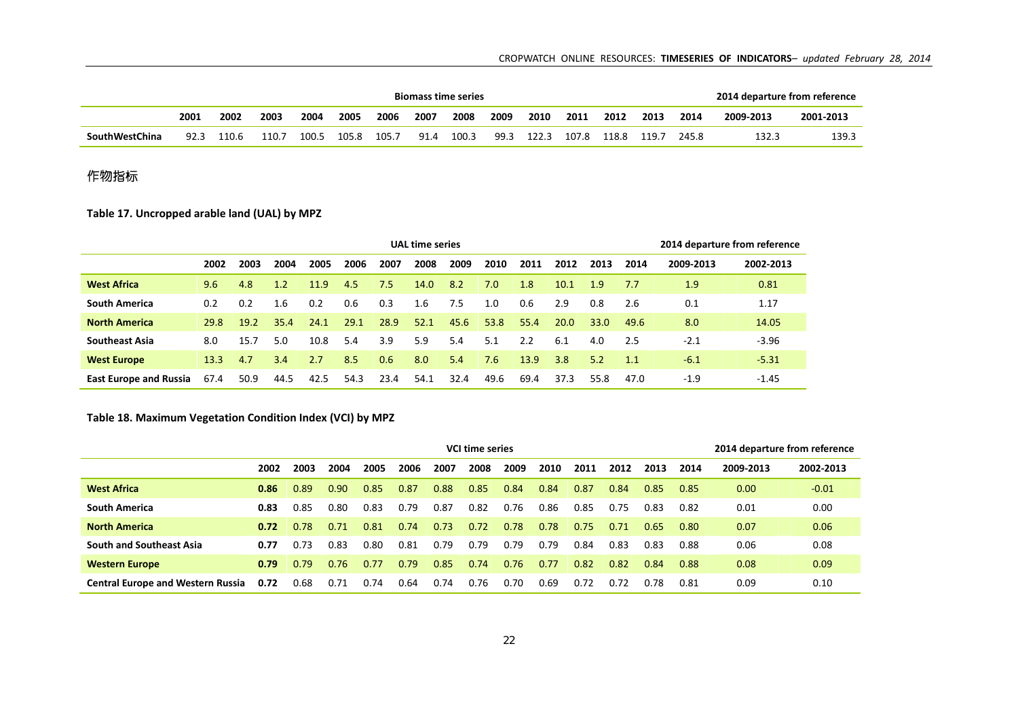### CROPWATCH ONLINE RESOURCES: **TIMESERIES OF INDICATORS***– updated February 28, 2014*

|                |      |       |       |       |       |       |      | <b>Biomass time series</b> |      |       |       |       |       |       | 2014 departure from reference |           |
|----------------|------|-------|-------|-------|-------|-------|------|----------------------------|------|-------|-------|-------|-------|-------|-------------------------------|-----------|
|                | 2001 | 2002  | 2003  | 2004  | 2005  | 2006  | 2007 | 2008                       | 2009 | 2010  | 2011  | 2012  | 2013  | 2014  | 2009-2013                     | 2001-2013 |
| SouthWestChina | 92.3 | 110.6 | 110.7 | 100.5 | 105.8 | 105.7 | 91.4 | 100.3                      | 99.3 | 122.3 | 107.8 | 118.8 | - ۱۱۹ | 245.8 | 132.3                         | 139.3     |

# 作物指标

**Table 17. Uncropped arable land (UAL) by MPZ**

| <b>UAL time series</b><br>2014 departure from reference<br>2003<br>2006<br>2007<br>2008<br>2009<br>2011<br>2012<br>2009-2013<br>2002<br>2004<br>2005<br>2010<br>2013<br>2014<br>8.2<br><b>West Africa</b><br>14.0<br>7.0<br>4.8<br>1.2<br>11.9<br>4.5<br>1.8<br>10.1<br>1.9<br>0.81<br>9.6<br>7.5<br>1.9<br>7.7<br>0.6<br>0.3<br><b>South America</b><br>7.5<br>0.6<br>2.9<br>0.8<br>1.17<br>0.2<br>0.2<br>2.6<br>0.1<br>1.6<br>1.6<br>1.0<br>0.2<br>28.9<br>29.1<br>52.1<br>45.6<br>53.8<br>55.4<br>35.4<br>24.1<br>20.0<br>8.0<br>14.05<br><b>North America</b><br>$19.2^{\circ}$<br>33.0<br>49.6<br>29.8<br>3.9<br>5.9<br>10.8<br>5.4<br>5.1<br>2.2<br>$-3.96$<br><b>Southeast Asia</b><br>5.0<br>5.4<br>6.1<br>2.5<br>15.7<br>$-2.1$<br>8.0<br>4.0 |      |      |      |      |      |      |      |      |      |      |      |      |      |        |           |
|--------------------------------------------------------------------------------------------------------------------------------------------------------------------------------------------------------------------------------------------------------------------------------------------------------------------------------------------------------------------------------------------------------------------------------------------------------------------------------------------------------------------------------------------------------------------------------------------------------------------------------------------------------------------------------------------------------------------------------------------------------|------|------|------|------|------|------|------|------|------|------|------|------|------|--------|-----------|
|                                                                                                                                                                                                                                                                                                                                                                                                                                                                                                                                                                                                                                                                                                                                                        |      |      |      |      |      |      |      |      |      |      |      |      |      |        | 2002-2013 |
|                                                                                                                                                                                                                                                                                                                                                                                                                                                                                                                                                                                                                                                                                                                                                        |      |      |      |      |      |      |      |      |      |      |      |      |      |        |           |
|                                                                                                                                                                                                                                                                                                                                                                                                                                                                                                                                                                                                                                                                                                                                                        |      |      |      |      |      |      |      |      |      |      |      |      |      |        |           |
|                                                                                                                                                                                                                                                                                                                                                                                                                                                                                                                                                                                                                                                                                                                                                        |      |      |      |      |      |      |      |      |      |      |      |      |      |        |           |
|                                                                                                                                                                                                                                                                                                                                                                                                                                                                                                                                                                                                                                                                                                                                                        |      |      |      |      |      |      |      |      |      |      |      |      |      |        |           |
| <b>West Europe</b>                                                                                                                                                                                                                                                                                                                                                                                                                                                                                                                                                                                                                                                                                                                                     | 13.3 | 4.7  | 3.4  | 2.7  | 8.5  | 0.6  | 8.0  | 5.4  | 7.6  | 13.9 | 3.8  | 5.2  | 1.1  | $-6.1$ | $-5.31$   |
| <b>East Europe and Russia</b>                                                                                                                                                                                                                                                                                                                                                                                                                                                                                                                                                                                                                                                                                                                          | 67.4 | 50.9 | 44.5 | 42.5 | 54.3 | 23.4 | 54.1 | 32.4 | 49.6 | 69.4 | 37.3 | 55.8 | 47.0 | $-1.9$ | $-1.45$   |

## **Table 18. Maximum Vegetation Condition Index (VCI) by MPZ**

|                                          |      |      |      |      |      |      | <b>VCI time series</b> |      |      |      |      |      |      | 2014 departure from reference |           |
|------------------------------------------|------|------|------|------|------|------|------------------------|------|------|------|------|------|------|-------------------------------|-----------|
|                                          | 2002 | 2003 | 2004 | 2005 | 2006 | 2007 | 2008                   | 2009 | 2010 | 2011 | 2012 | 2013 | 2014 | 2009-2013                     | 2002-2013 |
| <b>West Africa</b>                       | 0.86 | 0.89 | 0.90 | 0.85 | 0.87 | 0.88 | 0.85                   | 0.84 | 0.84 | 0.87 | 0.84 | 0.85 | 0.85 | 0.00                          | $-0.01$   |
| <b>South America</b>                     | 0.83 | 0.85 | 0.80 | 0.83 | 0.79 | 0.87 | 0.82                   | 0.76 | 0.86 | 0.85 | 0.75 | 0.83 | 0.82 | 0.01                          | 0.00      |
| <b>North America</b>                     | 0.72 | 0.78 | 0.71 | 0.81 | 0.74 | 0.73 | 0.72                   | 0.78 | 0.78 | 0.75 | 0.71 | 0.65 | 0.80 | 0.07                          | 0.06      |
| <b>South and Southeast Asia</b>          | 0.77 | 0.73 | 0.83 | 0.80 | 0.81 | 0.79 | 0.79                   | 0.79 | 0.79 | 0.84 | 0.83 | 0.83 | 0.88 | 0.06                          | 0.08      |
| <b>Western Europe</b>                    | 0.79 | 0.79 | 0.76 | 0.77 | 0.79 | 0.85 | 0.74                   | 0.76 | 0.77 | 0.82 | 0.82 | 0.84 | 0.88 | 0.08                          | 0.09      |
| <b>Central Europe and Western Russia</b> | 0.72 | 0.68 | 0.71 | 0.74 | 0.64 | 0.74 | 0.76                   | 0.70 | 0.69 | 0.72 | 0.72 | 0.78 | 0.81 | 0.09                          | 0.10      |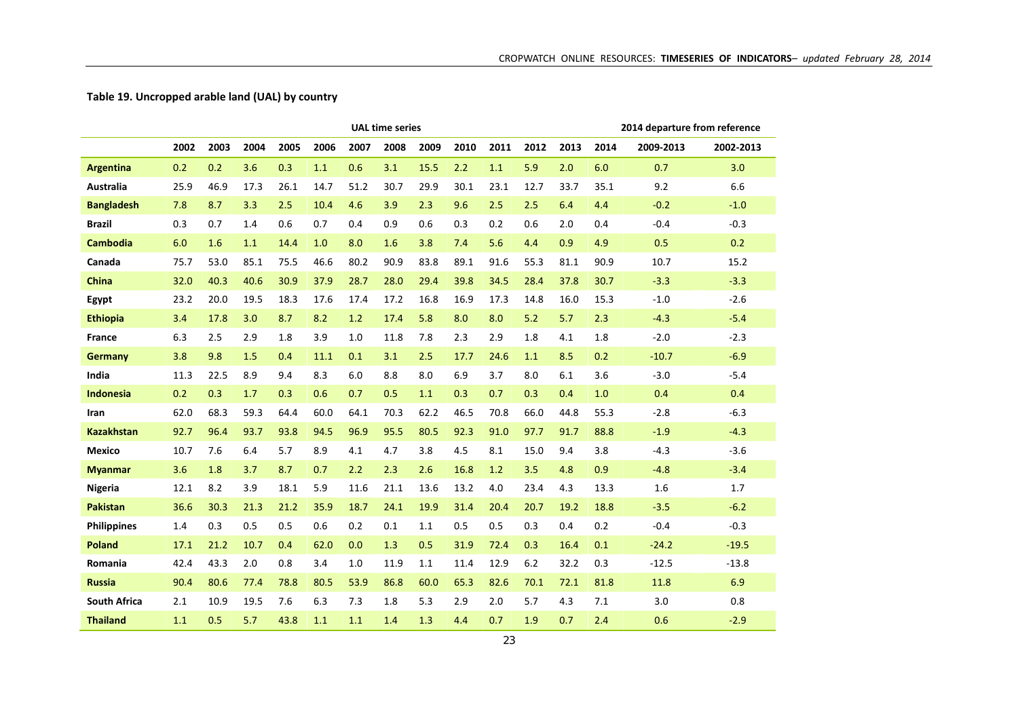## **Table 19. Uncropped arable land (UAL) by country**

|                     |      |      |      |      |      |      | <b>UAL time series</b> |      |      |      |      |      |      | 2014 departure from reference |           |
|---------------------|------|------|------|------|------|------|------------------------|------|------|------|------|------|------|-------------------------------|-----------|
|                     | 2002 | 2003 | 2004 | 2005 | 2006 | 2007 | 2008                   | 2009 | 2010 | 2011 | 2012 | 2013 | 2014 | 2009-2013                     | 2002-2013 |
| <b>Argentina</b>    | 0.2  | 0.2  | 3.6  | 0.3  | 1.1  | 0.6  | 3.1                    | 15.5 | 2.2  | 1.1  | 5.9  | 2.0  | 6.0  | 0.7                           | 3.0       |
| Australia           | 25.9 | 46.9 | 17.3 | 26.1 | 14.7 | 51.2 | 30.7                   | 29.9 | 30.1 | 23.1 | 12.7 | 33.7 | 35.1 | 9.2                           | 6.6       |
| <b>Bangladesh</b>   | 7.8  | 8.7  | 3.3  | 2.5  | 10.4 | 4.6  | 3.9                    | 2.3  | 9.6  | 2.5  | 2.5  | 6.4  | 4.4  | $-0.2$                        | $-1.0$    |
| Brazil              | 0.3  | 0.7  | 1.4  | 0.6  | 0.7  | 0.4  | 0.9                    | 0.6  | 0.3  | 0.2  | 0.6  | 2.0  | 0.4  | $-0.4$                        | $-0.3$    |
| <b>Cambodia</b>     | 6.0  | 1.6  | 1.1  | 14.4 | 1.0  | 8.0  | 1.6                    | 3.8  | 7.4  | 5.6  | 4.4  | 0.9  | 4.9  | 0.5                           | 0.2       |
| Canada              | 75.7 | 53.0 | 85.1 | 75.5 | 46.6 | 80.2 | 90.9                   | 83.8 | 89.1 | 91.6 | 55.3 | 81.1 | 90.9 | 10.7                          | 15.2      |
| <b>China</b>        | 32.0 | 40.3 | 40.6 | 30.9 | 37.9 | 28.7 | 28.0                   | 29.4 | 39.8 | 34.5 | 28.4 | 37.8 | 30.7 | $-3.3$                        | $-3.3$    |
| Egypt               | 23.2 | 20.0 | 19.5 | 18.3 | 17.6 | 17.4 | 17.2                   | 16.8 | 16.9 | 17.3 | 14.8 | 16.0 | 15.3 | $-1.0$                        | $-2.6$    |
| <b>Ethiopia</b>     | 3.4  | 17.8 | 3.0  | 8.7  | 8.2  | 1.2  | 17.4                   | 5.8  | 8.0  | 8.0  | 5.2  | 5.7  | 2.3  | $-4.3$                        | $-5.4$    |
| <b>France</b>       | 6.3  | 2.5  | 2.9  | 1.8  | 3.9  | 1.0  | 11.8                   | 7.8  | 2.3  | 2.9  | 1.8  | 4.1  | 1.8  | $-2.0$                        | $-2.3$    |
| <b>Germany</b>      | 3.8  | 9.8  | 1.5  | 0.4  | 11.1 | 0.1  | 3.1                    | 2.5  | 17.7 | 24.6 | 1.1  | 8.5  | 0.2  | $-10.7$                       | $-6.9$    |
| India               | 11.3 | 22.5 | 8.9  | 9.4  | 8.3  | 6.0  | 8.8                    | 8.0  | 6.9  | 3.7  | 8.0  | 6.1  | 3.6  | $-3.0$                        | $-5.4$    |
| <b>Indonesia</b>    | 0.2  | 0.3  | 1.7  | 0.3  | 0.6  | 0.7  | 0.5                    | 1.1  | 0.3  | 0.7  | 0.3  | 0.4  | 1.0  | 0.4                           | 0.4       |
| Iran                | 62.0 | 68.3 | 59.3 | 64.4 | 60.0 | 64.1 | 70.3                   | 62.2 | 46.5 | 70.8 | 66.0 | 44.8 | 55.3 | $-2.8$                        | $-6.3$    |
| <b>Kazakhstan</b>   | 92.7 | 96.4 | 93.7 | 93.8 | 94.5 | 96.9 | 95.5                   | 80.5 | 92.3 | 91.0 | 97.7 | 91.7 | 88.8 | $-1.9$                        | $-4.3$    |
| <b>Mexico</b>       | 10.7 | 7.6  | 6.4  | 5.7  | 8.9  | 4.1  | 4.7                    | 3.8  | 4.5  | 8.1  | 15.0 | 9.4  | 3.8  | $-4.3$                        | $-3.6$    |
| <b>Myanmar</b>      | 3.6  | 1.8  | 3.7  | 8.7  | 0.7  | 2.2  | 2.3                    | 2.6  | 16.8 | 1.2  | 3.5  | 4.8  | 0.9  | $-4.8$                        | $-3.4$    |
| Nigeria             | 12.1 | 8.2  | 3.9  | 18.1 | 5.9  | 11.6 | 21.1                   | 13.6 | 13.2 | 4.0  | 23.4 | 4.3  | 13.3 | 1.6                           | 1.7       |
| <b>Pakistan</b>     | 36.6 | 30.3 | 21.3 | 21.2 | 35.9 | 18.7 | 24.1                   | 19.9 | 31.4 | 20.4 | 20.7 | 19.2 | 18.8 | $-3.5$                        | $-6.2$    |
| <b>Philippines</b>  | 1.4  | 0.3  | 0.5  | 0.5  | 0.6  | 0.2  | 0.1                    | 1.1  | 0.5  | 0.5  | 0.3  | 0.4  | 0.2  | $-0.4$                        | $-0.3$    |
| <b>Poland</b>       | 17.1 | 21.2 | 10.7 | 0.4  | 62.0 | 0.0  | 1.3                    | 0.5  | 31.9 | 72.4 | 0.3  | 16.4 | 0.1  | $-24.2$                       | $-19.5$   |
| Romania             | 42.4 | 43.3 | 2.0  | 0.8  | 3.4  | 1.0  | 11.9                   | 1.1  | 11.4 | 12.9 | 6.2  | 32.2 | 0.3  | $-12.5$                       | $-13.8$   |
| <b>Russia</b>       | 90.4 | 80.6 | 77.4 | 78.8 | 80.5 | 53.9 | 86.8                   | 60.0 | 65.3 | 82.6 | 70.1 | 72.1 | 81.8 | 11.8                          | 6.9       |
| <b>South Africa</b> | 2.1  | 10.9 | 19.5 | 7.6  | 6.3  | 7.3  | 1.8                    | 5.3  | 2.9  | 2.0  | 5.7  | 4.3  | 7.1  | 3.0                           | 0.8       |
| <b>Thailand</b>     | 1.1  | 0.5  | 5.7  | 43.8 | 1.1  | 1.1  | 1.4                    | 1.3  | 4.4  | 0.7  | 1.9  | 0.7  | 2.4  | 0.6                           | $-2.9$    |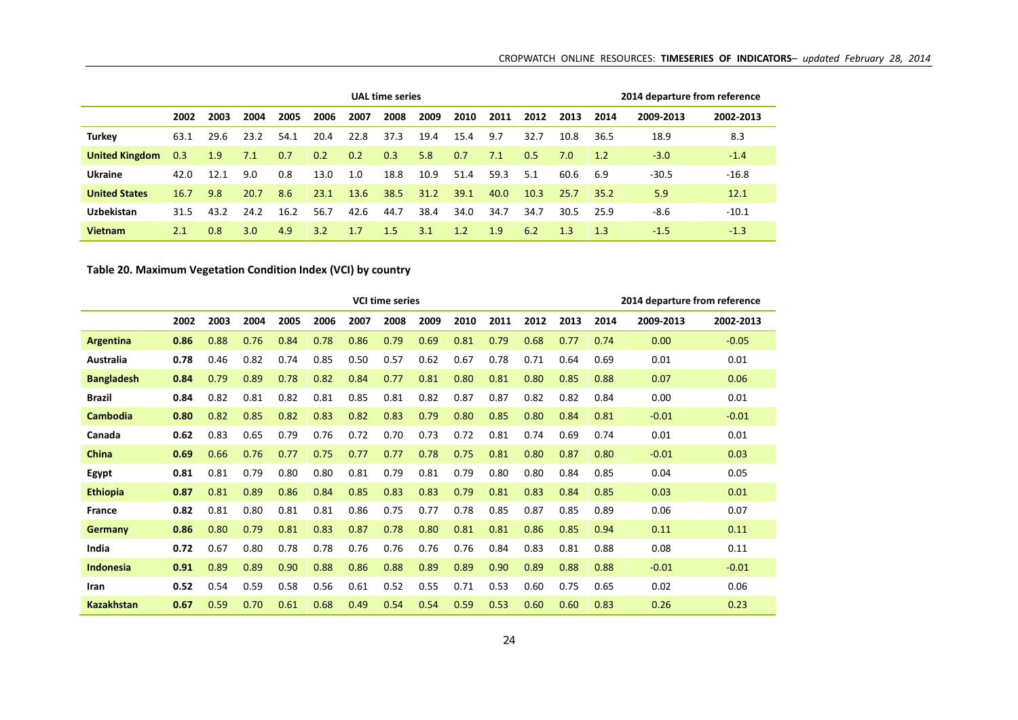|                       |      |      |                  |      | 2014 departure from reference |      |      |      |      |      |      |      |      |           |           |
|-----------------------|------|------|------------------|------|-------------------------------|------|------|------|------|------|------|------|------|-----------|-----------|
|                       | 2002 | 2003 | 2004             | 2005 | 2006                          | 2007 | 2008 | 2009 | 2010 | 2011 | 2012 | 2013 | 2014 | 2009-2013 | 2002-2013 |
| <b>Turkey</b>         | 63.1 | 29.6 | 23.2             | 54.1 | 20.4                          | 22.8 | 37.3 | 19.4 | 15.4 | 9.7  | 32.7 | 10.8 | 36.5 | 18.9      | 8.3       |
| <b>United Kingdom</b> | 0.3  | 1.9  | 7.1              | 0.7  | 0.2                           | 0.2  | 0.3  | 5.8  | 0.7  | 7.1  | 0.5  | 7.0  | 1.2  | $-3.0$    | $-1.4$    |
| <b>Ukraine</b>        | 42.0 | 12.1 | 9.0              | 0.8  | 13.0                          | 1.0  | 18.8 | 10.9 | 51.4 | 59.3 | 5.1  | 60.6 | 6.9  | $-30.5$   | $-16.8$   |
| <b>United States</b>  | 16.7 | 9.8  | 20.7             | 8.6  | 23.1                          | 13.6 | 38.5 | 31.2 | 39.1 | 40.0 | 10.3 | 25.7 | 35.2 | 5.9       | 12.1      |
| <b>Uzbekistan</b>     | 31.5 | 43.2 | 24.2             | 16.2 | 56.7                          | 42.6 | 44.7 | 38.4 | 34.0 | 34.7 | 34.7 | 30.5 | 25.9 | $-8.6$    | $-10.1$   |
| <b>Vietnam</b>        | 2.1  | 0.8  | 3.0 <sub>2</sub> | 4.9  | 3.2                           | 1.7  | 1.5  | 3.1  | 1.2  | 1.9  | 6.2  | 1.3  | 1.3  | $-1.5$    | $-1.3$    |

## **Table 20. Maximum Vegetation Condition Index (VCI) by country**

|                   |      |      |      |      |      |      | <b>VCI time series</b> |      |      |      |      |      | 2014 departure from reference |           |           |  |
|-------------------|------|------|------|------|------|------|------------------------|------|------|------|------|------|-------------------------------|-----------|-----------|--|
|                   | 2002 | 2003 | 2004 | 2005 | 2006 | 2007 | 2008                   | 2009 | 2010 | 2011 | 2012 | 2013 | 2014                          | 2009-2013 | 2002-2013 |  |
| Argentina         | 0.86 | 0.88 | 0.76 | 0.84 | 0.78 | 0.86 | 0.79                   | 0.69 | 0.81 | 0.79 | 0.68 | 0.77 | 0.74                          | 0.00      | $-0.05$   |  |
| Australia         | 0.78 | 0.46 | 0.82 | 0.74 | 0.85 | 0.50 | 0.57                   | 0.62 | 0.67 | 0.78 | 0.71 | 0.64 | 0.69                          | 0.01      | 0.01      |  |
| <b>Bangladesh</b> | 0.84 | 0.79 | 0.89 | 0.78 | 0.82 | 0.84 | 0.77                   | 0.81 | 0.80 | 0.81 | 0.80 | 0.85 | 0.88                          | 0.07      | 0.06      |  |
| <b>Brazil</b>     | 0.84 | 0.82 | 0.81 | 0.82 | 0.81 | 0.85 | 0.81                   | 0.82 | 0.87 | 0.87 | 0.82 | 0.82 | 0.84                          | 0.00      | 0.01      |  |
| <b>Cambodia</b>   | 0.80 | 0.82 | 0.85 | 0.82 | 0.83 | 0.82 | 0.83                   | 0.79 | 0.80 | 0.85 | 0.80 | 0.84 | 0.81                          | $-0.01$   | $-0.01$   |  |
| Canada            | 0.62 | 0.83 | 0.65 | 0.79 | 0.76 | 0.72 | 0.70                   | 0.73 | 0.72 | 0.81 | 0.74 | 0.69 | 0.74                          | 0.01      | 0.01      |  |
| China             | 0.69 | 0.66 | 0.76 | 0.77 | 0.75 | 0.77 | 0.77                   | 0.78 | 0.75 | 0.81 | 0.80 | 0.87 | 0.80                          | $-0.01$   | 0.03      |  |
| Egypt             | 0.81 | 0.81 | 0.79 | 0.80 | 0.80 | 0.81 | 0.79                   | 0.81 | 0.79 | 0.80 | 0.80 | 0.84 | 0.85                          | 0.04      | 0.05      |  |
| <b>Ethiopia</b>   | 0.87 | 0.81 | 0.89 | 0.86 | 0.84 | 0.85 | 0.83                   | 0.83 | 0.79 | 0.81 | 0.83 | 0.84 | 0.85                          | 0.03      | 0.01      |  |
| <b>France</b>     | 0.82 | 0.81 | 0.80 | 0.81 | 0.81 | 0.86 | 0.75                   | 0.77 | 0.78 | 0.85 | 0.87 | 0.85 | 0.89                          | 0.06      | 0.07      |  |
| <b>Germany</b>    | 0.86 | 0.80 | 0.79 | 0.81 | 0.83 | 0.87 | 0.78                   | 0.80 | 0.81 | 0.81 | 0.86 | 0.85 | 0.94                          | 0.11      | 0.11      |  |
| India             | 0.72 | 0.67 | 0.80 | 0.78 | 0.78 | 0.76 | 0.76                   | 0.76 | 0.76 | 0.84 | 0.83 | 0.81 | 0.88                          | 0.08      | 0.11      |  |
| <b>Indonesia</b>  | 0.91 | 0.89 | 0.89 | 0.90 | 0.88 | 0.86 | 0.88                   | 0.89 | 0.89 | 0.90 | 0.89 | 0.88 | 0.88                          | $-0.01$   | $-0.01$   |  |
| Iran              | 0.52 | 0.54 | 0.59 | 0.58 | 0.56 | 0.61 | 0.52                   | 0.55 | 0.71 | 0.53 | 0.60 | 0.75 | 0.65                          | 0.02      | 0.06      |  |
| <b>Kazakhstan</b> | 0.67 | 0.59 | 0.70 | 0.61 | 0.68 | 0.49 | 0.54                   | 0.54 | 0.59 | 0.53 | 0.60 | 0.60 | 0.83                          | 0.26      | 0.23      |  |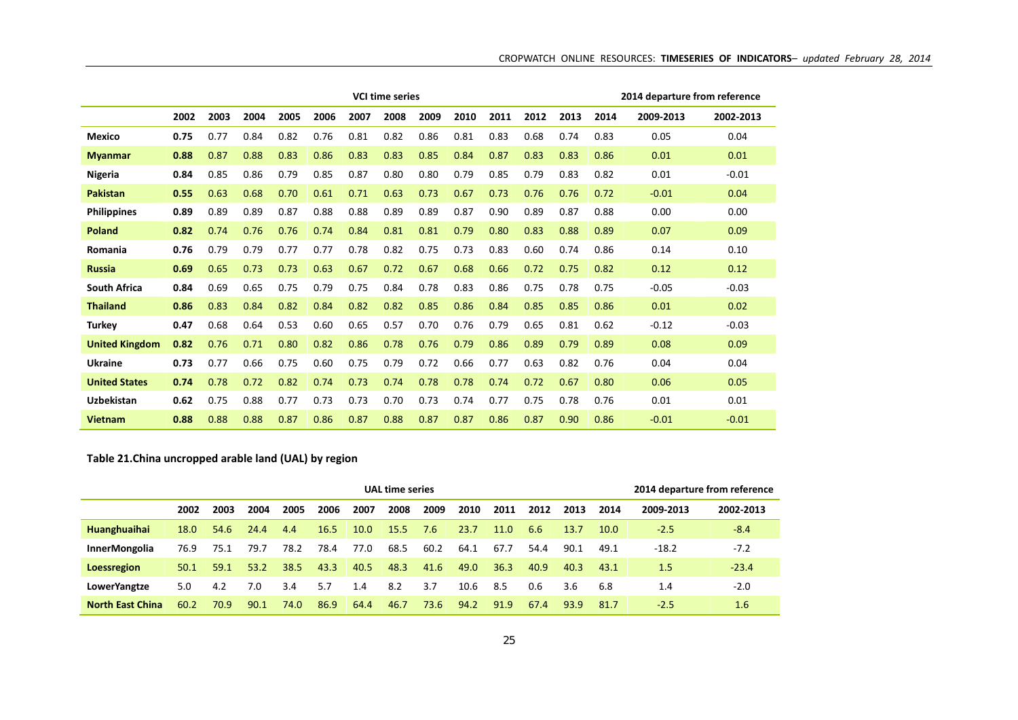|                       |      |      |      |      |      |      | <b>VCI time series</b> |      |      |      |      |      | 2014 departure from reference |           |           |  |
|-----------------------|------|------|------|------|------|------|------------------------|------|------|------|------|------|-------------------------------|-----------|-----------|--|
|                       | 2002 | 2003 | 2004 | 2005 | 2006 | 2007 | 2008                   | 2009 | 2010 | 2011 | 2012 | 2013 | 2014                          | 2009-2013 | 2002-2013 |  |
| <b>Mexico</b>         | 0.75 | 0.77 | 0.84 | 0.82 | 0.76 | 0.81 | 0.82                   | 0.86 | 0.81 | 0.83 | 0.68 | 0.74 | 0.83                          | 0.05      | 0.04      |  |
| <b>Myanmar</b>        | 0.88 | 0.87 | 0.88 | 0.83 | 0.86 | 0.83 | 0.83                   | 0.85 | 0.84 | 0.87 | 0.83 | 0.83 | 0.86                          | 0.01      | 0.01      |  |
| Nigeria               | 0.84 | 0.85 | 0.86 | 0.79 | 0.85 | 0.87 | 0.80                   | 0.80 | 0.79 | 0.85 | 0.79 | 0.83 | 0.82                          | 0.01      | $-0.01$   |  |
| <b>Pakistan</b>       | 0.55 | 0.63 | 0.68 | 0.70 | 0.61 | 0.71 | 0.63                   | 0.73 | 0.67 | 0.73 | 0.76 | 0.76 | 0.72                          | $-0.01$   | 0.04      |  |
| <b>Philippines</b>    | 0.89 | 0.89 | 0.89 | 0.87 | 0.88 | 0.88 | 0.89                   | 0.89 | 0.87 | 0.90 | 0.89 | 0.87 | 0.88                          | 0.00      | 0.00      |  |
| <b>Poland</b>         | 0.82 | 0.74 | 0.76 | 0.76 | 0.74 | 0.84 | 0.81                   | 0.81 | 0.79 | 0.80 | 0.83 | 0.88 | 0.89                          | 0.07      | 0.09      |  |
| Romania               | 0.76 | 0.79 | 0.79 | 0.77 | 0.77 | 0.78 | 0.82                   | 0.75 | 0.73 | 0.83 | 0.60 | 0.74 | 0.86                          | 0.14      | 0.10      |  |
| <b>Russia</b>         | 0.69 | 0.65 | 0.73 | 0.73 | 0.63 | 0.67 | 0.72                   | 0.67 | 0.68 | 0.66 | 0.72 | 0.75 | 0.82                          | 0.12      | 0.12      |  |
| <b>South Africa</b>   | 0.84 | 0.69 | 0.65 | 0.75 | 0.79 | 0.75 | 0.84                   | 0.78 | 0.83 | 0.86 | 0.75 | 0.78 | 0.75                          | $-0.05$   | $-0.03$   |  |
| <b>Thailand</b>       | 0.86 | 0.83 | 0.84 | 0.82 | 0.84 | 0.82 | 0.82                   | 0.85 | 0.86 | 0.84 | 0.85 | 0.85 | 0.86                          | 0.01      | 0.02      |  |
| <b>Turkey</b>         | 0.47 | 0.68 | 0.64 | 0.53 | 0.60 | 0.65 | 0.57                   | 0.70 | 0.76 | 0.79 | 0.65 | 0.81 | 0.62                          | $-0.12$   | $-0.03$   |  |
| <b>United Kingdom</b> | 0.82 | 0.76 | 0.71 | 0.80 | 0.82 | 0.86 | 0.78                   | 0.76 | 0.79 | 0.86 | 0.89 | 0.79 | 0.89                          | 0.08      | 0.09      |  |
| <b>Ukraine</b>        | 0.73 | 0.77 | 0.66 | 0.75 | 0.60 | 0.75 | 0.79                   | 0.72 | 0.66 | 0.77 | 0.63 | 0.82 | 0.76                          | 0.04      | 0.04      |  |
| <b>United States</b>  | 0.74 | 0.78 | 0.72 | 0.82 | 0.74 | 0.73 | 0.74                   | 0.78 | 0.78 | 0.74 | 0.72 | 0.67 | 0.80                          | 0.06      | 0.05      |  |
| <b>Uzbekistan</b>     | 0.62 | 0.75 | 0.88 | 0.77 | 0.73 | 0.73 | 0.70                   | 0.73 | 0.74 | 0.77 | 0.75 | 0.78 | 0.76                          | 0.01      | 0.01      |  |
| <b>Vietnam</b>        | 0.88 | 0.88 | 0.88 | 0.87 | 0.86 | 0.87 | 0.88                   | 0.87 | 0.87 | 0.86 | 0.87 | 0.90 | 0.86                          | $-0.01$   | $-0.01$   |  |

## **Table 21.China uncropped arable land (UAL) by region**

|                         |      |      |      | 2014 departure from reference |      |      |      |      |      |      |      |      |      |           |           |
|-------------------------|------|------|------|-------------------------------|------|------|------|------|------|------|------|------|------|-----------|-----------|
|                         | 2002 | 2003 | 2004 | 2005                          | 2006 | 2007 | 2008 | 2009 | 2010 | 2011 | 2012 | 2013 | 2014 | 2009-2013 | 2002-2013 |
| <b>Huanghuaihai</b>     | 18.0 | 54.6 | 24.4 | 4.4                           | 16.5 | 10.0 | 15.5 | 7.6  | 23.7 | 11.0 | 6.6  | 13.7 | 10.0 | $-2.5$    | $-8.4$    |
| <b>InnerMongolia</b>    | 76.9 | 75.1 | 79.7 | 78.2                          | 78.4 | 77.0 | 68.5 | 60.2 | 64.1 | 67.7 | 54.4 | 90.1 | 49.1 | $-18.2$   | $-7.2$    |
| <b>Loessregion</b>      | 50.1 | 59.1 | 53.2 | 38.5                          | 43.3 | 40.5 | 48.3 | 41.6 | 49.0 | 36.3 | 40.9 | 40.3 | 43.1 | 1.5       | $-23.4$   |
| <b>LowerYangtze</b>     | 5.0  | 4.2  | 7.0  | 3.4                           | 5.7  | 1.4  | 8.2  | 3.7  | 10.6 | 8.5  | 0.6  | 3.6  | 6.8  | 1.4       | $-2.0$    |
| <b>North East China</b> | 60.2 | 70.9 | 90.1 | 74.0                          | 86.9 | 64.4 | 46.7 | 73.6 | 94.2 | 91.9 | 67.4 | 93.9 | 81.7 | $-2.5$    | 1.6       |